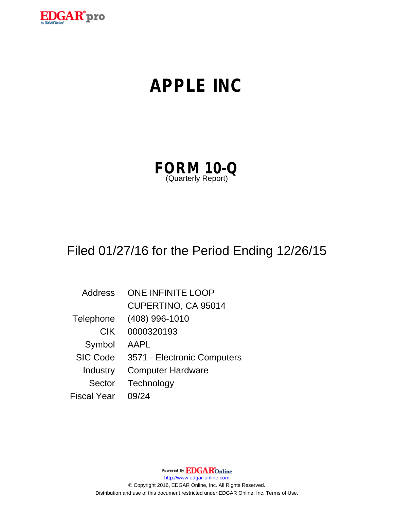

# **APPLE INC**

| <b>FORM 10-Q</b>   |  |  |
|--------------------|--|--|
| (Quarterly Report) |  |  |

# Filed 01/27/16 for the Period Ending 12/26/15

Address ONE INFINITE LOOP CUPERTINO, CA 95014 Telephone (408) 996-1010 CIK 0000320193 Symbol AAPL SIC Code 3571 - Electronic Computers Industry Computer Hardware Sector Technology Fiscal Year 09/24

Powered By EDGAROnline

http://www.edgar-online.com © Copyright 2016, EDGAR Online, Inc. All Rights Reserved.

Distribution and use of this document restricted under EDGAR Online, Inc. Terms of Use.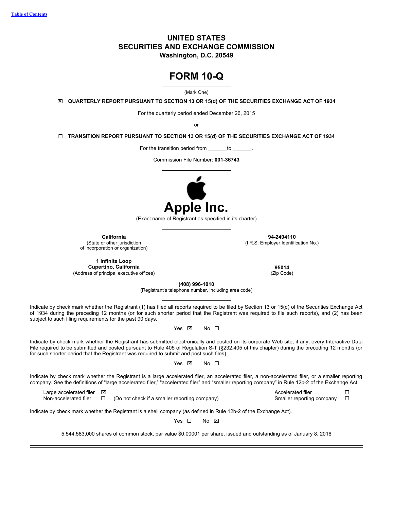# **UNITED STATES SECURITIES AND EXCHANGE COMMISSION**

**Washington, D.C. 20549**

# **FORM 10-Q**

(Mark One)

 $\boxtimes$   $\,$  QUARTERLY REPORT PURSUANT TO SECTION 13 OR 15(d) OF THE SECURITIES EXCHANGE ACT OF 1934

For the quarterly period ended December 26, 2015

or

□ TRANSITION REPORT PURSUANT TO SECTION 13 OR 15(d) OF THE SECURITIES EXCHANGE ACT OF 1934

For the transition period from \_\_\_\_\_\_ to \_

Commission File Number: **001-36743**



(Exact name of Registrant as specified in its charter)

(State or other jurisdiction

**California 94-2404110** (I.R.S. Employer Identification No.)

of incorporation or organization) **1 Infinite Loop**

**Cupertino, California 95014** (Address of principal executive offices) (Zip Code)

**(408) 996-1010**

(Registrant's telephone number, including area code)

Indicate by check mark whether the Registrant (1) has filed all reports required to be filed by Section 13 or 15(d) of the Securities Exchange Act of 1934 during the preceding 12 months (or for such shorter period that the Registrant was required to file such reports), and (2) has been subject to such filing requirements for the past 90 days.

> Yes **X** No  $\Box$

Indicate by check mark whether the Registrant has submitted electronically and posted on its corporate Web site, if any, every Interactive Data File required to be submitted and posted pursuant to Rule 405 of Regulation S-T (§232.405 of this chapter) during the preceding 12 months (or for such shorter period that the Registrant was required to submit and post such files).

#### Yes **X** No  $\Box$

Indicate by check mark whether the Registrant is a large accelerated filer, an accelerated filer, a non-accelerated filer, or a smaller reporting company. See the definitions of "large accelerated filer," "accelerated filer" and "smaller reporting company" in Rule 12b-2 of the Exchange Act.

Large accelerated filer □<br>Non-accelerated filer □ (Do not check if a smaller reporting company) Smaller reporting company □ Non-accelerated filer □ (Do not check if a smaller reporting company) Smaller reporting company □

Indicate by check mark whether the Registrant is a shell company (as defined in Rule 12b-2 of the Exchange Act).

Yes  $\square$ No  $\boxtimes$ 

5,544,583,000 shares of common stock, par value \$0.00001 per share, issued and outstanding as of January 8, 2016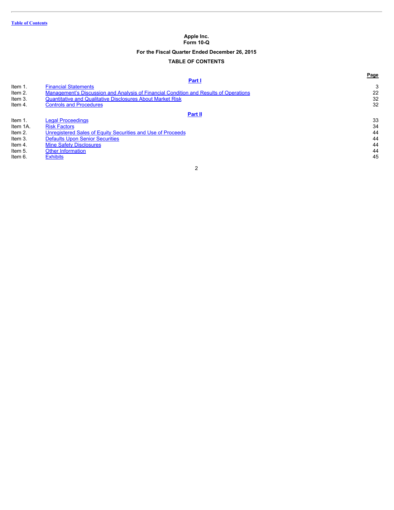# **Apple Inc. Form 10-Q**

# **For the Fiscal Quarter Ended December 26, 2015**

# **TABLE OF CONTENTS**

|          |                                                                                       | Page |
|----------|---------------------------------------------------------------------------------------|------|
|          | Part I                                                                                |      |
| Item 1.  | <b>Financial Statements</b>                                                           | 3    |
| Item 2.  | Management's Discussion and Analysis of Financial Condition and Results of Operations | 22   |
| Item 3.  | <b>Quantitative and Qualitative Disclosures About Market Risk</b>                     | 32   |
| Item 4.  | <b>Controls and Procedures</b>                                                        | 32   |
|          | Part II                                                                               |      |
| Item 1.  | <b>Legal Proceedings</b>                                                              | 33   |
| Item 1A. | <b>Risk Factors</b>                                                                   | 34   |
| Item 2.  | Unregistered Sales of Equity Securities and Use of Proceeds                           | 44   |
| Item 3.  | <b>Defaults Upon Senior Securities</b>                                                | 44   |
| Item 4.  | <b>Mine Safety Disclosures</b>                                                        | 44   |
| Item 5.  | Other Information                                                                     | 44   |
| Item 6.  | <b>Exhibits</b>                                                                       | 45   |
|          |                                                                                       |      |
|          |                                                                                       |      |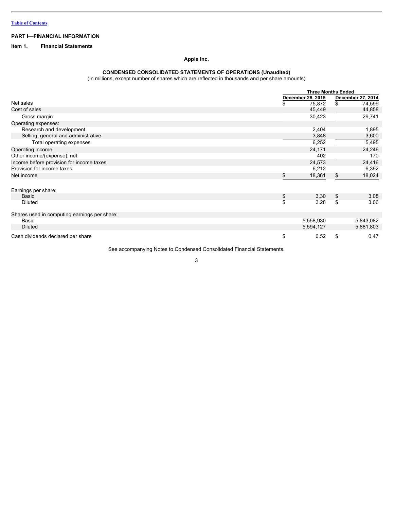# **PART I—FINANCIAL INFORMATION**

# **Item 1. Financial Statements**

# **Apple Inc.**

# **CONDENSED CONSOLIDATED STATEMENTS OF OPERATIONS (Unaudited)**

(In millions, except number of shares which are reflected in thousands and per share amounts)

|                                                                        | <b>Three Months Ended</b> |                   |      |                   |  |  |
|------------------------------------------------------------------------|---------------------------|-------------------|------|-------------------|--|--|
|                                                                        |                           | December 26, 2015 |      | December 27, 2014 |  |  |
| Net sales                                                              |                           | 75,872            | \$   | 74,599            |  |  |
| Cost of sales                                                          |                           | 45,449            |      | 44,858            |  |  |
| Gross margin                                                           |                           | 30,423            |      | 29,741            |  |  |
| Operating expenses:                                                    |                           |                   |      |                   |  |  |
| Research and development                                               |                           | 2,404             |      | 1,895             |  |  |
| Selling, general and administrative                                    |                           | 3,848             |      | 3,600             |  |  |
| Total operating expenses                                               |                           | 6,252             |      | 5,495             |  |  |
| Operating income                                                       |                           | 24,171            |      | 24,246            |  |  |
| Other income/(expense), net                                            |                           | 402               |      | 170               |  |  |
| Income before provision for income taxes                               |                           | 24,573            |      | 24,416            |  |  |
| Provision for income taxes                                             |                           | 6,212             |      | 6,392             |  |  |
| Net income                                                             |                           | 18,361            |      | 18,024            |  |  |
| Earnings per share:                                                    |                           |                   |      |                   |  |  |
| Basic                                                                  | æ,                        | 3.30              | - \$ | 3.08              |  |  |
| Diluted                                                                | £.                        | 3.28              | \$   | 3.06              |  |  |
| Shares used in computing earnings per share:                           |                           |                   |      |                   |  |  |
| Basic                                                                  |                           | 5,558,930         |      | 5,843,082         |  |  |
| Diluted                                                                |                           | 5,594,127         |      | 5,881,803         |  |  |
| Cash dividends declared per share                                      | \$                        | 0.52              | - \$ | 0.47              |  |  |
| See accompanying Notes to Condensed Consolidated Financial Statements. |                           |                   |      |                   |  |  |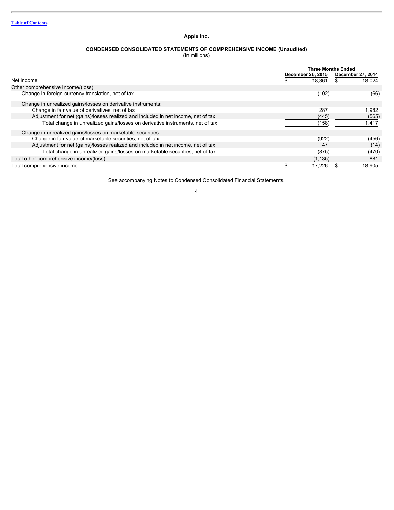# **Apple Inc.**

# **CONDENSED CONSOLIDATED STATEMENTS OF COMPREHENSIVE INCOME (Unaudited)**

(In millions)

|                                                                                   | <b>Three Months Ended</b> |                   |  |  |  |  |
|-----------------------------------------------------------------------------------|---------------------------|-------------------|--|--|--|--|
|                                                                                   | December 26, 2015         | December 27, 2014 |  |  |  |  |
| Net income                                                                        | 18,361                    | 18,024            |  |  |  |  |
| Other comprehensive income/(loss):                                                |                           |                   |  |  |  |  |
| Change in foreign currency translation, net of tax                                | (102)                     | (66)              |  |  |  |  |
| Change in unrealized gains/losses on derivative instruments:                      |                           |                   |  |  |  |  |
| Change in fair value of derivatives, net of tax                                   | 287                       | 1,982             |  |  |  |  |
| Adjustment for net (gains)/losses realized and included in net income, net of tax | (445)                     | (565)             |  |  |  |  |
| Total change in unrealized gains/losses on derivative instruments, net of tax     | (158)                     | 1,417             |  |  |  |  |
| Change in unrealized gains/losses on marketable securities:                       |                           |                   |  |  |  |  |
| Change in fair value of marketable securities, net of tax                         | (922)                     | (456)             |  |  |  |  |
| Adjustment for net (gains)/losses realized and included in net income, net of tax | 47                        | (14)              |  |  |  |  |
| Total change in unrealized gains/losses on marketable securities, net of tax      | (875)                     | (470)             |  |  |  |  |
| Total other comprehensive income/(loss)                                           | (1, 135)                  | 881               |  |  |  |  |
| Total comprehensive income                                                        | 17,226                    | 18,905            |  |  |  |  |

See accompanying Notes to Condensed Consolidated Financial Statements.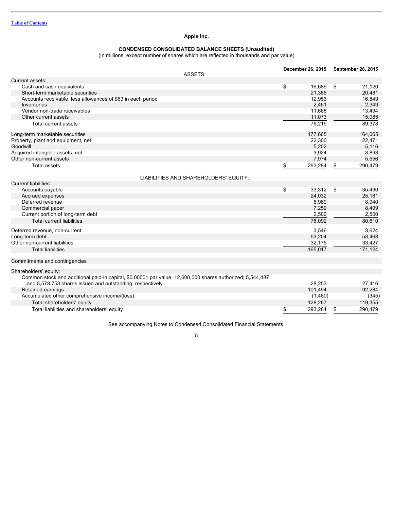# **Apple Inc.**

#### **CONDENSED CONSOLIDATED BALANCE SHEETS (Unaudited)**

(In millions, except number of shares which are reflected in thousands and par value)

| ASSETS:                                                                                                   | December 26, 2015 | <b>September 26, 2015</b> |
|-----------------------------------------------------------------------------------------------------------|-------------------|---------------------------|
| Current assets:                                                                                           |                   |                           |
| Cash and cash equivalents                                                                                 | \$<br>16.689      | \$<br>21,120              |
| Short-term marketable securities                                                                          | 21,385            | 20,481                    |
| Accounts receivable, less allowances of \$63 in each period                                               | 12,953            | 16,849                    |
| Inventories                                                                                               | 2,451             | 2,349                     |
| Vendor non-trade receivables                                                                              | 11,668            | 13,494                    |
| Other current assets                                                                                      | 11,073            | 15,085                    |
| Total current assets                                                                                      | 76,219            | 89,378                    |
| Long-term marketable securities                                                                           | 177,665           | 164,065                   |
| Property, plant and equipment, net                                                                        | 22,300            | 22,471                    |
| Goodwill                                                                                                  | 5,202             | 5,116                     |
| Acquired intangible assets, net                                                                           | 3,924             | 3,893                     |
| Other non-current assets                                                                                  | 7,974             | 5,556                     |
| <b>Total assets</b>                                                                                       | 293,284           | \$<br>290,479             |
| LIABILITIES AND SHAREHOLDERS' EQUITY:                                                                     |                   |                           |
| <b>Current liabilities:</b>                                                                               |                   |                           |
| Accounts payable                                                                                          | \$<br>33.312 \$   | 35.490                    |
| Accrued expenses                                                                                          | 24,032            | 25,181                    |
| Deferred revenue                                                                                          | 8,989             | 8,940                     |
| Commercial paper                                                                                          | 7,259             | 8,499                     |
| Current portion of long-term debt                                                                         | 2,500             | 2,500                     |
| <b>Total current liabilities</b>                                                                          | 76,092            | 80,610                    |
| Deferred revenue, non-current                                                                             | 3,546             | 3,624                     |
| Long-term debt                                                                                            | 53,204            | 53,463                    |
| Other non-current liabilities                                                                             | 32,175            | 33,427                    |
| <b>Total liabilities</b>                                                                                  | 165,017           | 171,124                   |
| Commitments and contingencies                                                                             |                   |                           |
| Shareholders' equity:                                                                                     |                   |                           |
| Common stock and additional paid-in capital, \$0.00001 par value: 12,600,000 shares authorized; 5,544,487 |                   |                           |
| and 5,578,753 shares issued and outstanding, respectively                                                 | 28,253            | 27,416                    |
| Retained earnings                                                                                         | 101,494           | 92,284                    |
| Accumulated other comprehensive income/(loss)                                                             | (1,480)           | (345)                     |
| Total shareholders' equity                                                                                | 128,267           | 119,355                   |
| Total liabilities and shareholders' equity                                                                | 293,284           | \$<br>290,479             |

See accompanying Notes to Condensed Consolidated Financial Statements.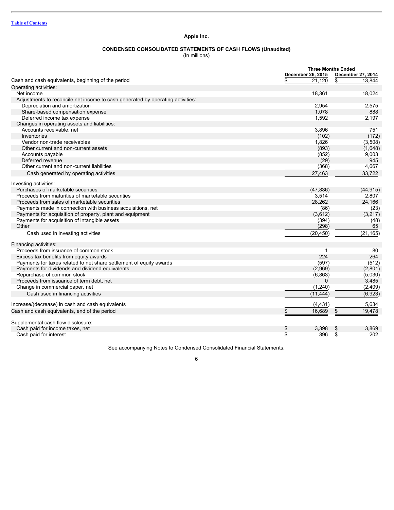# **Apple Inc.**

#### **CONDENSED CONSOLIDATED STATEMENTS OF CASH FLOWS (Unaudited)**

(In millions)

|                                                                                |                   | <b>Three Months Ended</b> |
|--------------------------------------------------------------------------------|-------------------|---------------------------|
|                                                                                | December 26, 2015 | December 27, 2014         |
| Cash and cash equivalents, beginning of the period                             | 21,120            | \$<br>13.844              |
| Operating activities:                                                          |                   |                           |
| Net income                                                                     | 18,361            | 18,024                    |
| Adjustments to reconcile net income to cash generated by operating activities: |                   |                           |
| Depreciation and amortization                                                  | 2,954             | 2,575                     |
| Share-based compensation expense                                               | 1.078             | 888                       |
| Deferred income tax expense                                                    | 1,592             | 2,197                     |
| Changes in operating assets and liabilities:                                   |                   |                           |
| Accounts receivable, net                                                       | 3,896             | 751                       |
| Inventories                                                                    | (102)             | (172)                     |
| Vendor non-trade receivables                                                   | 1,826             | (3,508)                   |
| Other current and non-current assets                                           | (893)             | (1,648)                   |
| Accounts payable                                                               | (852)             | 9,003                     |
| Deferred revenue                                                               | (29)              | 945                       |
| Other current and non-current liabilities                                      | (368)             | 4,667                     |
| Cash generated by operating activities                                         | 27,463            | 33,722                    |
| Investing activities:                                                          |                   |                           |
| Purchases of marketable securities                                             | (47, 836)         | (44, 915)                 |
| Proceeds from maturities of marketable securities                              | 3,514             | 2,807                     |
| Proceeds from sales of marketable securities                                   | 28,262            | 24,166                    |
| Payments made in connection with business acquisitions, net                    | (86)              | (23)                      |
| Payments for acquisition of property, plant and equipment                      | (3,612)           | (3,217)                   |
| Payments for acquisition of intangible assets                                  | (394)             | (48)                      |
| Other                                                                          | (298)             | 65                        |
| Cash used in investing activities                                              | (20, 450)         | (21, 165)                 |
|                                                                                |                   |                           |
| Financing activities:                                                          |                   |                           |
| Proceeds from issuance of common stock                                         | $\overline{1}$    | 80                        |
| Excess tax benefits from equity awards                                         | 224               | 264                       |
| Payments for taxes related to net share settlement of equity awards            | (597)             | (512)                     |
| Payments for dividends and dividend equivalents                                | (2,969)           | (2,801)                   |
| Repurchase of common stock                                                     | (6,863)           | (5,030)                   |
| Proceeds from issuance of term debt. net                                       | $\Omega$          | 3,485                     |
| Change in commercial paper, net                                                | (1, 240)          | (2, 409)                  |
| Cash used in financing activities                                              | (11, 444)         | (6,923)                   |
| Increase/(decrease) in cash and cash equivalents                               | (4, 431)          | 5,634                     |
| Cash and cash equivalents, end of the period                                   | 16,689            | \$<br>19,478              |
| Supplemental cash flow disclosure:                                             |                   |                           |
| Cash paid for income taxes, net                                                | \$<br>3,398       | 3,869<br>\$               |
| Cash paid for interest                                                         | \$<br>396         | 202<br>\$                 |
| See accompanying Notes to Condensed Consolidated Financial Statements.         |                   |                           |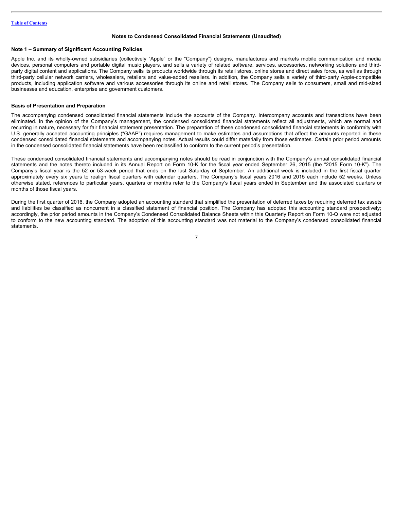# **Notes to Condensed Consolidated Financial Statements (Unaudited)**

# **Note 1 – Summary of Significant Accounting Policies**

**Example of Contents**<br> **Note 1 – Summary of Significant Accounting Policies**<br>
Apple Inc. and its wholly-owned subsidiaries (collectively "Apple" or the "Company") designs, manufactures and markets mobile communication and devices, personal computers and portable digital music players, and sells a variety of related software, services, accessories, networking solutions and thirdparty digital content and applications. The Company sells its products worldwide through its retail stores, online stores and direct sales force, as well as through third-party cellular network carriers, wholesalers, retailers and value-added resellers. In addition, the Company sells a variety of third-party Apple-compatible products, including application software and various accessories through its online and retail stores. The Company sells to consumers, small and mid-sized businesses and education, enterprise and government customers. Table of Contense<br>
Notes 1 - Summary of Significant Accounting Policies<br>
Apple Inc. and its wholty-wowed substairs (collectively "Apple" or the "Company") designs, manufactures and marketis mobile communication and media<br> Notes to Condensed Consolidated Financial Statements (Unaudited)<br>Apple Inc. and its wholly-owned subsidiaries (collectively "Apple" or the "Company") designs. manufactures and markets mobile communication and media<br>Apple I Take of Cuntomia<br>
Notes 1 - Summary of Significant Accounting Policies<br>
Notes 1 - Summary of Significant Accounting Policies<br>
Aggle Inc. and its wholly-owned subsidiaries (collectively "Apple" or the "Company") designs, ma Table of Contents<br>
Notes 1 Constened Conserved Conserved Financial Statements (Unaudited)<br>
Note 1 – Summary of Significant Accounting Policies<br>
Apple inc. and is viney-owned subsidiaries (collectively "Apple" or the "compa **Table of Centress**<br>**Able 4 Centress**<br>**Able 6 Condensed Consolidated Financial Statements (Unaudited)**<br>Apple inc. and its virtual Apple include apple may be a proposed of the Company interspect and markets mobile communica Takis of Centras<br>
About 1 - Summary of Significant Accounting Policies is the Company's designs, membediates and market mobile computation and model<br>
Accile to and an overloaded as considered in a classified as noncel as a Table of Centers on the worlds material Accounting Policies<br>Note the animal Accounting Policies y Apple' or the "Ompany") designs, manufactures and matels nodile communication and media<br>Apple) the and its world, words abso

# **Basis of Presentation and Preparation**

recurring in nature, necessary for fair financial statement presentation. The preparation of these condensed consolidated financial statements in conformity with U.S. generally accepted accounting principles ("GAAP") requires management to make estimates and assumptions that affect the amounts reported in these condensed consolidated financial statements and accompanying notes. Actual results could differ materially from those estimates. Certain prior period amounts in the condensed consolidated financial statements have been reclassified to conform to the current period's presentation.

These condensed consolidated financial statements and accompanying notes should be read in conjunction with the Company's annual consolidated financial otherwise stated, references to particular years, quarters or months refer to the Company's fiscal years ended in September and the associated quarters or months of those fiscal years.

During the first quarter of 2016, the Company adopted an accounting standard that simplified the presentation of deferred taxes by requiring deferred tax assets and liabilities be classified as noncurrent in a classified s accordingly, the prior period amounts in the Company's Condensed Consolidated Balance Sheets within this Quarterly Report on Form 10-Q were not adjusted statements.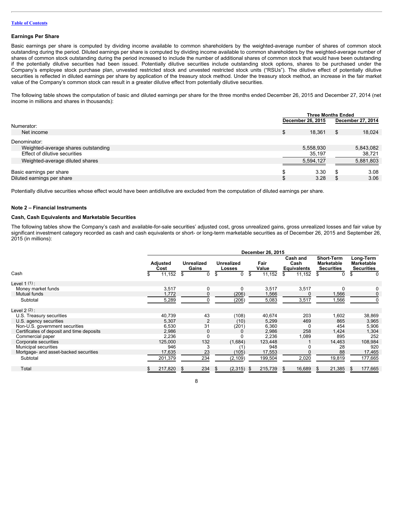# **Earnings Per Share**

Table of Contents<br>Basic earnings per Share<br>Basic earnings per share is computed by dividing income available to common shareholders by the weighted-average number of shares of common stock<br>outstanding during the period. Di outstanding during the period. Diluted earnings per share is computed by dividing income available to common shareholders by the weighted-average number of shares of common stock outstanding during the period increased to include the number of additional shares of common stock that would have been outstanding Table of Contents<br>Barnings per share<br>Barnings per share is computed by dividing income available to common shareholders by the weighted-average number of shares of common stock<br>coutstanding during the period. Diluted earni Table of Contents<br>Barnings Per Share<br>Barcianings per share is computed by dividing income available to common shareholders by the weighted-average number of shares of common stock<br>outstanding during the period. Diluted ear securities is reflected in diluted earnings per share by application of the treasury stock method. Under the treasury stock method, an increase in the fair market value of the Company's common stock can result in a greater dilutive effect from potentially dilutive securities.

The following table shows the computation of basic and diluted earnings per share for the three months ended December 26, 2015 and December 27, 2014 (net income in millions and shares in thousands):

|                                     | <b>Three Months Ended</b> |  |                   |  |  |  |  |  |
|-------------------------------------|---------------------------|--|-------------------|--|--|--|--|--|
|                                     | December 26, 2015         |  | December 27, 2014 |  |  |  |  |  |
| Numerator:                          |                           |  |                   |  |  |  |  |  |
| Net income                          | 18,361                    |  | 18,024            |  |  |  |  |  |
| Denominator:                        |                           |  |                   |  |  |  |  |  |
| Weighted-average shares outstanding | 5,558,930                 |  | 5,843,082         |  |  |  |  |  |
| Effect of dilutive securities       | 35,197                    |  | 38,721            |  |  |  |  |  |
| Weighted-average diluted shares     | 5,594,127                 |  | 5,881,803         |  |  |  |  |  |
| Basic earnings per share            | 3.30                      |  | 3.08              |  |  |  |  |  |
| Diluted earnings per share          | 3.28                      |  | 3.06              |  |  |  |  |  |
|                                     |                           |  |                   |  |  |  |  |  |

Potentially dilutive securities whose effect would have been antidilutive are excluded from the computation of diluted earnings per share.

# **Note 2 – Financial Instruments**

# **Cash, Cash Equivalents and Marketable Securities**

The following tables show the Company's cash and available-for-sale securities' adjusted cost, gross unrealized gains, gross unrealized losses and fair value by significant investment category recorded as cash and cash equivalents or short- or long-term marketable securities as of December 26, 2015 and September 26, 2015 (in millions):

|                                           | December 26, 2015 |                            |                             |               |                                        |                                                      |                                              |  |  |  |  |
|-------------------------------------------|-------------------|----------------------------|-----------------------------|---------------|----------------------------------------|------------------------------------------------------|----------------------------------------------|--|--|--|--|
|                                           | Adjusted<br>Cost  | <b>Unrealized</b><br>Gains | <b>Unrealized</b><br>Losses | Fair<br>Value | Cash and<br>Cash<br><b>Equivalents</b> | <b>Short-Term</b><br>Marketable<br><b>Securities</b> | Long-Term<br>Marketable<br><b>Securities</b> |  |  |  |  |
| Cash                                      | 11,152            | $\Omega$<br>-\$            | 0                           | 11,152        | 11,152                                 | -S                                                   |                                              |  |  |  |  |
| Level $1(1)$ :                            |                   |                            |                             |               |                                        |                                                      |                                              |  |  |  |  |
| Money market funds                        | 3,517             | 0                          | 0                           | 3,517         | 3,517                                  | 0                                                    |                                              |  |  |  |  |
| Mutual funds                              | 1,772             | O                          | (206)                       | 1,566         |                                        | .566                                                 |                                              |  |  |  |  |
| Subtotal                                  | 5,289             |                            | (206)                       | 5,083         | 3,517                                  | 566,                                                 |                                              |  |  |  |  |
| Level $2(2)$ :                            |                   |                            |                             |               |                                        |                                                      |                                              |  |  |  |  |
| U.S. Treasury securities                  | 40,739            | 43                         | (108)                       | 40,674        | 203                                    | 1,602                                                | 38,869                                       |  |  |  |  |
| U.S. agency securities                    | 5,307             | 2                          | (10)                        | 5,299         | 469                                    | 865                                                  | 3,965                                        |  |  |  |  |
| Non-U.S. government securities            | 6,530             | 31                         | (201)                       | 6,360         |                                        | 454                                                  | 5,906                                        |  |  |  |  |
| Certificates of deposit and time deposits | 2,986             | $\mathbf{0}$               |                             | 2,986         | 258                                    | 1,424                                                | 1,304                                        |  |  |  |  |
| Commercial paper                          | 2,236             | $\Omega$                   |                             | 2,236         | 1,089                                  | 895                                                  | 252                                          |  |  |  |  |
| Corporate securities                      | 125,000           | 132                        | (1,684)                     | 123,448       |                                        | 14,463                                               | 108,984                                      |  |  |  |  |
| <b>Municipal securities</b>               | 946               |                            | (1)                         | 948           |                                        | 28                                                   | 920                                          |  |  |  |  |
| Mortgage- and asset-backed securities     | 17,635            | 23                         | (105)                       | 17,553        |                                        | 88                                                   | 17,465                                       |  |  |  |  |
| Subtotal                                  | 201,379           | 234                        | (2, 109)                    | 199,504       | 2,020                                  | 19,819                                               | 177,665                                      |  |  |  |  |
| Total                                     | 217,820           | 234                        | (2,315)                     | 215,739<br>۰. | 16,689                                 | 21,385<br>-SS                                        | 177,665                                      |  |  |  |  |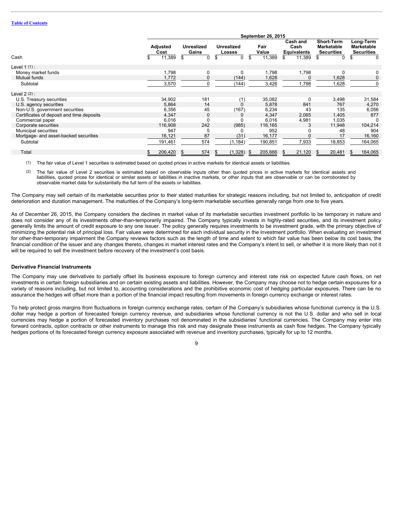| <b>Table of Contents</b>                                                                                                                                                                                                                                                                                                                                                                                        |                         |                            |                                    |                    |                                        |                                               |                                                     |
|-----------------------------------------------------------------------------------------------------------------------------------------------------------------------------------------------------------------------------------------------------------------------------------------------------------------------------------------------------------------------------------------------------------------|-------------------------|----------------------------|------------------------------------|--------------------|----------------------------------------|-----------------------------------------------|-----------------------------------------------------|
|                                                                                                                                                                                                                                                                                                                                                                                                                 |                         |                            |                                    | September 26, 2015 |                                        |                                               |                                                     |
|                                                                                                                                                                                                                                                                                                                                                                                                                 | <b>Adiusted</b><br>Cost | <b>Unrealized</b><br>Gains | <b>Unrealized</b><br><b>Losses</b> | Fair<br>Value      | Cash and<br>Cash<br><b>Equivalents</b> | Short-Term<br>Marketable<br><b>Securities</b> | Long-Term<br><b>Marketable</b><br><b>Securities</b> |
| Cash                                                                                                                                                                                                                                                                                                                                                                                                            | 11,389                  | \$<br>$\Omega$             | - \$<br>\$<br>$\Omega$             | 11,389             | \$<br>11,389                           | $\mathbf{s}$<br>$\Omega$                      | \$<br><sup>0</sup>                                  |
| Level 1 <sup>(1)</sup> :                                                                                                                                                                                                                                                                                                                                                                                        |                         |                            |                                    |                    |                                        |                                               |                                                     |
| Money market funds                                                                                                                                                                                                                                                                                                                                                                                              | 1,798                   | $\Omega$                   | 0                                  | 1,798              | 1,798                                  | $\Omega$                                      | 0                                                   |
| Mutual funds                                                                                                                                                                                                                                                                                                                                                                                                    | 1,772                   | $\overline{0}$             | (144)                              | 1,628              | $\overline{0}$                         | 1,628                                         | $\Omega$                                            |
| Subtotal                                                                                                                                                                                                                                                                                                                                                                                                        | 3,570                   | $\mathbf{0}$               | (144)                              | 3,426              | 1,798                                  | 1,628                                         | $\Omega$                                            |
| Level $2(2)$ :                                                                                                                                                                                                                                                                                                                                                                                                  |                         |                            |                                    |                    |                                        |                                               |                                                     |
| U.S. Treasury securities                                                                                                                                                                                                                                                                                                                                                                                        | 34,902                  | 181                        | $\binom{1}{0}$                     | 35,082             | $\Omega$                               | 3,498                                         | 31,584                                              |
| U.S. agency securities<br>Non-U.S. government securities                                                                                                                                                                                                                                                                                                                                                        | 5,864<br>6,356          | 14<br>45                   | (167)                              | 5,878<br>6,234     | 841<br>43                              | 767<br>135                                    | 4,270<br>6,056                                      |
| Certificates of deposit and time deposits                                                                                                                                                                                                                                                                                                                                                                       | 4,347                   | $\overline{0}$             | $\Omega$                           | 4,347              | 2,065                                  | 1,405                                         | 877                                                 |
| Commercial paper                                                                                                                                                                                                                                                                                                                                                                                                | 6,016                   | $\mathbf 0$                | $\Omega$                           | 6,016              | 4,981                                  | 1,035                                         | ŋ                                                   |
| Corporate securities<br><b>Municipal securities</b>                                                                                                                                                                                                                                                                                                                                                             | 116.908<br>947          | 242<br>-5                  | (985)<br>$\Omega$                  | 116,165<br>952     | -3<br>$\Omega$                         | 11.948<br>48                                  | 104.214<br>904                                      |
| Mortgage- and asset-backed securities                                                                                                                                                                                                                                                                                                                                                                           | 16,121                  | 87                         | (31)                               | 16,177             | $\Omega$                               | 17                                            | 16,160                                              |
| Subtotal                                                                                                                                                                                                                                                                                                                                                                                                        | 191,461                 | 574                        | (1, 184)                           | 190,851            | 7,933                                  | 18,853                                        | 164,065                                             |
| Total                                                                                                                                                                                                                                                                                                                                                                                                           |                         |                            |                                    |                    |                                        |                                               |                                                     |
|                                                                                                                                                                                                                                                                                                                                                                                                                 | 206,420                 | 574                        | (1,328)                            | 205,666            | 21,120                                 | 20,481                                        | 164,065                                             |
| (1) The fair value of Level 1 securities is estimated based on quoted prices in active markets for identical assets or liabilities.                                                                                                                                                                                                                                                                             |                         |                            |                                    |                    |                                        |                                               |                                                     |
| (2)<br>The fair value of Level 2 securities is estimated based on observable inputs other than quoted prices in active markets for identical assets and<br>liabilities, quoted prices for identical or similar assets or liabilities in inactive markets, or other inputs that are observable or can be corroborated by<br>observable market data for substantially the full term of the assets or liabilities. |                         |                            |                                    |                    |                                        |                                               |                                                     |
| The Company may sell certain of its marketable securities prior to their stated maturities for strategic reasons including, but not limited to, anticipation of credit<br>deterioration and duration management. The maturities of the Company's long-term marketable securities generally range from one to five years.                                                                                        |                         |                            |                                    |                    |                                        |                                               |                                                     |
|                                                                                                                                                                                                                                                                                                                                                                                                                 |                         |                            |                                    |                    |                                        |                                               |                                                     |
| As of December 26, 2015, the Company considers the declines in market value of its marketable securities investment portfolio to be temporary in nature and                                                                                                                                                                                                                                                     |                         |                            |                                    |                    |                                        |                                               |                                                     |
| does not consider any of its investments other-than-temporarily impaired. The Company typically invests in highly-rated securities, and its investment policy                                                                                                                                                                                                                                                   |                         |                            |                                    |                    |                                        |                                               |                                                     |
| generally limits the amount of credit exposure to any one issuer. The policy generally requires investments to be investment grade, with the primary objective of<br>minimizing the potential risk of principal loss. Fair values were determined for each individual security in the investment portfolio. When evaluating an investment                                                                       |                         |                            |                                    |                    |                                        |                                               |                                                     |
| for other-than-temporary impairment the Company reviews factors such as the length of time and extent to which fair value has been below its cost basis, the                                                                                                                                                                                                                                                    |                         |                            |                                    |                    |                                        |                                               |                                                     |
| financial condition of the issuer and any changes thereto, changes in market interest rates and the Company's intent to sell, or whether it is more likely than not it                                                                                                                                                                                                                                          |                         |                            |                                    |                    |                                        |                                               |                                                     |
| will be required to sell the investment before recovery of the investment's cost basis.                                                                                                                                                                                                                                                                                                                         |                         |                            |                                    |                    |                                        |                                               |                                                     |
| <b>Derivative Financial Instruments</b>                                                                                                                                                                                                                                                                                                                                                                         |                         |                            |                                    |                    |                                        |                                               |                                                     |
| The Company may use derivatives to partially offset its business exposure to foreign currency and interest rate risk on expected future cash flows, on net                                                                                                                                                                                                                                                      |                         |                            |                                    |                    |                                        |                                               |                                                     |
| investments in certain foreign subsidiaries and on certain existing assets and liabilities. However, the Company may choose not to hedge certain exposures for a                                                                                                                                                                                                                                                |                         |                            |                                    |                    |                                        |                                               |                                                     |
| variety of reasons including, but not limited to, accounting considerations and the prohibitive economic cost of hedging particular exposures. There can be no<br>assurance the hedges will offset more than a portion of the financial impact resulting from movements in foreign currency exchange or interest rates.                                                                                         |                         |                            |                                    |                    |                                        |                                               |                                                     |
| To help protect gross margins from fluctuations in foreign currency exchange rates, certain of the Company's subsidiaries whose functional currency is the U.S.                                                                                                                                                                                                                                                 |                         |                            |                                    |                    |                                        |                                               |                                                     |
| dollar may hedge a portion of forecasted foreign currency revenue, and subsidiaries whose functional currency is not the U.S. dollar and who sell in local<br>currencies may hedge a portion of forecasted inventory purchases not denominated in the subsidiaries' functional currencies. The Company may enter into                                                                                           |                         |                            |                                    |                    |                                        |                                               |                                                     |

As of December 26, 2015, the Company considers the declines in market value of its marketable securities investment portfolio to be temporary in nature and does not consider any of its investments other-than-temporarily im generally limits the amount of credit exposure to any one issuer. The policy generally requires investments to be investment grade, with the primary objective of minimizing the potential risk of principal loss. Fair values were determined for each individual security in the investment portfolio. When evaluating an investment for other-than-temporary impairment the Company reviews factors such as the length of time and extent to which fair value has been below its cost basis, the financial condition of the issuer and any changes thereto, changes in market interest rates and the Company's intent to sell, or whether it is more likely than not it will be required to sell the investment before recovery of the investment's cost basis. Concern the control of the the subsidiaries in a control of foreign currency revenue of foreign currency revenue of foreign currency revenue of foreign currency revenue of foreign currency is not the U.S. dollar may hedge Constraine Constraint (in the subsidiaries and the constraint of forecasted in the subsidiaries of forecasted in the subsidiaries of forecasted in the subsidiaries of forecasted in the subsidiaries of forecasted in the su

# **Derivative Financial Instruments**

To help protect gross margins from fluctuations in foreign currency exchange rates, certain of the Company's subsidiaries whose functional currency is the U.S. forward contracts, option contracts or other instruments to manage this risk and may designate these instruments as cash flow hedges. The Company typically hedges portions of its forecasted foreign currency exposure associated with revenue and inventory purchases, typically for up to 12 months.

 $\overline{Q}$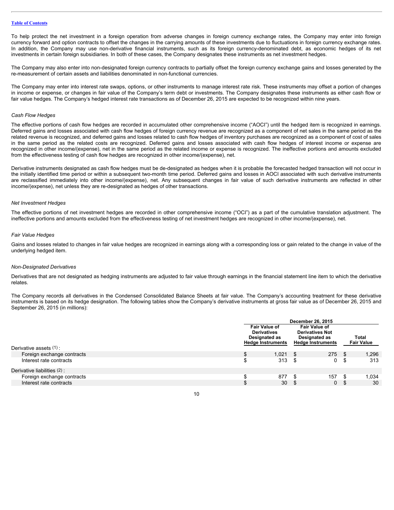Table of Contents<br>To help protect the net investment in a foreign operation from adverse changes in foreign currency exchange rates, the Company may enter into foreign<br>currency forward and option contracts to offset the ch currency forward and option contracts to offset the changes in the carrying amounts of these investments due to fluctuations in foreign currency exchange rates. Table of Contents<br>
To help protect the net investment in a foreign operation from adverse changes in foreign currency exchange rates, the Company may enter into foreign<br>
In cadition, the Company may use non-derivative fina investments in certain foreign subsidiaries. In both of these cases, the Company designates these instruments as net investment hedges.

The Company may also enter into non-designated foreign currency contracts to partially offset the foreign currency exchange gains and losses generated by the re-measurement of certain assets and liabilities denominated in non-functional currencies.

The Company may enter into interest rate swaps, options, or other instruments to manage interest rate risk. These instruments may offset a portion of changes in income or expense, or changes in fair value of the Company's term debt or investments. The Company designates these instruments as either cash flow or fair value hedges. The Company's hedged interest rate transactions as of December 26, 2015 are expected to be recognized within nine years.

# *Cash Flow Hedges*

The effective portions of cash flow hedges are recorded in accumulated other comprehensive income ("AOCI") until the hedged item is recognized in earnings. Deferred gains and losses associated with cash flow hedges of foreign currency revenue are recognized as a component of net sales in the same period as the related revenue is recognized, and deferred gains and losses related to cash flow hedges of inventory purchases are recognized as a component of cost of sales Tuble of Centrate<br>To help persect the net investment in a foreign operation from adverse changes in foreign currency exchange rates, the Company may enter into foreign<br>To record from the someony may use non-derivative fira recognized in other income/(expense), net in the same period as the related income or expense is recognized. The ineffective portions and amounts excluded from the effectiveness testing of cash flow hedges are recognized in other income/(expense), net. Take if Centrats<br>Take if Centration are investment in a foreign operation from adverse changes in foreign currency exchange rates, the Company may enter into foreign<br>To reclame the originary may use not-derivative instrume

Derivative instruments designated as cash flow hedges must be de-designated as hedges when it is probable the forecasted hedged transaction will not occur in the initially identified time period or within a subsequent two-month time period. Deferred gains and losses in AOCI associated with such derivative instruments income/(expense), net unless they are re-designated as hedges of other transactions.

#### *Net Investment Hedges*

The effective portions of net investment hedges are recorded in other comprehensive income ("OCI") as a part of the cumulative translation adjustment. The ineffective portions and amounts excluded from the effectiveness testing of net investment hedges are recognized in other income/(expense), net.

# *Fair Value Hedges*

Gains and losses related to changes in fair value hedges are recognized in earnings along with a corresponding loss or gain related to the change in value of the underlying hedged item.

#### *Non-Designated Derivatives*

Derivatives that are not designated as hedging instruments are adjusted to fair value through earnings in the financial statement line item to which the derivative relates.

The Company records all derivatives in the Condensed Consolidated Balance Sheets at fair value. The Company's accounting treatment for these derivative instruments is based on its hedge designation. The following tables show the Company's derivative instruments at gross fair value as of December 26, 2015 and September 26, 2015 (in millions):

|                             |    | December 26, 2015                                                                       |                 |                                                                                             |                |                                   |                 |  |  |
|-----------------------------|----|-----------------------------------------------------------------------------------------|-----------------|---------------------------------------------------------------------------------------------|----------------|-----------------------------------|-----------------|--|--|
|                             |    | <b>Fair Value of</b><br><b>Derivatives</b><br>Designated as<br><b>Hedge Instruments</b> |                 | <b>Fair Value of</b><br><b>Derivatives Not</b><br>Designated as<br><b>Hedge Instruments</b> |                | <b>Total</b><br><b>Fair Value</b> |                 |  |  |
| Derivative assets (1):      |    |                                                                                         |                 |                                                                                             |                |                                   |                 |  |  |
| Foreign exchange contracts  |    |                                                                                         | $1,021$ \$      |                                                                                             | $275$ \$       |                                   | 1,296           |  |  |
| Interest rate contracts     |    |                                                                                         | 313S            |                                                                                             | 0 <sup>5</sup> |                                   | 313             |  |  |
| Derivative liabilities (2): |    |                                                                                         |                 |                                                                                             |                |                                   |                 |  |  |
| Foreign exchange contracts  |    |                                                                                         | 877 \$          |                                                                                             | 157            | - \$                              | 1,034           |  |  |
| Interest rate contracts     |    | æ                                                                                       | 30 <sup>5</sup> |                                                                                             | 0 <sup>5</sup> |                                   | 30 <sup>°</sup> |  |  |
|                             | 10 |                                                                                         |                 |                                                                                             |                |                                   |                 |  |  |

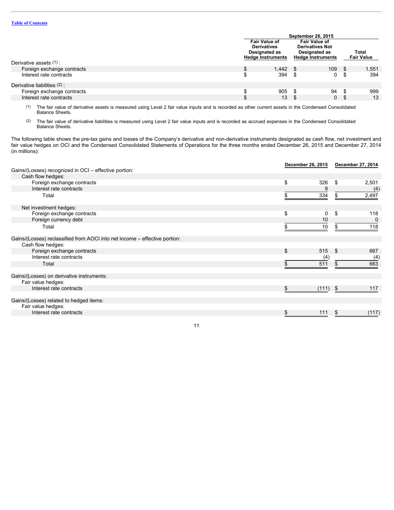|                             | <b>September 26, 2015</b>                                                               |                 |                                                                                             |              |                            |       |  |  |  |  |
|-----------------------------|-----------------------------------------------------------------------------------------|-----------------|---------------------------------------------------------------------------------------------|--------------|----------------------------|-------|--|--|--|--|
|                             | <b>Fair Value of</b><br><b>Derivatives</b><br>Designated as<br><b>Hedge Instruments</b> |                 | <b>Fair Value of</b><br><b>Derivatives Not</b><br>Designated as<br><b>Hedge Instruments</b> |              | Total<br><b>Fair Value</b> |       |  |  |  |  |
| Derivative assets (1):      |                                                                                         |                 |                                                                                             |              |                            |       |  |  |  |  |
| Foreign exchange contracts  |                                                                                         | $1,442$ \$      |                                                                                             | 109          | S                          | 1,551 |  |  |  |  |
| Interest rate contracts     | ۰D                                                                                      | $394$ \$        |                                                                                             | 0            |                            | 394   |  |  |  |  |
| Derivative liabilities (2): |                                                                                         |                 |                                                                                             |              |                            |       |  |  |  |  |
| Foreign exchange contracts  |                                                                                         | 905 \$          |                                                                                             | 94           | - \$                       | 999   |  |  |  |  |
| Interest rate contracts     |                                                                                         | 13 <sup>2</sup> |                                                                                             | $\mathbf{0}$ |                            | 13    |  |  |  |  |

(1) The fair value of derivative assets is measured using Level 2 fair value inputs and is recorded as other current assets in the Condensed Consolidated Balance Sheets.

(2) The fair value of derivative liabilities is measured using Level 2 fair value inputs and is recorded as accrued expenses in the Condensed Consolidated Balance Sheets.

The following table shows the pre-tax gains and losses of the Company's derivative and non-derivative instruments designated as cash flow, net investment and fair value hedges on OCI and the Condensed Consolidated Statements of Operations for the three months ended December 26, 2015 and December 27, 2014 (in millions):

|                                                                            | December 26, 2015 | December 27, 2014 |
|----------------------------------------------------------------------------|-------------------|-------------------|
| Gains/(Losses) recognized in OCI - effective portion:                      |                   |                   |
| Cash flow hedges:                                                          |                   |                   |
| Foreign exchange contracts                                                 | 326<br>\$         | 2,501<br>- \$     |
| Interest rate contracts                                                    | 8                 | (4)               |
| Total                                                                      | 334               | 2,497             |
| Net investment hedges:                                                     |                   |                   |
| Foreign exchange contracts                                                 | \$<br>0           | 118<br>- \$       |
| Foreign currency debt                                                      | 10                |                   |
| Total                                                                      | 10                | 118               |
| Gains/(Losses) reclassified from AOCI into net income - effective portion: |                   |                   |
| Cash flow hedges:                                                          |                   |                   |
| Foreign exchange contracts                                                 | 515<br>\$         | 667<br>- \$       |
| Interest rate contracts                                                    | (4)               | (4)               |
| Total                                                                      | 511               | 663               |
|                                                                            |                   |                   |
| Gains/(Losses) on derivative instruments:                                  |                   |                   |
| Fair value hedges:                                                         |                   |                   |
| Interest rate contracts                                                    | (111)             | 117               |
| Gains/(Losses) related to hedged items:                                    |                   |                   |
| Fair value hedges:                                                         |                   |                   |
| Interest rate contracts                                                    | 111               |                   |
|                                                                            |                   |                   |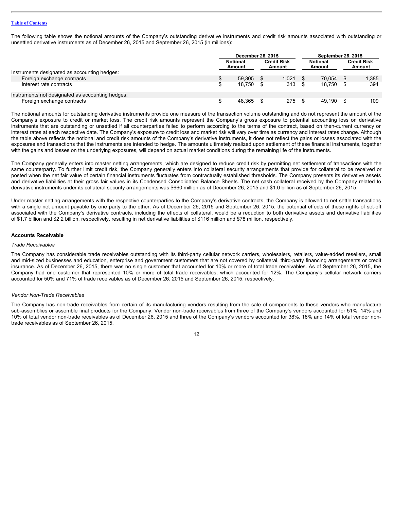| <b>Table of Contents</b><br>unsettled derivative instruments as of December 26, 2015 and September 26, 2015 (in millions):<br>December 26, 2015<br>September 26, 2015<br><b>Credit Risk</b><br><b>Notional</b><br><b>Notional</b><br>Amount<br>Amount<br>Amount<br>Instruments designated as accounting hedges:<br>Foreign exchange contracts<br>70,054 \$<br>59.305 \$<br>$1.021$ \$<br>18.750 \$<br>313S<br>18.750 \$<br>Interest rate contracts<br>Instruments not designated as accounting hedges:<br>48,365 \$<br>275S<br>49.190 \$<br>Foreign exchange contracts<br>\$                                                                                                                                                                                                                                                         |  |  |  |
|--------------------------------------------------------------------------------------------------------------------------------------------------------------------------------------------------------------------------------------------------------------------------------------------------------------------------------------------------------------------------------------------------------------------------------------------------------------------------------------------------------------------------------------------------------------------------------------------------------------------------------------------------------------------------------------------------------------------------------------------------------------------------------------------------------------------------------------|--|--|--|
| <b>Credit Risk</b><br>Amount                                                                                                                                                                                                                                                                                                                                                                                                                                                                                                                                                                                                                                                                                                                                                                                                         |  |  |  |
|                                                                                                                                                                                                                                                                                                                                                                                                                                                                                                                                                                                                                                                                                                                                                                                                                                      |  |  |  |
|                                                                                                                                                                                                                                                                                                                                                                                                                                                                                                                                                                                                                                                                                                                                                                                                                                      |  |  |  |
|                                                                                                                                                                                                                                                                                                                                                                                                                                                                                                                                                                                                                                                                                                                                                                                                                                      |  |  |  |
|                                                                                                                                                                                                                                                                                                                                                                                                                                                                                                                                                                                                                                                                                                                                                                                                                                      |  |  |  |
|                                                                                                                                                                                                                                                                                                                                                                                                                                                                                                                                                                                                                                                                                                                                                                                                                                      |  |  |  |
| The following table shows the notional amounts of the Company's outstanding derivative instruments and credit risk amounts associated with outstanding or<br>1,385<br>394<br>109                                                                                                                                                                                                                                                                                                                                                                                                                                                                                                                                                                                                                                                     |  |  |  |
|                                                                                                                                                                                                                                                                                                                                                                                                                                                                                                                                                                                                                                                                                                                                                                                                                                      |  |  |  |
|                                                                                                                                                                                                                                                                                                                                                                                                                                                                                                                                                                                                                                                                                                                                                                                                                                      |  |  |  |
|                                                                                                                                                                                                                                                                                                                                                                                                                                                                                                                                                                                                                                                                                                                                                                                                                                      |  |  |  |
|                                                                                                                                                                                                                                                                                                                                                                                                                                                                                                                                                                                                                                                                                                                                                                                                                                      |  |  |  |
|                                                                                                                                                                                                                                                                                                                                                                                                                                                                                                                                                                                                                                                                                                                                                                                                                                      |  |  |  |
|                                                                                                                                                                                                                                                                                                                                                                                                                                                                                                                                                                                                                                                                                                                                                                                                                                      |  |  |  |
|                                                                                                                                                                                                                                                                                                                                                                                                                                                                                                                                                                                                                                                                                                                                                                                                                                      |  |  |  |
|                                                                                                                                                                                                                                                                                                                                                                                                                                                                                                                                                                                                                                                                                                                                                                                                                                      |  |  |  |
|                                                                                                                                                                                                                                                                                                                                                                                                                                                                                                                                                                                                                                                                                                                                                                                                                                      |  |  |  |
|                                                                                                                                                                                                                                                                                                                                                                                                                                                                                                                                                                                                                                                                                                                                                                                                                                      |  |  |  |
|                                                                                                                                                                                                                                                                                                                                                                                                                                                                                                                                                                                                                                                                                                                                                                                                                                      |  |  |  |
|                                                                                                                                                                                                                                                                                                                                                                                                                                                                                                                                                                                                                                                                                                                                                                                                                                      |  |  |  |
|                                                                                                                                                                                                                                                                                                                                                                                                                                                                                                                                                                                                                                                                                                                                                                                                                                      |  |  |  |
|                                                                                                                                                                                                                                                                                                                                                                                                                                                                                                                                                                                                                                                                                                                                                                                                                                      |  |  |  |
|                                                                                                                                                                                                                                                                                                                                                                                                                                                                                                                                                                                                                                                                                                                                                                                                                                      |  |  |  |
|                                                                                                                                                                                                                                                                                                                                                                                                                                                                                                                                                                                                                                                                                                                                                                                                                                      |  |  |  |
|                                                                                                                                                                                                                                                                                                                                                                                                                                                                                                                                                                                                                                                                                                                                                                                                                                      |  |  |  |
|                                                                                                                                                                                                                                                                                                                                                                                                                                                                                                                                                                                                                                                                                                                                                                                                                                      |  |  |  |
|                                                                                                                                                                                                                                                                                                                                                                                                                                                                                                                                                                                                                                                                                                                                                                                                                                      |  |  |  |
|                                                                                                                                                                                                                                                                                                                                                                                                                                                                                                                                                                                                                                                                                                                                                                                                                                      |  |  |  |
|                                                                                                                                                                                                                                                                                                                                                                                                                                                                                                                                                                                                                                                                                                                                                                                                                                      |  |  |  |
| The notional amounts for outstanding derivative instruments provide one measure of the transaction volume outstanding and do not represent the amount of the<br>Company's exposure to credit or market loss. The credit risk amounts represent the Company's gross exposure to potential accounting loss on derivative<br>instruments that are outstanding or unsettled if all counterparties failed to perform according to the terms of the contract, based on then-current currency or<br>interest rates at each respective date. The Company's exposure to credit loss and market risk will vary over time as currency and interest rates change. Although<br>the table above reflects the notional and credit risk amounts of the Company's derivative instruments, it does not reflect the gains or losses associated with the |  |  |  |
| exposures and transactions that the instruments are intended to hedge. The amounts ultimately realized upon settlement of these financial instruments, together<br>with the gains and losses on the underlying exposures, will depend on actual market conditions during the remaining life of the instruments.                                                                                                                                                                                                                                                                                                                                                                                                                                                                                                                      |  |  |  |

The notional amounts for outstanding derivative instruments provide one measure of the transaction volume outstanding and do not represent the amount of the instruments that are outstanding or unsettled if all counterparties failed to perform according to the terms of the contract, based on then-current currency or interest rates at each respective date. The Company's exposure to credit loss and market risk will vary over time as currency and interest rates change. Although the table above reflects the notional and credit risk amounts of the Company's derivative instruments, it does not reflect the gains or losses associated with the exposures and transactions that the instruments are intended to hedge. The amounts ultimately realized upon settlement of these financial instruments, together with the gains and losses on the underlying exposures, will depend on actual market conditions during the remaining life of the instruments. Foreign continuous company in the customer that represented 10% or more of the company and a set of total trade receivables in the customer that response the company is a set of the company for the company for the company

The Company generally enters into master netting arrangements, which are designed to reduce credit risk by permitting net settlement of transactions with the same counterparty. To further limit credit risk, the Company generally enters into collateral security arrangements that provide for collateral to be received or posted when the net fair value of certain financial instruments fluctuates from contractually established thresholds. The Company presents its derivative assets and derivative liabilities at their gross fair values in its Condensed Consolidated Balance Sheets. The net cash collateral received by the Company related to derivative instruments under its collateral security arrangements was \$660 million as of December 26, 2015 and \$1.0 billion as of September 26, 2015.

Under master netting arrangements with the respective counterparties to the Company's derivative contracts, the Company is allowed to net settle transactions with a single net amount payable by one party to the other. As of December 26, 2015 and September 26, 2015, the potential effects of these rights of set-off associated with the Company's derivative contracts, including the effects of collateral, would be a reduction to both derivative assets and derivative liabilities of \$1.7 billion and \$2.2 billion, respectively, resulting in net derivative liabilities of \$116 million and \$78 million, respectively.

#### **Accounts Receivable**

#### *Trade Receivables*

The Company has considerable trade receivables outstanding with its third-party cellular network carriers, wholesalers, retailers, value-added resellers, small and mid-sized businesses and education, enterprise and government customers that are not covered by collateral, third-party financing arrangements or credit insurance. As of December 26, 2015, there was no single customer that accounted for 10% or more of total trade receivables. As of September 26, 2015, the Company's cellular network carriers accounted for 50% and 71% of trade receivables as of December 26, 2015 and September 26, 2015, respectively.

#### *Vendor Non-Trade Receivables*

The Company has non-trade receivables from certain of its manufacturing vendors resulting from the sale of components to these vendors who manufacture sub-assemblies or assemble final products for the Company. Vendor non-trade receivables from three of the Company's vendors accounted for 51%, 14% and 10% of total vendor non-trade receivables as of December 26, 2015 and three of the Company's vendors accounted for 38%, 18% and 14% of total vendor nontrade receivables as of September 26, 2015.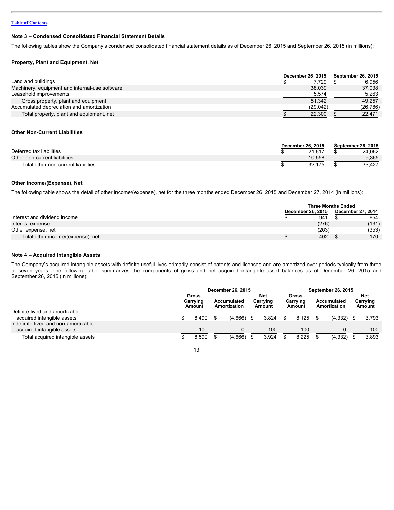# **Note 3 – Condensed Consolidated Financial Statement Details**

The following tables show the Company's condensed consolidated financial statement details as of December 26, 2015 and September 26, 2015 (in millions):

# **Property, Plant and Equipment, Net**

|                                                                                                                                                                                                                                                                                                                                                         |                                                                                         | December 26, 2015                  | September 26, 2015                                       |
|---------------------------------------------------------------------------------------------------------------------------------------------------------------------------------------------------------------------------------------------------------------------------------------------------------------------------------------------------------|-----------------------------------------------------------------------------------------|------------------------------------|----------------------------------------------------------|
| Land and buildings                                                                                                                                                                                                                                                                                                                                      |                                                                                         | 7.729                              | \$<br>6,956                                              |
| Machinery, equipment and internal-use software                                                                                                                                                                                                                                                                                                          |                                                                                         | 38,039                             | 37,038                                                   |
| Leasehold improvements                                                                                                                                                                                                                                                                                                                                  |                                                                                         | 5,574                              | 5,263                                                    |
| Gross property, plant and equipment                                                                                                                                                                                                                                                                                                                     |                                                                                         | 51,342                             | 49,257                                                   |
| Accumulated depreciation and amortization                                                                                                                                                                                                                                                                                                               |                                                                                         | (29, 042)                          | (26, 786)                                                |
| Total property, plant and equipment, net                                                                                                                                                                                                                                                                                                                |                                                                                         | 22,300                             | 22,471<br>-SS                                            |
| <b>Other Non-Current Liabilities</b>                                                                                                                                                                                                                                                                                                                    |                                                                                         |                                    |                                                          |
| Deferred tax liabilities                                                                                                                                                                                                                                                                                                                                |                                                                                         | December 26, 2015<br>21,617        | September 26, 2015<br>24,062<br>\$                       |
| Other non-current liabilities                                                                                                                                                                                                                                                                                                                           |                                                                                         | 10,558                             | 9,365                                                    |
| Total other non-current liabilities                                                                                                                                                                                                                                                                                                                     |                                                                                         | 32,175                             | 33,427                                                   |
| Other Income/(Expense), Net                                                                                                                                                                                                                                                                                                                             |                                                                                         |                                    |                                                          |
| The following table shows the detail of other income/(expense), net for the three months ended December 26, 2015 and December 27, 2014 (in millions):                                                                                                                                                                                                   |                                                                                         |                                    |                                                          |
|                                                                                                                                                                                                                                                                                                                                                         |                                                                                         |                                    | <b>Three Months Ended</b>                                |
|                                                                                                                                                                                                                                                                                                                                                         |                                                                                         | December 26, 2015                  | December 27, 2014                                        |
| Interest and dividend income                                                                                                                                                                                                                                                                                                                            |                                                                                         | 941                                | \$<br>654                                                |
| Interest expense                                                                                                                                                                                                                                                                                                                                        |                                                                                         | (276)                              | (131)                                                    |
| Other expense, net                                                                                                                                                                                                                                                                                                                                      |                                                                                         | (263)                              | (353)                                                    |
| Total other income/(expense), net                                                                                                                                                                                                                                                                                                                       |                                                                                         | 402                                | 170<br>\$                                                |
| Note 4 - Acquired Intangible Assets                                                                                                                                                                                                                                                                                                                     |                                                                                         |                                    |                                                          |
| The Company's acquired intangible assets with definite useful lives primarily consist of patents and licenses and are amortized over periods typically from three<br>to seven years. The following table summarizes the components of gross and net acquired intangible asset balances as of December 26, 2015 and<br>September 26, 2015 (in millions): |                                                                                         |                                    |                                                          |
|                                                                                                                                                                                                                                                                                                                                                         | December 26, 2015                                                                       |                                    | <b>September 26, 2015</b>                                |
|                                                                                                                                                                                                                                                                                                                                                         | Net<br>Gross<br>Carrying<br>Carrying<br>Accumulated<br>Amount<br>Amortization<br>Amount | <b>Gross</b><br>Carrying<br>Amount | Net<br>Carrying<br>Accumulated<br>Amortization<br>Amount |
| Definite-lived and amortizable<br>acquired intangible assets                                                                                                                                                                                                                                                                                            | S.<br>8.490 S                                                                           | $(4666)$ \$ 3.824 \$ 8.125 \$      | $(4.332)$ \$<br>3 793                                    |

# **Other Non-Current Liabilities**

|        |                   | <b>September 26, 2015</b> |
|--------|-------------------|---------------------------|
| 21.617 |                   | 24,062                    |
| 10,558 |                   | 9,365                     |
| 32,175 |                   | 33,427                    |
|        | December 26, 2015 |                           |

# **Other Income/(Expense), Net**

|                                   |  | <b>Three Months Ended</b> |  |                   |
|-----------------------------------|--|---------------------------|--|-------------------|
|                                   |  | December 26, 2015         |  | December 27, 2014 |
| Interest and dividend income      |  | 941                       |  | 654               |
| Interest expense                  |  | (276)                     |  | (131)             |
| Other expense, net                |  | (263)                     |  | (353)             |
| Total other income/(expense), net |  | 402                       |  | 170               |

# **Note 4 – Acquired Intangible Assets**

|                                                                    |                             | December 26, 2015           |                                  |                             | <b>September 26, 2015</b>   |                                  |
|--------------------------------------------------------------------|-----------------------------|-----------------------------|----------------------------------|-----------------------------|-----------------------------|----------------------------------|
|                                                                    | Gross<br>Carrying<br>Amount | Accumulated<br>Amortization | <b>Net</b><br>Carrying<br>Amount | Gross<br>Carrying<br>Amount | Accumulated<br>Amortization | <b>Net</b><br>Carrying<br>Amount |
| Definite-lived and amortizable<br>acquired intangible assets       | 8.490                       | (4.666) \$                  | 3,824                            | $8,125$ \$                  | (4, 332)                    | 3,793                            |
| Indefinite-lived and non-amortizable<br>acquired intangible assets | 100                         |                             | 100                              | 100                         |                             | 100                              |
| Total acquired intangible assets                                   | 8,590                       | (4,666)                     | 3,924                            | 8,225                       | (4,332)                     | 3,893                            |

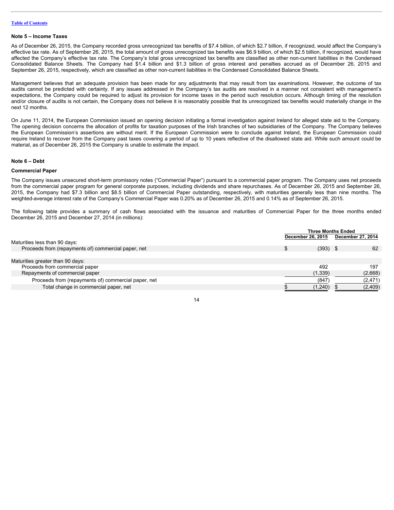# **Note 5 – Income Taxes**

Table of Contents<br>Note 5 – Income Taxes<br>As of December 26, 2015, the Company recorded gross unrecognized tax benefits of \$7.4 billion, of which \$2.7 billion, if recognized, would affect the Company's<br>effective tax rate. As Table of Contents<br>Note 5 – Income Taxes<br>As of December 26, 2015, the Company recorded gross unrecognized tax benefits of \$7.4 billion, of which \$2,7 billion, if recognized, would affect the Company's<br>effective that an 8 of Table of Contents<br>Note 5 – Income Taxes<br>As of December 26, 2015, the Company recorded gross unrecognized tax benefits of \$7.4 billion, of which \$2.7 billion, if recognized, would affect the Company's<br>effected that cale. As expectations, the Company could be required to adjust its provision for income taxes in the period such resolution occurs. Although timing of the resolution and/or closure of audits is not certain, the Company does not believe it is reasonably possible that its unrecognized tax benefits would materially change in the next 12 months.

On June 11, 2014, the European Commission issued an opening decision initiating a formal investigation against Ireland for alleged state aid to the Company. The opening decision concerns the allocation of profits for taxation purposes of the Irish branches of two subsidiaries of the Company. The Company believes Table of Contents<br>Note 5 – Income Taxes.<br>As of December 25, 2015, the Company recorded gross unrecognized tax benefits of \$7.4 billion, of which \$2.7 billion, if recognized, would affect the Company's<br>affected the Company' require Ireland to recover from the Company past taxes covering a period of up to 10 years reflective of the disallowed state aid. While such amount could be material, as of December 26, 2015 the Company is unable to estimate the impact. Table of Cameras<br>
2016 of S- freemer Taxes<br>
As of Cocomber 28, 2015, the Company recorded gross uneccopiezed tax benefits of \$7.4 billion, of which \$2.7 billion, if recognized, would affect the Company's<br>
affective tax res

# **Note 6 – Debt**

## **Commercial Paper**

| <b>Table of Contents</b>                                                                                                                                                                                                                                                                                                                                                                                                                                                                                                                                                                                                                                                                                                                                                                                    |                          |                           |                    |
|-------------------------------------------------------------------------------------------------------------------------------------------------------------------------------------------------------------------------------------------------------------------------------------------------------------------------------------------------------------------------------------------------------------------------------------------------------------------------------------------------------------------------------------------------------------------------------------------------------------------------------------------------------------------------------------------------------------------------------------------------------------------------------------------------------------|--------------------------|---------------------------|--------------------|
| Note 5 - Income Taxes                                                                                                                                                                                                                                                                                                                                                                                                                                                                                                                                                                                                                                                                                                                                                                                       |                          |                           |                    |
| As of December 26, 2015, the Company recorded gross unrecognized tax benefits of \$7.4 billion, of which \$2.7 billion, if recognized, would affect the Company's<br>effective tax rate. As of September 26, 2015, the total amount of gross unrecognized tax benefits was \$6.9 billion, of which \$2.5 billion, if recognized, would have<br>affected the Company's effective tax rate. The Company's total gross unrecognized tax benefits are classified as other non-current liabilities in the Condensed<br>Consolidated Balance Sheets. The Company had \$1.4 billion and \$1.3 billion of gross interest and penalties accrued as of December 26, 2015 and<br>September 26, 2015, respectively, which are classified as other non-current liabilities in the Condensed Consolidated Balance Sheets. |                          |                           |                    |
| Management believes that an adequate provision has been made for any adjustments that may result from tax examinations. However, the outcome of tax<br>audits cannot be predicted with certainty. If any issues addressed in the Company's tax audits are resolved in a manner not consistent with management's<br>expectations, the Company could be required to adjust its provision for income taxes in the period such resolution occurs. Although timing of the resolution<br>and/or closure of audits is not certain, the Company does not believe it is reasonably possible that its unrecognized tax benefits would materially change in the<br>next 12 months.                                                                                                                                     |                          |                           |                    |
| On June 11, 2014, the European Commission issued an opening decision initiating a formal investigation against Ireland for alleged state aid to the Company.<br>The opening decision concerns the allocation of profits for taxation purposes of the Irish branches of two subsidiaries of the Company. The Company believes<br>the European Commission's assertions are without merit. If the European Commission were to conclude against Ireland, the European Commission could<br>require Ireland to recover from the Company past taxes covering a period of up to 10 years reflective of the disallowed state aid. While such amount could be<br>material, as of December 26, 2015 the Company is unable to estimate the impact.                                                                      |                          |                           |                    |
| Note 6 - Debt                                                                                                                                                                                                                                                                                                                                                                                                                                                                                                                                                                                                                                                                                                                                                                                               |                          |                           |                    |
| <b>Commercial Paper</b>                                                                                                                                                                                                                                                                                                                                                                                                                                                                                                                                                                                                                                                                                                                                                                                     |                          |                           |                    |
| The Company issues unsecured short-term promissory notes ("Commercial Paper") pursuant to a commercial paper program. The Company uses net proceeds<br>from the commercial paper program for general corporate purposes, including dividends and share repurchases. As of December 26, 2015 and September 26,<br>2015, the Company had \$7.3 billion and \$8.5 billion of Commercial Paper outstanding, respectively, with maturities generally less than nine months. The<br>weighted-average interest rate of the Company's Commercial Paper was 0.20% as of December 26, 2015 and 0.14% as of September 26, 2015.                                                                                                                                                                                        |                          |                           |                    |
| The following table provides a summary of cash flows associated with the issuance and maturities of Commercial Paper for the three months ended<br>December 26, 2015 and December 27, 2014 (in millions):                                                                                                                                                                                                                                                                                                                                                                                                                                                                                                                                                                                                   |                          |                           |                    |
|                                                                                                                                                                                                                                                                                                                                                                                                                                                                                                                                                                                                                                                                                                                                                                                                             |                          | <b>Three Months Ended</b> |                    |
|                                                                                                                                                                                                                                                                                                                                                                                                                                                                                                                                                                                                                                                                                                                                                                                                             | <b>December 26, 2015</b> | <b>December 27, 2014</b>  |                    |
| Maturities less than 90 days:<br>Proceeds from (repayments of) commercial paper, net                                                                                                                                                                                                                                                                                                                                                                                                                                                                                                                                                                                                                                                                                                                        | $(393)$ \$<br>\$         |                           | 62                 |
|                                                                                                                                                                                                                                                                                                                                                                                                                                                                                                                                                                                                                                                                                                                                                                                                             |                          |                           |                    |
| Maturities greater than 90 days:                                                                                                                                                                                                                                                                                                                                                                                                                                                                                                                                                                                                                                                                                                                                                                            |                          |                           |                    |
| Proceeds from commercial paper                                                                                                                                                                                                                                                                                                                                                                                                                                                                                                                                                                                                                                                                                                                                                                              | 492                      |                           | 197                |
| Repayments of commercial paper                                                                                                                                                                                                                                                                                                                                                                                                                                                                                                                                                                                                                                                                                                                                                                              | (1, 339)                 |                           | (2,668)            |
| Proceeds from (repayments of) commercial paper, net<br>Total change in commercial paper, net                                                                                                                                                                                                                                                                                                                                                                                                                                                                                                                                                                                                                                                                                                                | (847)<br>(1,240)         |                           | (2,471)<br>(2,409) |
|                                                                                                                                                                                                                                                                                                                                                                                                                                                                                                                                                                                                                                                                                                                                                                                                             |                          |                           |                    |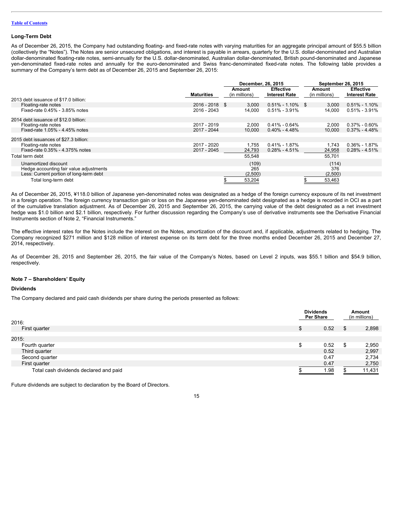# **Long-Term Debt**

| <b>Table of Contents</b>                                                                                                                                                                                                                                                                                                                                                                                                                                                                                                                                                                                                                                                                                                                             |                                 |                         |                                           |                         |                                          |
|------------------------------------------------------------------------------------------------------------------------------------------------------------------------------------------------------------------------------------------------------------------------------------------------------------------------------------------------------------------------------------------------------------------------------------------------------------------------------------------------------------------------------------------------------------------------------------------------------------------------------------------------------------------------------------------------------------------------------------------------------|---------------------------------|-------------------------|-------------------------------------------|-------------------------|------------------------------------------|
| Long-Term Debt                                                                                                                                                                                                                                                                                                                                                                                                                                                                                                                                                                                                                                                                                                                                       |                                 |                         |                                           |                         |                                          |
| As of December 26, 2015, the Company had outstanding floating- and fixed-rate notes with varying maturities for an aggregate principal amount of \$55.5 billion<br>(collectively the "Notes"). The Notes are senior unsecured obligations, and interest is payable in arrears, quarterly for the U.S. dollar-denominated and Australian<br>dollar-denominated floating-rate notes, semi-annually for the U.S. dollar-denominated, Australian dollar-denominated, British pound-denominated and Japanese<br>yen-denominated fixed-rate notes and annually for the euro-denominated and Swiss franc-denominated fixed-rate notes. The following table provides a<br>summary of the Company's term debt as of December 26, 2015 and September 26, 2015: |                                 |                         |                                           |                         |                                          |
|                                                                                                                                                                                                                                                                                                                                                                                                                                                                                                                                                                                                                                                                                                                                                      |                                 | December, 26, 2015      |                                           | September 26, 2015      |                                          |
|                                                                                                                                                                                                                                                                                                                                                                                                                                                                                                                                                                                                                                                                                                                                                      | <b>Maturities</b>               | Amount<br>(in millions) | <b>Effective</b><br><b>Interest Rate</b>  | Amount<br>(in millions) | <b>Effective</b><br><b>Interest Rate</b> |
| 2013 debt issuance of \$17.0 billion:<br>Floating-rate notes<br>Fixed-rate 0.45% - 3.85% notes                                                                                                                                                                                                                                                                                                                                                                                                                                                                                                                                                                                                                                                       | $2016 - 2018$ \$<br>2016 - 2043 | 3,000<br>14,000         | $0.51\% - 1.10\%$ \$<br>$0.51\% - 3.91\%$ | 3,000<br>14.000         | $0.51\% - 1.10\%$<br>$0.51\%$ - $3.91\%$ |
| 2014 debt issuance of \$12.0 billion:<br>Floating-rate notes                                                                                                                                                                                                                                                                                                                                                                                                                                                                                                                                                                                                                                                                                         | 2017 - 2019                     | 2.000                   | $0.41\% - 0.64\%$                         | 2.000                   | $0.37\%$ - $0.60\%$                      |
| Fixed-rate 1.05% - 4.45% notes<br>2015 debt issuances of \$27.3 billion:                                                                                                                                                                                                                                                                                                                                                                                                                                                                                                                                                                                                                                                                             | 2017 - 2044                     | 10.000                  | $0.40\% - 4.48\%$                         | 10.000                  | $0.37\% - 4.48\%$                        |
| Floating-rate notes<br>Fixed-rate 0.35% - 4.375% notes                                                                                                                                                                                                                                                                                                                                                                                                                                                                                                                                                                                                                                                                                               | 2017 - 2020<br>2017 - 2045      | 1,755<br>24,793         | $0.41\% - 1.87\%$<br>$0.28\% - 4.51\%$    | 1.743<br>24,958         | $0.36\% - 1.87\%$<br>$0.28\% - 4.51\%$   |
| Total term debt<br>Unamortized discount                                                                                                                                                                                                                                                                                                                                                                                                                                                                                                                                                                                                                                                                                                              |                                 | 55,548<br>(109)         |                                           | 55,701<br>(114)         |                                          |
|                                                                                                                                                                                                                                                                                                                                                                                                                                                                                                                                                                                                                                                                                                                                                      |                                 | 265                     |                                           | 376<br>(2,500)          |                                          |
| Hedge accounting fair value adjustments                                                                                                                                                                                                                                                                                                                                                                                                                                                                                                                                                                                                                                                                                                              |                                 |                         |                                           |                         |                                          |
| Less: Current portion of long-term debt<br>Total long-term debt                                                                                                                                                                                                                                                                                                                                                                                                                                                                                                                                                                                                                                                                                      |                                 | (2,500)<br>53,204       |                                           | 53,463                  |                                          |
| As of December 26, 2015, ¥118.0 billion of Japanese yen-denominated notes was designated as a hedge of the foreign currency exposure of its net investment<br>in a foreign operation. The foreign currency transaction gain or loss on the Japanese yen-denominated debt designated as a hedge is recorded in OCI as a part<br>of the cumulative translation adjustment. As of December 26, 2015 and September 26, 2015, the carrying value of the debt designated as a net investment<br>hedge was \$1.0 billion and \$2.1 billion, respectively. For further discussion regarding the Company's use of derivative instruments see the Derivative Financial<br>Instruments section of Note 2, "Financial Instruments."                              |                                 |                         |                                           |                         |                                          |
| The effective interest rates for the Notes include the interest on the Notes, amortization of the discount and, if applicable, adjustments related to hedging. The<br>Company recognized \$271 million and \$128 million of interest expense on its term debt for the three months ended December 26, 2015 and December 27,<br>2014, respectively.                                                                                                                                                                                                                                                                                                                                                                                                   |                                 |                         |                                           |                         |                                          |
| As of December 26, 2015 and September 26, 2015, the fair value of the Company's Notes, based on Level 2 inputs, was \$55.1 billion and \$54.9 billion,<br>respectively.                                                                                                                                                                                                                                                                                                                                                                                                                                                                                                                                                                              |                                 |                         |                                           |                         |                                          |
| Note 7 - Shareholders' Equity                                                                                                                                                                                                                                                                                                                                                                                                                                                                                                                                                                                                                                                                                                                        |                                 |                         |                                           |                         |                                          |
| <b>Dividends</b>                                                                                                                                                                                                                                                                                                                                                                                                                                                                                                                                                                                                                                                                                                                                     |                                 |                         |                                           |                         |                                          |

# **Note 7 – Shareholders' Equity**

# **Dividends**

| 2016:                                  | <b>Dividends</b><br>Per Share | Amount<br>(in millions) |
|----------------------------------------|-------------------------------|-------------------------|
| First quarter                          | 0.52                          | 2,898                   |
| 2015:                                  |                               |                         |
| Fourth quarter                         | 0.52                          | 2,950                   |
| Third quarter                          | 0.52                          | 2,997                   |
| Second quarter                         | 0.47                          | 2,734                   |
| First quarter                          | 0.47                          | 2,750                   |
| Total cash dividends declared and paid | 1.98                          | 11,431                  |

Future dividends are subject to declaration by the Board of Directors.

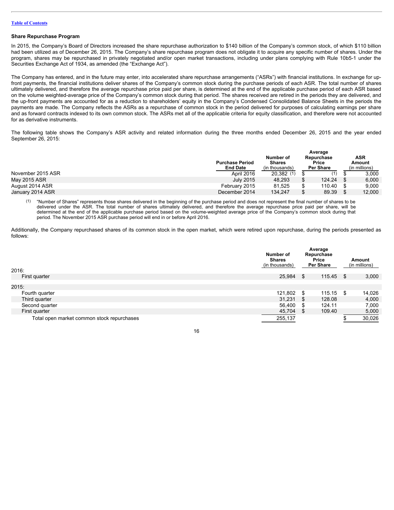# **Share Repurchase Program**

In 2015, the Company's Board of Directors increased the share repurchase authorization to \$140 billion of the Company's common stock, of which \$110 billion had been utilized as of December 26, 2015. The Company's share repurchase program does not obligate it to acquire any specific number of shares. Under the program, shares may be repurchased in privately negotiated and/or o Securities Exchange Act of 1934, as amended (the "Exchange Act").

Table of Contents<br>In 2015, the Company's Board of Directors increased the share repurchase authorization to \$140 billion of the Company's common stock, of which \$110 billion<br>had been utilized as of December 26, 2015. The C The Company has entered, and in the future may enter, into accelerated share repurchase arrangements ("ASRs") with financial institutions. In exchange for upfront payments, the financial institutions deliver shares of the Company's common stock during the purchase periods of each ASR. The total number of shares ultimately delivered, and therefore the average repurchase price paid per share, is determined at the end of the applicable purchase period of each ASR based on the volume weighted-average price of the Company's common stock during that period. The shares received are retired in the periods they are delivered, and the up-front payments are accounted for as a reduction to shareholders' equity in the Company's Condensed Consolidated Balance Sheets in the periods the payments are made. The Company reflects the ASRs as a repurchase of common stock in the period delivered for purposes of calculating earnings per share and as forward contracts indexed to its own common stock. The ASRs met all of the applicable criteria for equity classification, and therefore were not accounted for as derivative instruments. The formations<br>
Share Repurchase Program<br>
The Company's Board of Directors increased the share repurchase authorization to \$140 billion of the Company's common stock, of which \$110 billion<br>
In 2015, the Company's the Compa unchase Program<br>
unchase Program (Second of Directors increased the share repurchase sultimately no 5140 billion of the Company's common stock, of which 3110 billion<br>
all collection of the ASR Company's externe particles p

September 26, 2015:

|                   |                        |                            | Average             |                      |
|-------------------|------------------------|----------------------------|---------------------|----------------------|
|                   | <b>Purchase Period</b> | Number of<br><b>Shares</b> | Repurchase<br>Price | <b>ASR</b><br>Amount |
|                   | <b>End Date</b>        | (in thousands)             | <b>Per Share</b>    | (in millions)        |
| November 2015 ASR | April 2016             | 20,382(1)                  | (1)                 | 3,000                |
| May 2015 ASR      | <b>July 2015</b>       | 48,293                     | 124.24              | 000, 6               |
| August 2014 ASR   | February 2015          | 81,525                     | 110.40              | 9,000                |
| January 2014 ASR  | December 2014          | 134.247                    | 89.39               | 12,000               |

(1) "Number of Shares" represents those shares delivered in the beginning of the purchase period and does not represent the final number of shares to be determined at the end of the applicable purchase period based on the volume-weighted average price of the Company's common stock during that period. The November 2015 ASR purchase period will end in or before April 2016.

Additionally, the Company repurchased shares of its common stock in the open market, which were retired upon repurchase, during the periods presented as follows:

| 2016:                                      | Number of<br>Shares<br>(in thousands) |      | Average<br>Repurchase<br>Price<br><b>Per Share</b> |      | Amount<br>(in millions) |
|--------------------------------------------|---------------------------------------|------|----------------------------------------------------|------|-------------------------|
| First quarter                              | 25,984                                | -SS  | 115.45                                             | - \$ | 3,000                   |
| 2015:                                      |                                       |      |                                                    |      |                         |
| Fourth quarter                             | 121,802 \$                            |      | 115.15                                             | ж,   | 14,026                  |
| Third quarter                              | 31,231                                | - \$ | 128.08                                             |      | 4,000                   |
| Second quarter                             | 56,400 \$                             |      | 124.11                                             |      | 7,000                   |
| First quarter                              | 45,704 \$                             |      | 109.40                                             |      | 5,000                   |
| Total open market common stock repurchases | 255,137                               |      |                                                    |      | 30,026                  |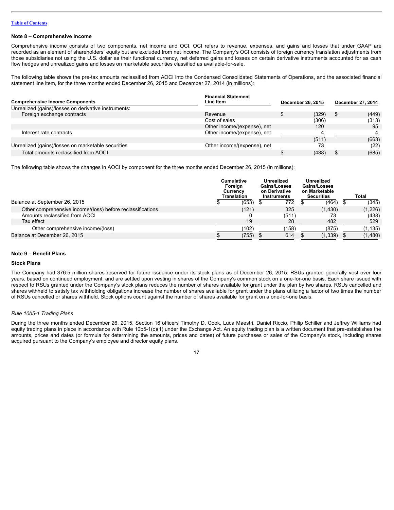# **Note 8 – Comprehensive Income**

Table of Contents<br>
Note 8 – Comprehensive Income<br>
Comprehensive income consists of two components, net income and OCI. OCI refers to revenue, expenses, and gains and losses that under GAAP are<br>
recorded as an element of sh recorded as an element of shareholders' equity but are excluded from net income. The Company's OCI consists of foreign currency translation adjustments from those subsidiaries not using the U.S. dollar as their functional currency, net deferred gains and losses on certain derivative instruments accounted for as cash flow hedges and unrealized gains and losses on marketable securities classified as available-for-sale.

The following table shows the pre-tax amounts reclassified from AOCI into the Condensed Consolidated Statements of Operations, and the associated financial statement line item, for the three months ended December 26, 2015 and December 27, 2014 (in millions):

| <b>Comprehensive Income Components</b>               | <b>Financial Statement</b><br>Line Item | December 26, 2015 | December 27, 2014 |
|------------------------------------------------------|-----------------------------------------|-------------------|-------------------|
| Unrealized (gains)/losses on derivative instruments: |                                         |                   |                   |
| Foreign exchange contracts                           | Revenue                                 | (329)             | (449)             |
|                                                      | Cost of sales                           | (306)             | (313)             |
|                                                      | Other income/(expense), net             | 120               | 95                |
| Interest rate contracts                              | Other income/(expense), net             |                   |                   |
|                                                      |                                         | (511)             | (663)             |
| Unrealized (gains)/losses on marketable securities   | Other income/(expense), net             | 73                | (22)              |
| Total amounts reclassified from AOCI                 |                                         | (438)             | (685)             |
|                                                      |                                         |                   |                   |

The following table shows the changes in AOCI by component for the three months ended December 26, 2015 (in millions):

|                                                            | <b>Cumulative</b><br>Foreign<br>Currency | Translation | <b>Unrealized</b><br>Gains/Losses<br>on Derivative<br><b>Instruments</b> |       | <b>Unrealized</b><br>Gains/Losses<br>on Marketable<br><b>Securities</b> | Total   |
|------------------------------------------------------------|------------------------------------------|-------------|--------------------------------------------------------------------------|-------|-------------------------------------------------------------------------|---------|
| Balance at September 26, 2015                              |                                          | (653)       |                                                                          | 772   | (464)                                                                   | (345)   |
| Other comprehensive income/(loss) before reclassifications |                                          | (121)       |                                                                          | 325   | (1,430)                                                                 | (1,226) |
| Amounts reclassified from AOCI                             |                                          |             |                                                                          | (511) | 73                                                                      | (438)   |
| Tax effect                                                 |                                          | 19          |                                                                          | 28    | 482                                                                     | 529     |
| Other comprehensive income/(loss)                          |                                          | (102)       |                                                                          | (158) | (875)                                                                   | 1,135   |
| Balance at December 26, 2015                               |                                          | (755)       |                                                                          | 614   | (1, 339)                                                                | (1,480) |
|                                                            |                                          |             |                                                                          |       |                                                                         |         |

# **Note 9 – Benefit Plans**

# **Stock Plans**

The Company had 376.5 million shares reserved for future issuance under its stock plans as of December 26, 2015. RSUs granted generally vest over four years, based on continued employment, and are settled upon vesting in shares of the Company's common stock on a one-for-one basis. Each share issued with respect to RSUs granted under the Company's stock plans reduces the number of shares available for grant under the plan by two shares. RSUs cancelled and shares withheld to satisfy tax withholding obligations increase the number of shares available for grant under the plans utilizing a factor of two times the number of RSUs cancelled or shares withheld. Stock options count against the number of shares available for grant on a one-for-one basis.

#### *Rule 10b5-1 Trading Plans*

During the three months ended December 26, 2015, Section 16 officers Timothy D. Cook, Luca Maestri, Daniel Riccio, Philip Schiller and Jeffrey Williams had equity trading plans in place in accordance with Rule 10b5-1(c)(1) under the Exchange Act. An equity trading plan is a written document that pre-establishes the amounts, prices and dates (or formula for determining the amounts, prices and dates) of future purchases or sales of the Company's stock, including shares acquired pursuant to the Company's employee and director equity plans.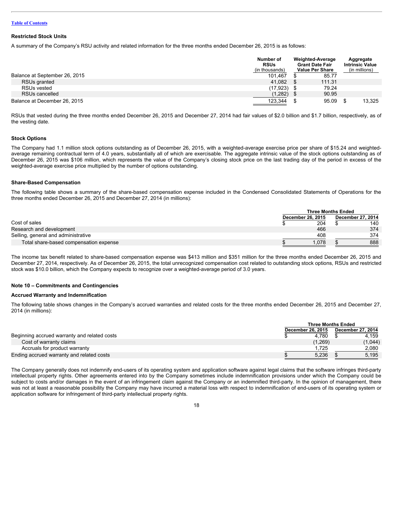# **Restricted Stock Units**

A summary of the Company's RSU activity and related information for the three months ended December 26, 2015 is as follows:

|                               | Number of<br><b>RSUs</b><br>(in thousands) | <b>Weighted-Average</b><br><b>Grant Date Fair</b><br><b>Value Per Share</b> | Aggregate<br><b>Intrinsic Value</b><br>(in millions) |  |
|-------------------------------|--------------------------------------------|-----------------------------------------------------------------------------|------------------------------------------------------|--|
| Balance at September 26, 2015 | 101,467                                    | 85.77                                                                       |                                                      |  |
| RSUs granted                  | 41,082                                     | 111.31                                                                      |                                                      |  |
| RSUs vested                   | (17, 923)                                  | 79.24                                                                       |                                                      |  |
| RSUs cancelled                | (1,282)                                    | 90.95                                                                       |                                                      |  |
| Balance at December 26, 2015  | 123,344                                    | 95.09                                                                       | 13,325                                               |  |

RSUs that vested during the three months ended December 26, 2015 and December 27, 2014 had fair values of \$2.0 billion and \$1.7 billion, respectively, as of the vesting date.

# **Stock Options**

The Company had 1.1 million stock options outstanding as of December 26, 2015, with a weighted-average exercise price per share of \$15.24 and weightedaverage remaining contractual term of 4.0 years, substantially all of which are exercisable. The aggregate intrinsic value of the stock options outstanding as of December 26, 2015 was \$106 million, which represents the value of the Company's closing stock price on the last trading day of the period in excess of the weighted-average exercise price multiplied by the number of options outstanding.

# **Share-Based Compensation**

The following table shows a summary of the share-based compensation expense included in the Condensed Consolidated Statements of Operations for the three months ended December 26, 2015 and December 27, 2014 (in millions):

|                                        | <b>Three Months Ended</b> |       |                   |     |  |  |  |
|----------------------------------------|---------------------------|-------|-------------------|-----|--|--|--|
|                                        | December 26, 2015         |       | December 27, 2014 |     |  |  |  |
| Cost of sales                          |                           | 204   |                   | 140 |  |  |  |
| Research and development               |                           | 466   |                   | 374 |  |  |  |
| Selling, general and administrative    |                           | 408   |                   | 374 |  |  |  |
| Total share-based compensation expense |                           | 1,078 |                   | 888 |  |  |  |
|                                        |                           |       |                   |     |  |  |  |

The income tax benefit related to share-based compensation expense was \$413 million and \$351 million for the three months ended December 26, 2015 and December 27, 2014, respectively. As of December 26, 2015, the total unrecognized compensation cost related to outstanding stock options, RSUs and restricted stock was \$10.0 billion, which the Company expects to recognize over a weighted-average period of 3.0 years.

# **Note 10 – Commitments and Contingencies**

#### **Accrued Warranty and Indemnification**

The following table shows changes in the Company's accrued warranties and related costs for the three months ended December 26, 2015 and December 27, 2014 (in millions):

|                                              |                   | <b>Three Months Ended</b> |  |  |  |  |  |  |
|----------------------------------------------|-------------------|---------------------------|--|--|--|--|--|--|
|                                              | December 26, 2015 | December 27, 2014         |  |  |  |  |  |  |
| Beginning accrued warranty and related costs | 4.780             | 4,159                     |  |  |  |  |  |  |
| Cost of warranty claims                      | (1,269)           | (1,044)                   |  |  |  |  |  |  |
| Accruals for product warranty                | .725              | 2,080                     |  |  |  |  |  |  |
| Ending accrued warranty and related costs    | 5,236             | 5,195                     |  |  |  |  |  |  |

The Company generally does not indemnify end-users of its operating system and application software against legal claims that the software infringes third-party intellectual property rights. Other agreements entered into by the Company sometimes include indemnification provisions under which the Company could be subject to costs and/or damages in the event of an infringement claim against the Company or an indemnified third-party. In the opinion of management, there was not at least a reasonable possibility the Company may have incurred a material loss with respect to indemnification of end-users of its operating system or application software for infringement of third-party intellectual property rights.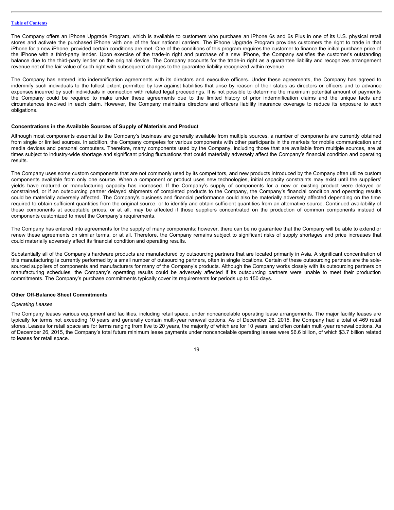The Company offers an iPhone Upgrade Program, which is available to customers who purchase an iPhone 6s and 6s Plus in one of its U.S. physical retail stores and activate the purchased iPhone with one of the four national carriers. The iPhone Upgrade Program provides customers the right to trade in that iPhone for a new iPhone, provided certain conditions are met. One of the conditions of this program requires the customer to finance the initial purchase price of Table of Contents<br>Table of Contents<br>The Company offers an iPhone Upgrade Program, which is available to customers who purchase an iPhone 6s and 6s Plus in one of its U.S. physical retail<br>stores and activate the purchased i balance due to the third-party lender on the original device. The Company accounts for the trade-in right as a guarantee liability and recognizes arrangement revenue net of the fair value of such right with subsequent changes to the guarantee liability recognized within revenue.

Table of Contents<br>The Company offers an iPhone Upgrade Program, which is available to customers who purchase an iPhone 6s and 6s Plus in one of its U.S. physical retail<br>stores and activate the purchased iPhone with one of indemnify such individuals to the fullest extent permitted by law against liabilities that arise by reason of their status as directors or officers and to advance expenses incurred by such individuals in connection with related legal proceedings. It is not possible to determine the maximum potential amount of payments Table of Contrats<br>The Company offers an iPhone Upgrade Program, which is available to customers who purchase an iPhone 6s and 6s Plus in one of its U.S. physical retail<br>stores and activate the provided vertain ontolons are Table of Contents<br>The Company offers an iPhone Upgrade Program, which is available to customers who purchase an iPhone 6s and 6s Plus in one of its U.S. physical retail<br>stores and activute the purchased iPhone with one of obligations.

# **Concentrations in the Available Sources of Supply of Materials and Product**

Although most components essential to the Company's business are generally available from multiple sources, a number of components are currently obtained from single or limited sources. In addition, the Company competes for various components with other participants in the markets for mobile communication and media devices and personal computers. Therefore, many components used by the Company, including those that are available from multiple sources, are at times subject to industry-wide shortage and significant pricing fluctuations that could materially adversely affect the Company's financial condition and operating results.

The Company uses some custom components that are not commonly used by its competitors, and new products introduced by the Company often utilize custom Take if Centrats<br>
compare offers an iPhone Upgrade Program, which is available to customers who purchase an iPhone iS and 5 Plus in one of its U.S. physical retail<br>the compare offers an iPhone Upgrade Propression considers Take dCautes<br>
Take dCautes<br>
The Company offers an Phone Upgrade Program, which is available to castomers who purchase an iPhone 6s and 6s Plus in one of its U.S. physical relations<br>
also extra a new iPhone Dayoted careas c constrained, or if an outsourcing partner delayed shipments of completed products to the Company, the Company's financial condition and operating results could be materially adversely affected. The Company's business and financial performance could also be materially adversely affected depending on the time required to obtain sufficient quantities from the original source, or to identify and obtain sufficient quantities from an alternative source. Continued availability of The components at alleast Common the acceptable proponents in the second interest at a proposition of the proposition of the components and the proposition of the components and product in the common concentrated interes. components customized to meet the Company's requirements. The Company has the transfer in the Company's results contained by the Company of the status and the Company has a proof to the company has a proof to the company has a proof to the company by such a contact the Company ha

The Company has entered into agreements for the supply of many components; however, there can be no guarantee that the Company will be able to extend or renew these agreements on similar terms, or at all. Therefore, the Company remains subject to significant risks of supply shortages and price increases that could materially adversely affect its financial condition and operating results.

Substantially all of the Company's hardware products are manufactured by outsourcing partners that are located primarily in Asia. A significant concentration of this manufacturing is currently performed by a small number of outsourcing partners, often in single locations. Certain of these outsourcing partners are the solesourced suppliers of components and manufacturers for many of the Company's products. Although the Company works closely with its outsourcing partners on manufacturing schedules, the Company's operating results could be ad commitments. The Company's purchase commitments typically cover its requirements for periods up to 150 days.

# **Other Off-Balance Sheet Commitments**

# *Operating Leases*

The Company leases various equipment and facilities, including retail space, under noncancelable operating lease arrangements. The major facility leases are typically for terms not exceeding 10 years and generally contain multi-year renewal options. As of December 26, 2015, the Company had a total of 469 retail stores. Leases for retail space are for terms ranging from five to 20 years, the majority of which are for 10 years, and often contain multi-year renewal options. As of December 26, 2015, the Company's total future minimum lease payments under noncancelable operating leases were \$6.6 billion, of which \$3.7 billion related to leases for retail space.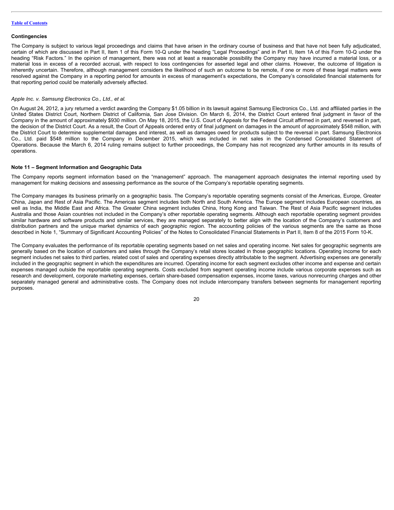# **Contingencies**

The Company is subject to various legal proceedings and claims that have arisen in the ordinary course of business and that have not been fully adjudicated, certain of which are discussed in Part II, Item 1 of this Form 10-Q under the heading "Legal Proceedings" and in Part II, Item 1A of this Form 10-Q under the Table of Contents<br>Contingencies<br>Contingencies<br>Contingencies<br>Contingencies<br>Cectain of which are discussed in Part II, Item 1 of this Form 10-Q under the heading "Legal Proceedings" and in Part II, Item 1A of this Form 10-Q inherently uncertain. Therefore, although management considers the likelihood of such an outcome to be remote, if one or more of these legal matters were resolved against the Company in a reporting period for amounts in excess of management's expectations, the Company's consolidated financial statements for that reporting period could be materially adversely affected.

# *Apple Inc. v. Samsung Electronics Co., Ltd., et al.*

On August 24, 2012, a jury returned a verdict awarding the Company \$1.05 billion in its lawsuit against Samsung Electronics Co., Ltd. and affiliated parties in the United States District Court, Northern District of Califor Table of Courtents<br>Contringencies<br>The Company is subject to various legal proceedings and claims that have arisen in the ordinary course of business and that have not been fully adjudicated.<br>The Company is subject to vario Company in the amount of approximately \$930 million. On May 18, 2015, the U.S. Court of Appeals for the Federal Circuit affirmed in part, and reversed in part, the decision of the District Court. As a result, the Court of Appeals ordered entry of final judgment on damages in the amount of approximately \$548 million, with the District Court to determine supplemental damages and interest, as well as damages owed for products subject to the reversal in part. Samsung Electronics Table of Centrats<br>Contingencies<br>Contingencies<br>Company is subject to various legal proceedings and claims that have arisen in the ordinary course of business and that have not been fully adjudicated,<br>The Company is subject Operations. Because the March 6, 2014 ruling remains subject to further proceedings, the Company has not recognized any further amounts in its results of operations. This of Company is advised to various legal proceedings and claims that have arises in the ordinary course of business and that have not been fully adjudicated,<br>One Company is added to various legal proceedings and claims Take at Centrals<br>Contingencies<br>Contingencies<br>cannot is anyied to various hegal proceedings and claims hall have arises in the collingy course of basiness and that have not been fully adjusticated,<br>memberi and a state const Contingencies<br>and correspon subject to various legal proceedings and ceims that have anset in the distribution policies of the corresponse of each geographic regions of the universe in the various corresponses and the unit

# **Note 11 – Segment Information and Geographic Data**

management for making decisions and assessing performance as the source of the Company's reportable operating segments.

The Company manages its business primarily on a geographic basis. The Company's reportable operating segments consist of the Americas, Europe, Greater China, Japan and Rest of Asia Pacific. The Americas segment includes both North and South America. The Europe segment includes European countries, as<br>well as India, the Middle East and Africa. The Greater China segment inc Australia and those Asian countries not included in the Company's other reportable operating segments. Although each reportable operating segment provides similar hardware and software products and similar services, they are managed separately to better align with the location of the Company's customers and distribution partners and the unique market dynamics of each geograp described in Note 1, "Summary of Significant Accounting Policies" of the Notes to Consolidated Financial Statements in Part II, Item 8 of the 2015 Form 10-K.

The Company evaluates the performance of its reportable operating segments based on net sales and operating income. Net sales for geographic segments are generally based on the location of customers and sales through the Company's retail stores located in those geographic locations. Operating income for each segment includes net sales to third parties, related cost of sales and operating expenses directly attributable to the segment. Advertising expenses are generally included in the geographic segment in which the expenditures are incurred. Operating income for each segment excludes other income and expense and certain expenses managed outside the reportable operating segments. Costs excluded from segment operating income include various corporate expenses such as research and development, corporate marketing expenses, certain share-based compensation expenses, income taxes, various nonrecurring charges and other separately managed general and administrative costs. The Company does not include intercompany transfers between segments for management reporting purposes.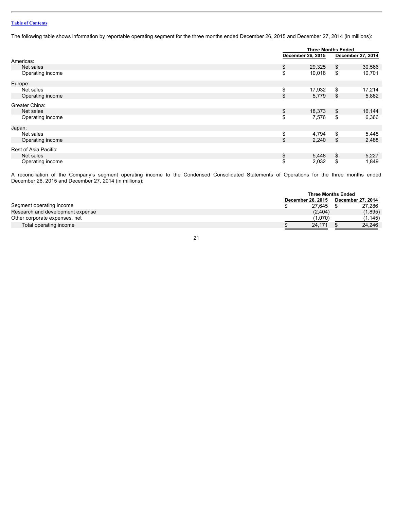| The following table shows information by reportable operating segment for the three months ended December 26, 2015 and December 27, 2014 (in millions): |                |                           |            |                   |
|---------------------------------------------------------------------------------------------------------------------------------------------------------|----------------|---------------------------|------------|-------------------|
|                                                                                                                                                         |                |                           |            |                   |
|                                                                                                                                                         |                | <b>Three Months Ended</b> |            |                   |
|                                                                                                                                                         |                | December 26, 2015         |            | December 27, 2014 |
| Americas:                                                                                                                                               |                |                           |            |                   |
| Net sales<br>Operating income                                                                                                                           |                | 29,325<br>10,018          | -\$<br>-\$ | 30,566<br>10,701  |
|                                                                                                                                                         |                |                           |            |                   |
| Europe:                                                                                                                                                 |                |                           |            |                   |
| Net sales                                                                                                                                               | \$             | 17,932                    | \$         | 17,214            |
| Operating income                                                                                                                                        | $\mathfrak{L}$ | 5,779                     | $\sqrt{3}$ | 5,882             |
| Greater China:                                                                                                                                          |                |                           |            |                   |
| Net sales                                                                                                                                               |                | 18,373                    | \$         | 16,144            |
| Operating income                                                                                                                                        | -S             | 7,576                     | \$         | 6,366             |
|                                                                                                                                                         |                |                           |            |                   |
| Japan:<br>Net sales                                                                                                                                     | \$             | 4,794                     | \$         | 5,448             |
| Operating income                                                                                                                                        | $\mathfrak{L}$ | 2,240                     | \$         | 2,488             |
|                                                                                                                                                         |                |                           |            |                   |
| Rest of Asia Pacific:                                                                                                                                   |                |                           |            |                   |
| Net sales                                                                                                                                               |                | 5,448                     | \$         | 5,227             |
| Operating income                                                                                                                                        | \$             | 2,032                     | \$         | 1,849             |

|                                  | Three Months Ended |                   |                   |  |  |  |
|----------------------------------|--------------------|-------------------|-------------------|--|--|--|
|                                  |                    | December 26, 2015 | December 27, 2014 |  |  |  |
| Segment operating income         |                    | 27.645            | 27,286            |  |  |  |
| Research and development expense |                    | (2,404)           | (1,895)           |  |  |  |
| Other corporate expenses, net    |                    | (1,070)           | (1.145)           |  |  |  |
| Total operating income           |                    | 24,171            | 24,246            |  |  |  |
|                                  |                    |                   |                   |  |  |  |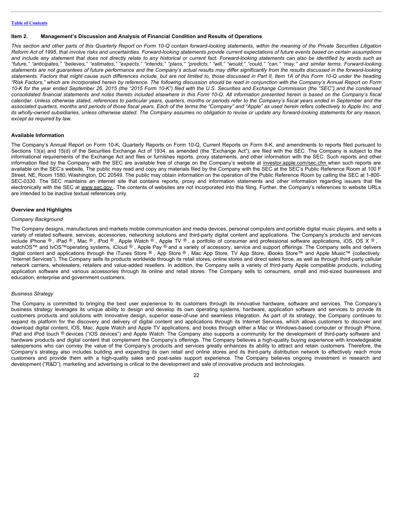#### **Item 2. Management's Discussion and Analysis of Financial Condition and Results of Operations**

*This section and other parts of this Quarterly Report on Form 10-Q contain forward-looking statements, within the meaning of the Private Securities Litigation Reform Act of 1995, that involve risks and uncertainties. Forward-looking statements provide current expectations of future events based on certain assumptions and include any statement that does not directly relate to any historical or current fact. Forward-looking statements can also be identified by words such as* **Table of Contents**<br> **The section and chiever parts of this Quarterly Report on Form 10-Q contain forward-looking statements, within the meaning of the Private Securities Litigation<br>** *This section and other parts of this Q statements are not guarantees," "estimates," "expects," "intends," "plans," "predicts," "will," "would," "could," "can," "may," and similar terms. Forward-looking statements are not guarantees of future performance and th statements. Factors that might cause such differences include, but are not limited to, those discussed in Part II, Item 1A of this Form 10-Q under the heading "Risk Factors," which are incorporated herein by reference. The following discussion should be read in conjunction with the Company's Annual Report on Form 10-K for the year ended September 26, 2015 (the "2015 Form 10-K") filed with the U.S. Securities and Exchange Commission (the "SEC") and the condensed consolidated financial statements and notes thereto included elsewhere in this Form 10-Q. All information presented herein is based on the Company's fiscal calendar. Unless otherwise stated, references to particular years, quarters, months or periods refer to the Company's fiscal years ended in September and the associated quarters, months and periods of those fiscal years. Each of the terms the "Company" and "Apple" as used herein refers collectively to Apple Inc. and its wholly-owned subsidiaries, unless otherwise stated. The Company assumes no obligation to revise or update any forward-looking statements for any reason, except as required by law.* Take if Centralia<br>
This exclude and the SEC at work and Analysis of Financial Condition and Results of Operations<br>
This section and the profession and Analysis of Financial Condition and Results of Operations<br>
Reform Act 1 The section and chief partic of this Quartery Report on Form 0-Q contain the section and the meaning of the Prince in Equation in the meaning of the Prince in Bother Baselines and principle in the meaning of the Prince in digital content and the state interest and methods and methods of the inclusion of the inclusion of the inclusion of the inclusion of the inclusion of the inclusion of the inclusion of the inclusion of the inclusion of the

# **Available Information**

The Company's Annual Report on Form 10-K, Quarterly Reports on Form 10-Q, Current Reports on Form 8-K, and amendments to reports filed pursuant to Sections 13(a) and 15(d) of the Securities Exchange Act of 1934, as amended (the "Exchange Act"), are filed with the SEC. The Company is subject to the informational requirements of the Exchange Act and files or furnishes reports, proxy statements, and other information with the SEC. Such reports and other information filed by the Company with the SEC are available free of charge on the Company's website at investor.apple.com/sec.cfm when such reports are available on the SEC's website. The public may read and copy any materials filed by the Company with the SEC at the SEC's Public Reference Room at 100 F Street, NE, Room 1580, Washington, DC 20549. The public may obtain information on the operation of the Public Reference Room by calling the SEC at 1-800 electronically with the SEC at www.sec.gov. The contents of websites are not incorporated into this filing. Further, the Company's references to website URLs are intended to be inactive textual references only.

# **Overview and Highlights**

#### *Company Background*

The Company designs, manufactures and markets mobile communication and media devices, personal computers and portable digital music players, and sells a variety of related software, services, accessories, networking solutions and third-party digital content and applications. The Company's products and services include iPhone  $\mathcal{O}$ , iPad  $\mathcal{O}$ , Mac  $\mathcal{O}$ , iPod  $\math$ "Internet Services"). The Company sells its products worldwide through its retail stores, online stores and direct sales force, as well as through third-party cellular network carriers, wholesalers, retailers and value-added resellers. In addition, the Company sells a variety of third-party Apple compatible products, including ationments. Fectorial many the societies through initial through its online threats the main of the first threats the main of the first threats through its only and mid-size in the first threats in the company solveing the education, enterprise and government customers. associety developed to the Company is company in the Company is the Company is the Company is company in the Company is company in the Company is company in Apple to the Company is company is company is company is company

# *Business Strategy*

its wholey-wear ability to the company in the Company stations to deligate its verage of the company in the company in the company in the company in the company in the company in the company in the company in the company i except as required by law.<br>
Available information<br>
Amendon methods and solutions for the Such and Such as a method (the Such and the Such and the Such and the Such and<br>
Such taking the Company with the SUC as a statistic f Available Information.<br>The Company's Annual Report on Form 10-K, Guidely Reports on Form 10-Q, Current Reports on Form 8.K, and amendments to report is active to the<br>Technical content of the discovery and of 10-4, a amendm download digital content, iOS, Mac, Apple Watch and Apple TV applications, and books through either a Mac or Windows-based computer or through iPhone, iPad and iPod touch ® devices ("iOS devices") and Apple Watch. The Company also supports a community for the development of third-party software and hardware products and digital content that complement the Company's offerings. The Company believes a high-quality buying experience with knowledgeable salespersons who can convey the value of the Company's products and services greatly enhances its ability to attract and retain customers. Therefore, the Informational requires that is company a consider the original reports, providing includes the including term includes building and the strategy and the strategy also includes building includes building includes building i information likely by Exchange With the SIC as exabilite the of those on the Company substitute the SIC a Public Returned Particular and the company in the company believes and the media and the state interest in which are development ("R&D"), marketing and advertising is critical to the development and sale of innovative products and technologies.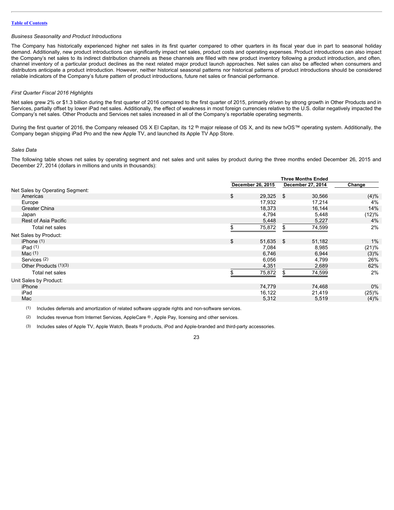# *Business Seasonality and Product Introductions*

Table of Contents<br>Business Seasonality and Product Introductions<br>The Company has historically experienced higher net sales in its first quarter compared to other quarters in its fiscal year due in part to seasonal holiday<br> demand. Additionally, new product introductions can significantly impact net sales, product costs and operating expenses. Product introductions can also impact the Company's net sales to its indirect distribution channels as these channels are filled with new product inventory following a product introduction, and often, channel inventory of a particular product declines as the next related major product launch approaches. Net sales can also be affected when consumers and distributors anticipate a product introduction. However, neither historical seasonal patterns nor historical patterns of product introductions should be considered reliable indicators of the Company's future pattern of product introductions, future net sales or financial performance.

# *First Quarter Fiscal 2016 Highlights*

Net sales grew 2% or \$1.3 billion during the first quarter of 2016 compared to the first quarter of 2015, primarily driven by strong growth in Other Products and in Services, partially offset by lower iPad net sales. Additionally, the effect of weakness in most foreign currencies relative to the U.S. dollar negatively impacted the Company's net sales. Other Products and Services net sales increased in all of the Company's reportable operating segments.

During the first quarter of 2016, the Company released OS X El Capitan, its 12 th major release of OS X, and its new tvOS™ operating system. Additionally, the Company began shipping iPad Pro and the new Apple TV, and launched its Apple TV App Store.

# *Sales Data*

The following table shows net sales by operating segment and net sales and unit sales by product during the three months ended December 26, 2015 and December 27, 2014 (dollars in millions and units in thousands):

|                                 |                   | <b>Three Months Ended</b> |                   |               |  |  |  |  |
|---------------------------------|-------------------|---------------------------|-------------------|---------------|--|--|--|--|
|                                 | December 26, 2015 |                           | December 27, 2014 | <b>Change</b> |  |  |  |  |
| Net Sales by Operating Segment: |                   |                           |                   |               |  |  |  |  |
| Americas                        | 29,325 \$<br>\$   |                           | 30,566            | (4)%          |  |  |  |  |
| Europe                          | 17,932            |                           | 17,214            | 4%            |  |  |  |  |
| Greater China                   | 18,373            |                           | 16,144            | 14%           |  |  |  |  |
| Japan                           | 4,794             |                           | 5,448             | (12)%         |  |  |  |  |
| Rest of Asia Pacific            | 5,448             |                           | 5,227             | 4%            |  |  |  |  |
| Total net sales                 | 75,872            |                           | 74,599            | 2%            |  |  |  |  |
| Net Sales by Product:           |                   |                           |                   |               |  |  |  |  |
| iPhone (1)                      | $51,635$ \$<br>\$ |                           | 51,182            | $1\%$         |  |  |  |  |
| iPad(1)                         | 7,084             |                           | 8,985             | (21)%         |  |  |  |  |
| Mac(1)                          | 6,746             |                           | 6,944             | (3)%          |  |  |  |  |
| Services (2)                    | 6,056             |                           | 4,799             | 26%           |  |  |  |  |
| Other Products (1)(3)           | 4,351             |                           | 2,689             | 62%           |  |  |  |  |
| Total net sales                 | 75,872            |                           | 74,599            | 2%            |  |  |  |  |
| Unit Sales by Product:          |                   |                           |                   |               |  |  |  |  |
| iPhone                          | 74,779            |                           | 74,468            | 0%            |  |  |  |  |
| iPad                            | 16,122            |                           | 21,419            | (25)%         |  |  |  |  |
| Mac                             | 5,312             |                           | 5,519             | (4)%          |  |  |  |  |
|                                 |                   |                           |                   |               |  |  |  |  |

(1) Includes deferrals and amortization of related software upgrade rights and non-software services.

(2) Includes revenue from Internet Services, AppleCare  $\mathcal{O}_1$ , Apple Pay, licensing and other services.

(3) Includes sales of Apple TV, Apple Watch, Beats ® products, iPod and Apple-branded and third-party accessories.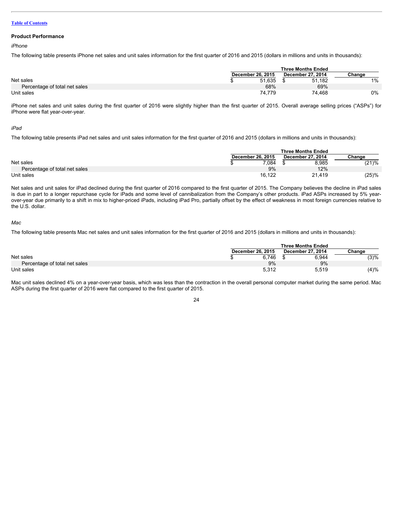# **Product Performance**

*iPhone*

The following table presents iPhone net sales and unit sales information for the first quarter of 2016 and 2015 (dollars in millions and units in thousands):

|                               |  | <b>Three Months Ended</b> |  |                          |        |  |  |  |  |
|-------------------------------|--|---------------------------|--|--------------------------|--------|--|--|--|--|
|                               |  | December 26, 2015         |  | <b>December 27, 2014</b> | Change |  |  |  |  |
| Net sales                     |  | 51,635                    |  | 51,182                   | 1%     |  |  |  |  |
| Percentage of total net sales |  | 68%                       |  | 69%                      |        |  |  |  |  |
| Unit sales                    |  | 74,779                    |  | 74,468                   | 0%     |  |  |  |  |

iPhone net sales and unit sales during the first quarter of 2016 were slightly higher than the first quarter of 2015. Overall average selling prices ("ASPs") for iPhone were flat year-over-year.

# *iPad*

The following table presents iPad net sales and unit sales information for the first quarter of 2016 and 2015 (dollars in millions and units in thousands):

|                               |                                        | <b>Three Months Ended</b> |        |  |  |  |  |  |  |
|-------------------------------|----------------------------------------|---------------------------|--------|--|--|--|--|--|--|
|                               | December 26, 2015<br>December 27, 2014 |                           | Change |  |  |  |  |  |  |
| Net sales                     | 7,084                                  | 8,985                     | (21)%  |  |  |  |  |  |  |
| Percentage of total net sales | 9%                                     | 12%                       |        |  |  |  |  |  |  |
| Unit sales                    | 16,122                                 | 21,419                    | (25)%  |  |  |  |  |  |  |

Net sales and unit sales for iPad declined during the first quarter of 2016 compared to the first quarter of 2015. The Company believes the decline in iPad sales is due in part to a longer repurchase cycle for iPads and some level of cannibalization from the Company's other products. iPad ASPs increased by 5% yearover-year due primarily to a shift in mix to higher-priced iPads, including iPad Pro, partially offset by the effect of weakness in most foreign currencies relative to the U.S. dollar.

# *Mac*

The following table presents Mac net sales and unit sales information for the first quarter of 2016 and 2015 (dollars in millions and units in thousands):

|                                                                                                                                                               | <b>Three Months Ended</b> |       |                          |       |        |  |  |
|---------------------------------------------------------------------------------------------------------------------------------------------------------------|---------------------------|-------|--------------------------|-------|--------|--|--|
|                                                                                                                                                               | December 26, 2015         |       | <b>December 27, 2014</b> |       | Change |  |  |
| Net sales                                                                                                                                                     |                           | 6.746 |                          | 6,944 | (3)%   |  |  |
| Percentage of total net sales                                                                                                                                 |                           | 9%    |                          | 9%    |        |  |  |
| Unit sales                                                                                                                                                    |                           | 5,312 |                          | 5,519 | (4)%   |  |  |
| Mac unit sales declined 4% on a year-over-year basis, which was less than the contraction in the overall personal computer market during the same period. Mac |                           |       |                          |       |        |  |  |

ASPs during the first quarter of 2016 were flat compared to the first quarter of 2015.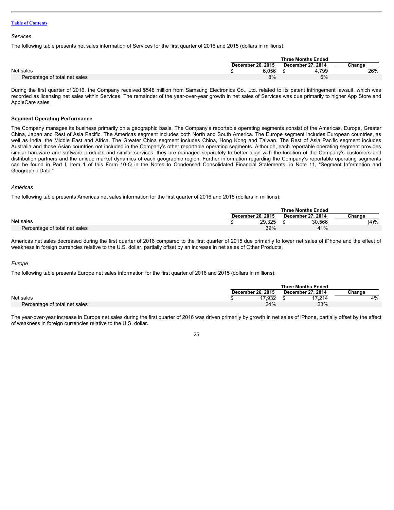# *Services*

The following table presents net sales information of Services for the first quarter of 2016 and 2015 (dollars in millions):

|                               | <b>Three Months Ended</b>              |  |        |     |  |  |  |  |
|-------------------------------|----------------------------------------|--|--------|-----|--|--|--|--|
|                               | December 27, 2014<br>December 26, 2015 |  | Change |     |  |  |  |  |
| Net sales                     | 6,056                                  |  | 4,799  | 26% |  |  |  |  |
| Percentage of total net sales | 8%                                     |  | 6%     |     |  |  |  |  |

During the first quarter of 2016, the Company received \$548 million from Samsung Electronics Co., Ltd. related to its patent infringement lawsuit, which was recorded as licensing net sales within Services. The remainder of the year-over-year growth in net sales of Services was due primarily to higher App Store and AppleCare sales.

# **Segment Operating Performance**

The Company manages its business primarily on a geographic basis. The Company's reportable operating segments consist of the Americas, Europe, Greater China, Japan and Rest of Asia Pacific. The Americas segment includes both North and South America. The Europe segment includes European countries, as Table of Centrests<br>
Services<br>
The following table presents net sales information of Services for the first quarter of 2016 and 2015 (dollars in millions):<br>
Determiner 26, 2015<br>
Determiner 26, 2016<br>
Determiner 26, 2016<br>
Det Australia and those Asian countries not included in the Company's other reportable operating segments. Although, each reportable operating segment provides similar hardware and software products and similar services, they are managed separately to better align with the location of the Company's customers and distribution partners and the unique market dynamics of each geographic region. Further information regarding the Company's reportable operating segments Can be found in Part I, Item 1 of this Found in Office is the first quarter of 2016 and 2015 (dollars in millions):<br>
Periodion gradient and states information of Services for the first quarter of 2016 and 2015 (dollars in Geographic Data."

#### *Americas*

The following table presents Americas net sales information for the first quarter of 2016 and 2015 (dollars in millions):

|                               | <b>Three Months Ended</b> |  |                   |        |  |  |  |  |
|-------------------------------|---------------------------|--|-------------------|--------|--|--|--|--|
|                               | December 26, 2015         |  | December 27, 2014 | Change |  |  |  |  |
| Net sales                     | 29,325                    |  | 30,566            | (4)%   |  |  |  |  |
| Percentage of total net sales | 39%                       |  | 41%               |        |  |  |  |  |

Americas net sales decreased during the first quarter of 2016 compared to the first quarter of 2015 due primarily to lower net sales of iPhone and the effect of weakness in foreign currencies relative to the U.S. dollar, partially offset by an increase in net sales of Other Products.

#### *Europe*

The following table presents Europe net sales information for the first quarter of 2016 and 2015 (dollars in millions):

|                               | <b>Three Months Ended</b> |  |                   |        |  |  |  |
|-------------------------------|---------------------------|--|-------------------|--------|--|--|--|
|                               | December 26, 2015         |  | December 27, 2014 | Change |  |  |  |
| Net sales                     | 17,932                    |  | 17.214            | 4%     |  |  |  |
| Percentage of total net sales | 24%                       |  | 23%               |        |  |  |  |

The year-over-year increase in Europe net sales during the first quarter of 2016 was driven primarily by growth in net sales of iPhone, partially offset by the effect of weakness in foreign currencies relative to the U.S. dollar.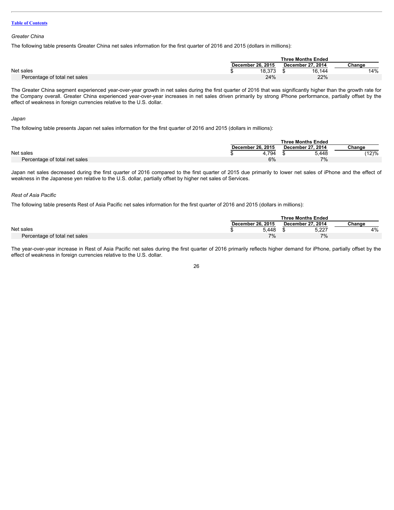# *Greater China*

The following table presents Greater China net sales information for the first quarter of 2016 and 2015 (dollars in millions):

|                               |                   | <b>Three Months Ended</b> |        |
|-------------------------------|-------------------|---------------------------|--------|
|                               | December 26, 2015 | <b>December 27, 2014</b>  | Change |
| Net sales                     | 18,373            | 16,144                    | 14%    |
| Percentage of total net sales | 24%               | 22%                       |        |

The Greater China segment experienced year-over-year growth in net sales during the first guarter of 2016 that was significantly higher than the growth rate for the Company overall. Greater China experienced year-over-year increases in net sales driven primarily by strong iPhone performance, partially offset by the effect of weakness in foreign currencies relative to the U.S. dollar.

### *Japan*

The following table presents Japan net sales information for the first quarter of 2016 and 2015 (dollars in millions):

|                               |                   | <b>Three Months Ended</b> |        |  |
|-------------------------------|-------------------|---------------------------|--------|--|
|                               | December 26, 2015 | <b>December 27, 2014</b>  | Change |  |
| Net sales                     | .794              | 5,448                     | (12)%  |  |
| Percentage of total net sales | 6%                | 70/                       |        |  |

Japan net sales decreased during the first quarter of 2016 compared to the first quarter of 2015 due primarily to lower net sales of iPhone and the effect of weakness in the Japanese yen relative to the U.S. dollar, partially offset by higher net sales of Services.

# *Rest of Asia Pacific*

The following table presents Rest of Asia Pacific net sales information for the first quarter of 2016 and 2015 (dollars in millions):

|                               |                     | <b>Three Months Ended</b>       |        |
|-------------------------------|---------------------|---------------------------------|--------|
|                               | December 26, 2015   | December 27, 2014               | Change |
| Net sales                     | 5,448               | <b>- 00-</b><br>3.ZZ            |        |
| Percentage of total net sales | $\rightarrow$<br>70 | $\overline{\phantom{0}}$<br>170 |        |

The year-over-year increase in Rest of Asia Pacific net sales during the first quarter of 2016 primarily reflects higher demand for iPhone, partially offset by the effect of weakness in foreign currencies relative to the U.S. dollar.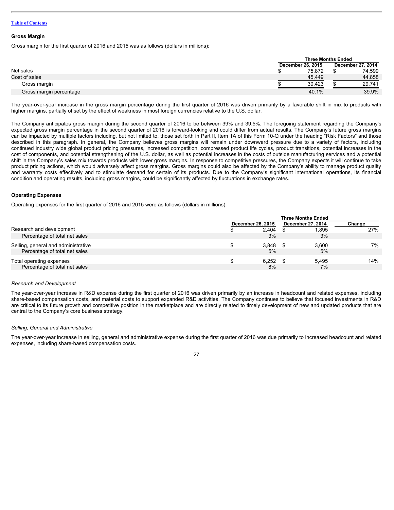# **Gross Margin**

Gross margin for the first quarter of 2016 and 2015 was as follows (dollars in millions):

|                         | <b>Three Months Ended</b> |  |                   |  |  |
|-------------------------|---------------------------|--|-------------------|--|--|
|                         | December 26, 2015         |  | December 27, 2014 |  |  |
| Net sales               | 75,872                    |  | 74,599            |  |  |
| Cost of sales           | 45,449                    |  | 44,858            |  |  |
| Gross margin            | 30,423                    |  | 29,741            |  |  |
| Gross margin percentage | 40.1%                     |  | 39.9%             |  |  |

The year-over-year increase in the gross margin percentage during the first quarter of 2016 was driven primarily by a favorable shift in mix to products with higher margins, partially offset by the effect of weakness in most foreign currencies relative to the U.S. dollar.

The Company anticipates gross margin during the second quarter of 2016 to be between 39% and 39.5%. The foregoing statement regarding the Company's expected gross margin percentage in the second quarter of 2016 is forward-looking and could differ from actual results. The Company's future gross margins can be impacted by multiple factors including, but not limited to, those set forth in Part II, Item 1A of this Form 10-Q under the heading "Risk Factors" and those Table of Centrats<br>Gross margin for the first quarter of 2016 and 2015 was as follows (dollars in millions):<br>Cross margin for the first quarter of 2016 and 2015 was as follows (dollars in millions):<br>
The Company and the Com continued industry wide global product pricing pressures, increased competition, compressed product life cycles, product transitions, potential increases in the cost of components, and potential strengthening of the U.S. dollar, as well as potential increases in the costs of outside manufacturing services and a potential shift in the Company's sales mix towards products with lower gross margins. In response to competitive pressures, the Company expects it will continue to take product pricing actions, which would adversely affect gross margins. Gross margins could also be affected by the Company's ability to manage product quality Table of Centratia<br>
Circuit mates<br>
Costs margin for the first quarter of 2016 and 2015 was as follows (dollars in millions):<br>
Cost or failes<br>
Cost of failes<br>
Cost of failes<br>
Cost of failes<br>
Costs effectively be effect of condition and operating results, including gross margins, could be significantly affected by fluctuations in exchange rates.

# **Operating Expenses**

Operating expenses for the first quarter of 2016 and 2015 were as follows (dollars in millions):

|                                     |                   | <b>Three Months Ended</b> |        |
|-------------------------------------|-------------------|---------------------------|--------|
|                                     | December 26, 2015 | <b>December 27, 2014</b>  | Change |
| Research and development            | 2,404             | 1,895                     | 27%    |
| Percentage of total net sales       | 3%                | 3%                        |        |
| Selling, general and administrative | $3,848$ \$        | 3,600                     | 7%     |
| Percentage of total net sales       | 5%                | 5%                        |        |
| Total operating expenses            | $6,252$ \$        | 5,495                     | 14%    |
| Percentage of total net sales       | 8%                | 7%                        |        |

# *Research and Development*

The year-over-year increase in R&D expense during the first quarter of 2016 was driven primarily by an increase in headcount and related expenses, including share-based compensation costs, and material costs to support expanded R&D activities. The Company continues to believe that focused investments in R&D are critical to its future growth and competitive position in the marketplace and are directly related to timely development of new and updated products that are central to the Company's core business strategy.

# *Selling, General and Administrative*

The year-over-year increase in selling, general and administrative expense during the first quarter of 2016 was due primarily to increased headcount and related expenses, including share-based compensation costs.

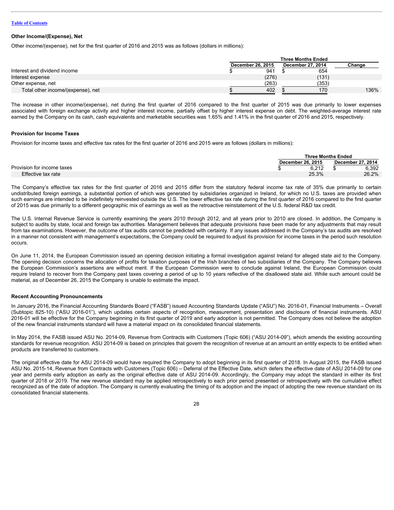# **Other Income/(Expense), Net**

| <b>Table of Contents</b>                                                                                                                                                                                                                                                                                                                                                                                                                                                                                                                                                                                                                                |                   |                 |                            |                           |       |
|---------------------------------------------------------------------------------------------------------------------------------------------------------------------------------------------------------------------------------------------------------------------------------------------------------------------------------------------------------------------------------------------------------------------------------------------------------------------------------------------------------------------------------------------------------------------------------------------------------------------------------------------------------|-------------------|-----------------|----------------------------|---------------------------|-------|
| Other Income/(Expense), Net                                                                                                                                                                                                                                                                                                                                                                                                                                                                                                                                                                                                                             |                   |                 |                            |                           |       |
|                                                                                                                                                                                                                                                                                                                                                                                                                                                                                                                                                                                                                                                         |                   |                 |                            |                           |       |
| Other income/(expense), net for the first quarter of 2016 and 2015 was as follows (dollars in millions):                                                                                                                                                                                                                                                                                                                                                                                                                                                                                                                                                |                   |                 |                            |                           |       |
|                                                                                                                                                                                                                                                                                                                                                                                                                                                                                                                                                                                                                                                         |                   |                 | <b>Three Months Ended</b>  |                           |       |
|                                                                                                                                                                                                                                                                                                                                                                                                                                                                                                                                                                                                                                                         | December 26, 2015 |                 | December 27, 2014          | Change                    |       |
| Interest and dividend income                                                                                                                                                                                                                                                                                                                                                                                                                                                                                                                                                                                                                            |                   | <b>S</b><br>941 | 654                        |                           |       |
| Interest expense                                                                                                                                                                                                                                                                                                                                                                                                                                                                                                                                                                                                                                        |                   | (276)           | (131)                      |                           |       |
| Other expense, net                                                                                                                                                                                                                                                                                                                                                                                                                                                                                                                                                                                                                                      |                   | (263)           | (353)                      |                           |       |
| Total other income/(expense), net                                                                                                                                                                                                                                                                                                                                                                                                                                                                                                                                                                                                                       |                   | 402<br>- \$     | 170                        |                           | 136%  |
| The increase in other income/(expense), net during the first quarter of 2016 compared to the first quarter of 2015 was due primarily to lower expenses<br>associated with foreign exchange activity and higher interest income, partially offset by higher interest expense on debt. The weighted-average interest rate<br>earned by the Company on its cash, cash equivalents and marketable securities was 1.65% and 1.41% in the first quarter of 2016 and 2015, respectively.                                                                                                                                                                       |                   |                 |                            |                           |       |
| <b>Provision for Income Taxes</b>                                                                                                                                                                                                                                                                                                                                                                                                                                                                                                                                                                                                                       |                   |                 |                            |                           |       |
| Provision for income taxes and effective tax rates for the first quarter of 2016 and 2015 were as follows (dollars in millions):                                                                                                                                                                                                                                                                                                                                                                                                                                                                                                                        |                   |                 |                            |                           |       |
|                                                                                                                                                                                                                                                                                                                                                                                                                                                                                                                                                                                                                                                         |                   |                 |                            | <b>Three Months Ended</b> |       |
| Provision for income taxes                                                                                                                                                                                                                                                                                                                                                                                                                                                                                                                                                                                                                              |                   | \$              | December 26, 2015<br>6,212 | December 27, 2014<br>\$   | 6,392 |
| Effective tax rate                                                                                                                                                                                                                                                                                                                                                                                                                                                                                                                                                                                                                                      |                   |                 | 25.3%                      |                           | 26.2% |
|                                                                                                                                                                                                                                                                                                                                                                                                                                                                                                                                                                                                                                                         |                   |                 |                            |                           |       |
| The Company's effective tax rates for the first quarter of 2016 and 2015 differ from the statutory federal income tax rate of 35% due primarily to certain<br>undistributed foreign earnings, a substantial portion of which was generated by subsidiaries organized in Ireland, for which no U.S. taxes are provided when<br>such earnings are intended to be indefinitely reinvested outside the U.S. The lower effective tax rate during the first quarter of 2016 compared to the first quarter<br>of 2015 was due primarily to a different geographic mix of earnings as well as the retroactive reinstatement of the U.S. federal R&D tax credit. |                   |                 |                            |                           |       |
| The U.S. Internal Revenue Service is currently examining the years 2010 through 2012, and all years prior to 2010 are closed. In addition, the Company is<br>subject to audits by state, local and foreign tax authorities. Management believes that adequate provisions have been made for any adjustments that may result                                                                                                                                                                                                                                                                                                                             |                   |                 |                            |                           |       |

# **Provision for Income Taxes**

|                            | <b>Three Months Ended</b> |                   |
|----------------------------|---------------------------|-------------------|
|                            | December 26, 2015         | December 27, 2014 |
| Provision for income taxes | 6,212                     | 6,392             |
| Effective tax rate         | 25.3%                     | 26.2%             |

The U.S. Internal Revenue Service is currently examining the years 2010 through 2012, and all years prior to 2010 are closed. In addition, the Company is subject to audits by state, local and foreign tax authorities. Management believes that adequate provisions have been made for any adjustments that may result from tax examinations. However, the outcome of tax audits cannot be predicted with certainty. If any issues addressed in the Company's tax audits are resolved in a manner not consistent with management's expectations, the Company could be required to adjust its provision for income taxes in the period such resolution occurs.

On June 11, 2014, the European Commission issued an opening decision initiating a formal investigation against Ireland for alleged state aid to the Company. The opening decision concerns the allocation of profits for taxation purposes of the Irish branches of two subsidiaries of the Company. The Company believes the european Commission and the European Commission's assertion of 2016 compared by the European Commission's assertion of 2016<br>
The European Commission and the European Commission were to be a commission of 2016 concluse require Ireland to recover from the Company past taxes covering a period of up to 10 years reflective of the disallowed state aid. While such amount could be material, as of December 26, 2015 the Company is unable to estimate the impact. earned by the Company on its cisin, cash equivalents and marketable securities was 1.65% and 1.41% in the final quarter of 2016 and 2015, which as follows (of later in illions):<br>Provision for income traces<br>certain aspects

# **Recent Accounting Pronouncements**

In January 2016, the Financial Accounting Standards Board ("FASB") issued Accounting Standards Update ("ASU") No. 2016-01, Financial Instruments – Overall 2016-01 will be effective for the Company beginning in its first quarter of 2019 and early adoption is not permitted. The Company does not believe the adoption of the new financial instruments standard will have a material impact on its consolidated financial statements.

In May 2014, the FASB issued ASU No. 2014-09, Revenue from Contracts with Customers (Topic 606) ("ASU 2014-09"), which amends the existing accounting standards for revenue recognition. ASU 2014-09 is based on principles that govern the recognition of revenue at an amount an entity expects to be entitled when products are transferred to customers.

The original effective date for ASU 2014-09 would have required the Company to adopt beginning in its first quarter of 2018. In August 2015, the FASB issued ASU No. 2015-14, Revenue from Contracts with Customers (Topic 606) – Deferral of the Effective Date, which defers the effective date of ASU 2014-09 for one year and permits early adoption as early as the original effective date of ASU 2014-09. Accordingly, the Company may adopt the standard in either its first quarter of 2018 or 2019. The new revenue standard may be applied retrospectively to each prior period presented or retrospectively with the cumulative effect recognized as of the date of adoption. The Company is currently evaluating the timing of its adoption and the impact of adopting the new revenue standard on its consolidated financial statements.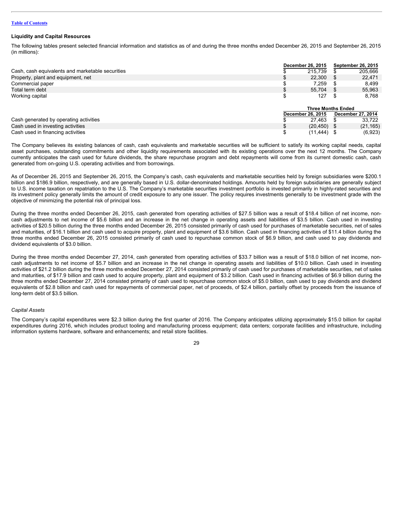# **Liquidity and Capital Resources**

| <b>Table of Contents</b>                                                                                                                                                                                                                                                                                                                                                                                                                                                                                                                                                                                                                                                                                                                                                                                                                                                                                                                                                                                                                                     |                           |          |                           |
|--------------------------------------------------------------------------------------------------------------------------------------------------------------------------------------------------------------------------------------------------------------------------------------------------------------------------------------------------------------------------------------------------------------------------------------------------------------------------------------------------------------------------------------------------------------------------------------------------------------------------------------------------------------------------------------------------------------------------------------------------------------------------------------------------------------------------------------------------------------------------------------------------------------------------------------------------------------------------------------------------------------------------------------------------------------|---------------------------|----------|---------------------------|
| <b>Liquidity and Capital Resources</b>                                                                                                                                                                                                                                                                                                                                                                                                                                                                                                                                                                                                                                                                                                                                                                                                                                                                                                                                                                                                                       |                           |          |                           |
| The following tables present selected financial information and statistics as of and during the three months ended December 26, 2015 and September 26, 2015<br>(in millions):                                                                                                                                                                                                                                                                                                                                                                                                                                                                                                                                                                                                                                                                                                                                                                                                                                                                                |                           |          |                           |
|                                                                                                                                                                                                                                                                                                                                                                                                                                                                                                                                                                                                                                                                                                                                                                                                                                                                                                                                                                                                                                                              | December 26, 2015         |          | <b>September 26, 2015</b> |
| Cash, cash equivalents and marketable securities                                                                                                                                                                                                                                                                                                                                                                                                                                                                                                                                                                                                                                                                                                                                                                                                                                                                                                                                                                                                             | 215,739                   | \$       | 205,666                   |
| Property, plant and equipment, net                                                                                                                                                                                                                                                                                                                                                                                                                                                                                                                                                                                                                                                                                                                                                                                                                                                                                                                                                                                                                           | 22,300                    | <b>S</b> | 22,471                    |
| Commercial paper                                                                                                                                                                                                                                                                                                                                                                                                                                                                                                                                                                                                                                                                                                                                                                                                                                                                                                                                                                                                                                             | $7,259$ \$                |          | 8,499                     |
| Total term debt<br>Working capital                                                                                                                                                                                                                                                                                                                                                                                                                                                                                                                                                                                                                                                                                                                                                                                                                                                                                                                                                                                                                           | 55,704 \$<br>127S         |          | 55,963<br>8,768           |
|                                                                                                                                                                                                                                                                                                                                                                                                                                                                                                                                                                                                                                                                                                                                                                                                                                                                                                                                                                                                                                                              |                           |          |                           |
|                                                                                                                                                                                                                                                                                                                                                                                                                                                                                                                                                                                                                                                                                                                                                                                                                                                                                                                                                                                                                                                              | <b>Three Months Ended</b> |          |                           |
|                                                                                                                                                                                                                                                                                                                                                                                                                                                                                                                                                                                                                                                                                                                                                                                                                                                                                                                                                                                                                                                              | December 26, 2015         |          | December 27, 2014         |
| Cash generated by operating activities                                                                                                                                                                                                                                                                                                                                                                                                                                                                                                                                                                                                                                                                                                                                                                                                                                                                                                                                                                                                                       | 27,463                    | \$       | 33,722                    |
| Cash used in investing activities                                                                                                                                                                                                                                                                                                                                                                                                                                                                                                                                                                                                                                                                                                                                                                                                                                                                                                                                                                                                                            | \$<br>$(20, 450)$ \$      |          | (21, 165)                 |
| Cash used in financing activities                                                                                                                                                                                                                                                                                                                                                                                                                                                                                                                                                                                                                                                                                                                                                                                                                                                                                                                                                                                                                            | $(11, 444)$ \$            |          | (6,923)                   |
| The Company believes its existing balances of cash, cash equivalents and marketable securities will be sufficient to satisfy its working capital needs, capital<br>asset purchases, outstanding commitments and other liquidity requirements associated with its existing operations over the next 12 months. The Company<br>currently anticipates the cash used for future dividends, the share repurchase program and debt repayments will come from its current domestic cash, cash<br>generated from on-going U.S. operating activities and from borrowings.                                                                                                                                                                                                                                                                                                                                                                                                                                                                                             |                           |          |                           |
| As of December 26, 2015 and September 26, 2015, the Company's cash, cash equivalents and marketable securities held by foreign subsidiaries were \$200.1<br>billion and \$186.9 billion, respectively, and are generally based in U.S. dollar-denominated holdings. Amounts held by foreign subsidiaries are generally subject<br>to U.S. income taxation on repatriation to the U.S. The Company's marketable securities investment portfolio is invested primarily in highly-rated securities and<br>its investment policy generally limits the amount of credit exposure to any one issuer. The policy requires investments generally to be investment grade with the<br>objective of minimizing the potential risk of principal loss.                                                                                                                                                                                                                                                                                                                    |                           |          |                           |
| During the three months ended December 26, 2015, cash generated from operating activities of \$27.5 billion was a result of \$18.4 billion of net income, non-<br>cash adjustments to net income of \$5.6 billion and an increase in the net change in operating assets and liabilities of \$3.5 billion. Cash used in investing<br>activities of \$20.5 billion during the three months ended December 26, 2015 consisted primarily of cash used for purchases of marketable securities, net of sales<br>and maturities, of \$16.1 billion and cash used to acquire property, plant and equipment of \$3.6 billion. Cash used in financing activities of \$11.4 billion during the<br>three months ended December 26, 2015 consisted primarily of cash used to repurchase common stock of \$6.9 billion, and cash used to pay dividends and<br>dividend equivalents of \$3.0 billion.                                                                                                                                                                       |                           |          |                           |
| During the three months ended December 27, 2014, cash generated from operating activities of \$33.7 billion was a result of \$18.0 billion of net income, non-<br>cash adjustments to net income of \$5.7 billion and an increase in the net change in operating assets and liabilities of \$10.0 billion. Cash used in investing<br>activities of \$21.2 billion during the three months ended December 27, 2014 consisted primarily of cash used for purchases of marketable securities, net of sales<br>and maturities, of \$17.9 billion and cash used to acquire property, plant and equipment of \$3.2 billion. Cash used in financing activities of \$6.9 billion during the<br>three months ended December 27, 2014 consisted primarily of cash used to repurchase common stock of \$5.0 billion, cash used to pay dividends and dividend<br>equivalents of \$2.8 billion and cash used for repayments of commercial paper, net of proceeds, of \$2.4 billion, partially offset by proceeds from the issuance of<br>long-term debt of \$3.5 billion. |                           |          |                           |
|                                                                                                                                                                                                                                                                                                                                                                                                                                                                                                                                                                                                                                                                                                                                                                                                                                                                                                                                                                                                                                                              |                           |          |                           |

# *Capital Assets*

The Company's capital expenditures were \$2.3 billion during the first quarter of 2016. The Company anticipates utilizing approximately \$15.0 billion for capital expenditures during 2016, which includes product tooling and manufacturing process equipment; data centers; corporate facilities and infrastructure, including information systems hardware, software and enhancements; and retail store facilities.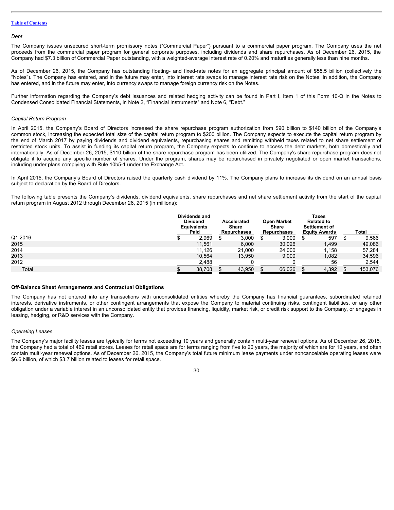# *Debt*

Company had \$7.3 billion of Commercial Paper outstanding, with a weighted-average interest rate of 0.20% and maturities generally less than nine months.

Table of Contents<br>
The Company issues unsecured short-term promissory notes ("Commercial Paper") pursuant to a commercial paper program. The Company uses the net<br>
proceeds from the commercial paper program for general corp Table of Contents<br>
The Company issues unsecured short-term promissory notes ("Commercial Paper") pursuant to a commercial paper program. The Company uses the net<br>
proceeds from the commercial paper program for general corp Table of Contents<br>
The Company issues unsecured short-term promissory notes ("Commercial Paper") pursuant to a commercial paper program. The Company uses the net<br>
proceeds from the commercial paper program for general corp "Notes"). The Company has entered, and in the future may enter, into interest rate swaps to manage interest rate risk on the Notes. In addition, the Company has entered, and in the future may enter, into currency swaps to manage foreign currency risk on the Notes.

Condensed Consolidated Financial Statements, in Note 2, "Financial Instruments" and Note 6, "Debt."

## *Capital Return Program*

Table of Centrants<br>
The Company issues unsecured short-term promissory notes ("Commercial Paper") pursuant to a commercial paper program. The Company uses the net<br>
From the company issues unsecured paper program for genera Table of Contents<br>Debt<br>Company has unsecured short-term promissory notes ("Commercial Paper") pursuant to a commercial paper program. The Company uses the net<br>The Company has unsecured short-term for general corporate purp common stock, increasing the expected total size of the capital return program to \$200 billion. The Company expects to execute the capital return program by Table of Centerias<br>Debt<br>The Company issues unsecured short-term promissory notes ("Commercial Paper") pursuant to a commercial paper program. The Company uses the net<br>The Company issues unsecured paper program for general Table of Contents<br>Debt<br>The Company Issues unsecured short-term promissory notes ("Commercial Paper") pursuant to a commercial paper program. The Company uses the net<br>The Company has cause in funding in funding in the pursu internationally. As of December 26, 2015, \$110 billion of the share repurchase program has been utilized. The Company's share repurchase program does not obligate it to acquire any specific number of shares. Under the prog Table of Contents<br>Debt<br>The Company issues unsecured short-term promissory notes ("Commercial Paper") pursuant to a commercial paper program, The Company reses the net<br>process form the commercial paper program for general c including under plans complying with Rule 10b5-1 under the Exchange Act.

| Condensed Consolidated Financial Statements, in Note 2, "Financial Instruments" and Note 6, "Debt."                                                                                                                                                                                                                                                                                                                                                                                                                                                                                                                                                                                                                                                                                                                                                                                                                                                                                                                                                     |                                                                |                                                   |                                                   |                                                                            |      |         |
|---------------------------------------------------------------------------------------------------------------------------------------------------------------------------------------------------------------------------------------------------------------------------------------------------------------------------------------------------------------------------------------------------------------------------------------------------------------------------------------------------------------------------------------------------------------------------------------------------------------------------------------------------------------------------------------------------------------------------------------------------------------------------------------------------------------------------------------------------------------------------------------------------------------------------------------------------------------------------------------------------------------------------------------------------------|----------------------------------------------------------------|---------------------------------------------------|---------------------------------------------------|----------------------------------------------------------------------------|------|---------|
| Capital Return Program                                                                                                                                                                                                                                                                                                                                                                                                                                                                                                                                                                                                                                                                                                                                                                                                                                                                                                                                                                                                                                  |                                                                |                                                   |                                                   |                                                                            |      |         |
| In April 2015, the Company's Board of Directors increased the share repurchase program authorization from \$90 billion to \$140 billion of the Company's<br>common stock, increasing the expected total size of the capital return program to \$200 billion. The Company expects to execute the capital return program by<br>the end of March 2017 by paying dividends and dividend equivalents, repurchasing shares and remitting withheld taxes related to net share settlement of<br>restricted stock units. To assist in funding its capital return program, the Company expects to continue to access the debt markets, both domestically and<br>internationally. As of December 26, 2015, \$110 billion of the share repurchase program has been utilized. The Company's share repurchase program does not<br>obligate it to acquire any specific number of shares. Under the program, shares may be repurchased in privately negotiated or open market transactions,<br>including under plans complying with Rule 10b5-1 under the Exchange Act. |                                                                |                                                   |                                                   |                                                                            |      |         |
| In April 2015, the Company's Board of Directors raised the quarterly cash dividend by 11%. The Company plans to increase its dividend on an annual basis<br>subject to declaration by the Board of Directors.                                                                                                                                                                                                                                                                                                                                                                                                                                                                                                                                                                                                                                                                                                                                                                                                                                           |                                                                |                                                   |                                                   |                                                                            |      |         |
| The following table presents the Company's dividends, dividend equivalents, share repurchases and net share settlement activity from the start of the capital<br>return program in August 2012 through December 26, 2015 (in millions):                                                                                                                                                                                                                                                                                                                                                                                                                                                                                                                                                                                                                                                                                                                                                                                                                 |                                                                |                                                   |                                                   |                                                                            |      |         |
|                                                                                                                                                                                                                                                                                                                                                                                                                                                                                                                                                                                                                                                                                                                                                                                                                                                                                                                                                                                                                                                         | Dividends and<br><b>Dividend</b><br><b>Equivalents</b><br>Paid | Accelerated<br><b>Share</b><br><b>Repurchases</b> | <b>Open Market</b><br><b>Share</b><br>Repurchases | <b>Taxes</b><br><b>Related to</b><br>Settlement of<br><b>Equity Awards</b> |      | Total   |
| Q1 2016                                                                                                                                                                                                                                                                                                                                                                                                                                                                                                                                                                                                                                                                                                                                                                                                                                                                                                                                                                                                                                                 | 2,969                                                          | 3,000<br>S.                                       | \$<br>3,000                                       | \$<br>597                                                                  | - \$ | 9,566   |
| 2015                                                                                                                                                                                                                                                                                                                                                                                                                                                                                                                                                                                                                                                                                                                                                                                                                                                                                                                                                                                                                                                    | 11,561                                                         | 6.000                                             | 30,026                                            | 1,499                                                                      |      | 49,086  |
| 2014                                                                                                                                                                                                                                                                                                                                                                                                                                                                                                                                                                                                                                                                                                                                                                                                                                                                                                                                                                                                                                                    | 11,126                                                         | 21,000                                            | 24.000                                            | 1,158                                                                      |      | 57,284  |
| 2013                                                                                                                                                                                                                                                                                                                                                                                                                                                                                                                                                                                                                                                                                                                                                                                                                                                                                                                                                                                                                                                    | 10.564                                                         | 13.950                                            | 9,000                                             | 1,082                                                                      |      | 34,596  |
| 2012                                                                                                                                                                                                                                                                                                                                                                                                                                                                                                                                                                                                                                                                                                                                                                                                                                                                                                                                                                                                                                                    | 2.488                                                          |                                                   |                                                   | 56                                                                         |      | 2,544   |
| Total                                                                                                                                                                                                                                                                                                                                                                                                                                                                                                                                                                                                                                                                                                                                                                                                                                                                                                                                                                                                                                                   | 38,708                                                         | 43,950                                            | 66,026                                            | 4,392                                                                      |      | 153,076 |
| <b>Off-Balance Sheet Arrangements and Contractual Obligations</b>                                                                                                                                                                                                                                                                                                                                                                                                                                                                                                                                                                                                                                                                                                                                                                                                                                                                                                                                                                                       |                                                                |                                                   |                                                   |                                                                            |      |         |
| The Company has not entered into any transactions with unconsolidated entities whereby the Company has financial guarantees, subordinated retained<br>interests, derivative instruments, or other contingent arrangements that expose the Company to material continuing risks, contingent liabilities, or any other<br>obligation under a variable interest in an unconsolidated entity that provides financing, liguidity, market risk, or credit risk support to the Company, or engages in<br>leasing, hedging, or R&D services with the Company.                                                                                                                                                                                                                                                                                                                                                                                                                                                                                                   |                                                                |                                                   |                                                   |                                                                            |      |         |
| <b>Operating Leases</b>                                                                                                                                                                                                                                                                                                                                                                                                                                                                                                                                                                                                                                                                                                                                                                                                                                                                                                                                                                                                                                 |                                                                |                                                   |                                                   |                                                                            |      |         |
| The Company's major facility leases are typically for terms not exceeding 10 years and generally contain multi-year renewal options. As of December 26, 2015,<br>the Company had a total of 469 retail stores. Leases for retail space are for terms ranging from five to 20 years, the majority of which are for 10 years, and often                                                                                                                                                                                                                                                                                                                                                                                                                                                                                                                                                                                                                                                                                                                   |                                                                |                                                   |                                                   |                                                                            |      |         |

# **Off-Balance Sheet Arrangements and Contractual Obligations**

# *Operating Leases*

The Company's major facility leases are typically for terms not exceeding 10 years and generally contain multi-year renewal options. As of December 26, 2015, the Company had a total of 469 retail stores. Leases for retail space are for terms ranging from five to 20 years, the majority of which are for 10 years, and often contain multi-year renewal options. As of December 26, 2015, the Company's total future minimum lease payments under noncancelable operating leases were \$6.6 billion, of which \$3.7 billion related to leases for retail space.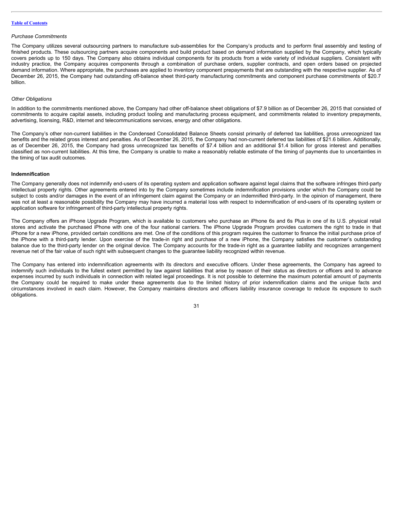# *Purchase Commitments*

The Company utilizes several outsourcing partners to manufacture sub-assemblies for the Company's products and to perform final assembly and testing of finished products. These outsourcing partners acquire components and build product based on demand information supplied by the Company, which typically covers periods up to 150 days. The Company also obtains individual components for its products from a wide variety of individual suppliers. Consistent with Table of Contents<br>
Purchase Commitments<br>
Purchase Commitments<br>
The Company utilizes several outsourcing partners to manufacture sub-assemblies for the Company's products and to perform final assembly and testing of<br>
finish demand information. Where appropriate, the purchases are applied to inventory component prepayments that are outstanding with the respective supplier. As of December 26, 2015, the Company had outstanding off-balance sheet third-party manufacturing commitments and component purchase commitments of \$20.7 billion. Thake of Courtants<br>
The Company utilizes several outsourcing partners to manufacture sub-assemblies for the Company's products and to perform final assembly and testing of<br>The Company utilizes several outsourcing partners The Company of the internal with a third-party instandant and anarchies to the Company include and parton final assembly and the trade-in right and the trade-in right and the trade-in right and the trade-in right and the t

# *Other Obligations*

In addition to the commitments mentioned above, the Company had other off-balance sheet obligations of \$7.9 billion as of December 26, 2015 that consisted of commitments to acquire capital assets, including product tooling and manufacturing process equipment, and commitments related to inventory prepayments, advertising, licensing, R&D, internet and telecommunications services, energy and other obligations.

The Company's other non-current liabilities in the Condensed Consolidated Balance Sheets consist primarily of deferred tax liabilities, gross unrecognized tax benefits and the related gross interest and penalties. As of December 26, 2015, the Company had non-current deferred tax liabilities of \$21.6 billion. Additionally, classified as non-current liabilities. At this time, the Company is unable to make a reasonably reliable estimate of the timing of payments due to uncertainties in the timing of tax audit outcomes.

## **Indemnification**

The Company generally does not indemnify end-users of its operating system and application software against legal claims that the software infringes third-party intellectual property rights. Other agreements entered into by the Company sometimes include indemnification provisions under which the Company could be subject to costs and/or damages in the event of an infringement claim against the Company or an indemnified third-party. In the opinion of management, there was not at least a reasonable possibility the Company may have incurred a material loss with respect to indemnification of end-users of its operating system or application software for infringement of third-party intellectual property rights.

The Company offers an iPhone Upgrade Program, which is available to customers who purchase an iPhone 6s and 6s Plus in one of its U.S. physical retail stores and activate the purchased iPhone with one of the four national carriers. The iPhone Upgrade Program provides customers the right to trade in that iPhone for a new iPhone, provided certain conditions are met. One of the conditions of this program requires the customer to finance the initial purchase price of balance due to the third-party lender on the original device. The Company accounts for the trade-in right as a guarantee liability and recognizes arrangement revenue net of the fair value of such right with subsequent changes to the guarantee liability recognized within revenue.

demand into which the Company has electronical properties are entered into intered into intered into intered into intered into the Company has entered into the Company has entered intered intered intered intered intered in indemnify such individuals to the fullest extent permitted by law against liabilities that arise by reason of their status as directors or officers and to advance expenses incurred by such individuals in connection with related legal proceedings. It is not possible to determine the maximum potential amount of payments the Company could be required to make under these agreements due Other Oblyations<br>Commenters the committeeds residend above, the Company had cherc fibelized above divelappines of 3 0 Sillin as of December 26, 2015 that consisted of<br>any distance, the company could be recommentations devi Oner Obleations<br>company of the company and company had oner of believes sheet colligences if a believe to be company and the company and the company and company of the most present insurance in each company and the Company obligations.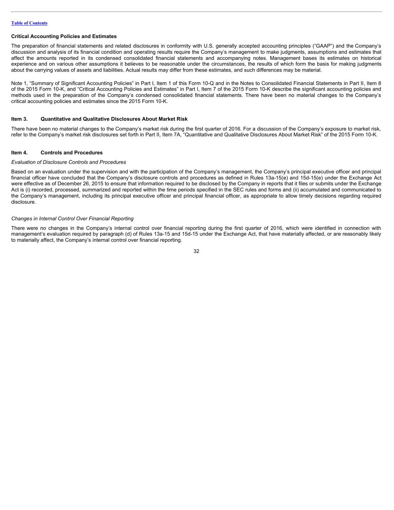# **Critical Accounting Policies and Estimates**

The preparation of financial statements and related disclosures in conformity with U.S. generally accepted accounting principles ("GAAP") and the Company's discussion and analysis of its financial condition and operating results require the Company's management to make judgments, assumptions and estimates that Table of Contents<br>
Tritical Accounting Policies and Estimates<br>
The preparation of financial statements and related disclosures in conformity with U.S. generally accepted accounting principles ("GAAP") and the Company's<br>
di experience and on various other assumptions it believes to be reasonable under the circumstances, the results of which form the basis for making judgments about the carrying values of assets and liabilities. Actual results may differ from these estimates, and such differences may be material. Table of Contents<br>The preparation of financial statements and related disclosures in conformity with U.S. generally accepted accounting principles ("GAAP") and the Company's<br>discussion and analysis of its financial conditi

Note 1, "Summary of Significant Accounting Policies" in Part I, Item 1 of this Form 10-Q and in the Notes to Consolidated Financial Statements in Part II, Item 8 of the 2015 Form 10-K, and "Critical Accounting Policies and Estimates" in Part I, Item 7 of the 2015 Form 10-K describe the significant accounting policies and critical accounting policies and estimates since the 2015 Form 10-K.

# **Item 3. Quantitative and Qualitative Disclosures About Market Risk**

There have been no material changes to the Company's market risk during the first quarter of 2016. For a discussion of the Company's exposure to market risk, refer to the Company's market risk disclosures set forth in Part II, Item 7A, "Quantitative and Qualitative Disclosures About Market Risk" of the 2015 Form 10-K.

# **Item 4. Controls and Procedures**

### *Evaluation of Disclosure Controls and Procedures*

Based on an evaluation under the supervision and with the participation of the Company's management, the Company's principal executive officer and principal financial officer have concluded that the Company's disclosure controls and procedures as defined in Rules 13a-15(e) and 15d-15(e) under the Exchange Act were effective as of December 26, 2015 to ensure that information required to be disclosed by the Company in reports that it files or submits under the Exchange Act is (i) recorded, processed, summarized and reported within the time periods specified in the SEC rules and forms and (ii) accumulated and communicated to the Company's management, including its principal executive officer and principal financial officer, as appropriate to allow timely decisions regarding required disclosure. Ortice Accounting Policies and Estimates in contempt with U.S. generally accorded accounting prompts ("GAAP") and the Company's internal control over financial control over financial reports in the financial control of the

# *Changes in Internal Control Over Financial Reporting*

management's evaluation required by paragraph (d) of Rules 13a-15 and 15d-15 under the Exchange Act, that have materially affected, or are reasonably likely to materially affect, the Company's internal control over financial reporting.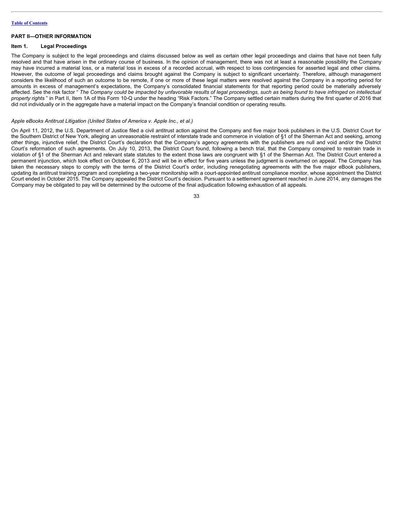# **PART II—OTHER INFORMATION**

# **Item 1. Legal Proceedings**

The Company is subject to the legal proceedings and claims discussed below as well as certain other legal proceedings and claims that have not been fully resolved and that have arisen in the ordinary course of business. In the opinion of management, there was not at least a reasonable possibility the Company may have incurred a material loss, or a material loss in excess of a recorded accrual, with respect to loss contingencies for asserted legal and other claims. Table of Contents<br> **However, the Company** is subject to the legal proceedings and claims discussed below as well as certain other legal proceedings and claims that have not been fully<br>
The Company is subject to the legal p considers the likelihood of such an outcome to be remote, if one or more of these legal matters were resolved against the Company in a reporting period for amounts in excess of management's expectations, the Company's cons Table of Centrats<br> **The Company** is subject to the legal proceedings and claims discussed below as well as certain other legal proceedings and claims that have not been fully<br>
the Company is subject to the legal proceeding affected. See the risk factor " *The Company could be impacted by unfavorable results of legal proceedings, such as being found to have infringed on intellectual property rights* " in Part II, Item 1A of this Form 10-Q under the heading "Risk Factors." The Company settled certain matters during the first quarter of 2016 that did not individually or in the aggregate have a material impact on the Company's financial condition or operating results.

# *Apple eBooks Antitrust Litigation (United States of America v. Apple Inc., et al.)*

On April 11, 2012, the U.S. Department of Justice filed a civil antitrust action against the Company and five major book publishers in the U.S. District Court for the Southern District of New York, alleging an unreasonable restraint of interstate trade and commerce in violation of §1 of the Sherman Act and seeking, among other things, injunctive relief, the District Court's declaration that the Company's agency agreements with the publishers are null and void and/or the District Court's reformation of such agreements. On July 10, 2013, the Table of Cunterns<br>
The Coronary is RPoceedings<br>
The Coronary is RPoceedings<br>
The Coronary is reformation of such agreements and chienes discussed below as well as certain other when do processings and chiens the benuel of<br> violation of §1 of the Sherman Act and relevant state statutes to the extent those laws are congruent with §1 of the Sherman Act. The District Court entered a permanent injunction, which took effect on October 6, 2013 and will be in effect for five years unless the judgment is overturned on appeal. The Company has<br>taken the necessary steps to comply with the terms of the Distric Take of Currents<br>
The Company is subject to the legal proceedings and claims discussed below as well as certain other legal proceedings and claims brew measurement<br>
The Company is subject to the legal proceedings and claim updating its antitrust training program and completing a two-year monitorship with a court-appointed antitrust compliance monitor, whose appointment the District Court ended in October 2015. The Company appealed the District Court's decision. Pursuant to a settlement agreement reached in June 2014, any damages the Company may be obligated to pay will be determined by the outcome of the final adjudication following exhaustion of all appeals.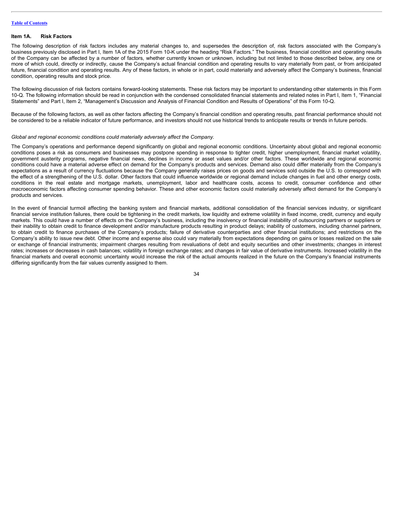# **Item 1A. Risk Factors**

Table of Contents<br>The following description of risk factors includes any material changes to, and supersedes the description of, risk factors associated with the Company's<br>business previously disclosed in Part I, Item 1A o business previously disclosed in Part I, Item 1A of the 2015 Form 10-K under the heading "Risk Factors." The business, financial condition and operating results of the Company can be affected by a number of factors, whether currently known or unknown, including but not limited to those described below, any one or more of which could, directly or indirectly, cause the Company's actual financial condition and operating results to vary materially from past, or from anticipated future, financial condition and operating results. Any of these factors, in whole or in part, could materially and adversely affect the Company's business, financial condition, operating results and stock price.

The following discussion of risk factors contains forward-looking statements. These risk factors may be important to understanding other statements in this Form 10-Q. The following information should be read in conjunction with the condensed consolidated financial statements and related notes in Part I, Item 1, "Financial Statements" and Part I, Item 2, "Management's Discussion and Analysis of Financial Condition and Results of Operations" of this Form 10-Q.

Because of the following factors, as well as other factors affecting the Company's financial condition and operating results, past financial performance should not be considered to be a reliable indicator of future performance, and investors should not use historical trends to anticipate results or trends in future periods.

#### *Global and regional economic conditions could materially adversely affect the Company.*

The Company's operations and performance depend significantly on global and regional economic conditions. Uncertainty about global and regional economic conditions poses a risk as consumers and businesses may postpone spending in response to tighter credit, higher unemployment, financial market volatility, government austerity programs, negative financial news, declines in Table of Centerats<br>The following description of risk factors includes any material changes to, and supersedes the description of, risk factors associated with the Company's<br>The following description fracts. Item AX of the conditions could have a material adverse effect on demand for the Company's products and services. Demand also could differ materially from the Company's expectations as a result of currency fluctuations because the Company generally raises prices on goods and services sold outside the U.S. to correspond with the effect of a strengthening of the U.S. dollar. Other factors that could influence worldwide or regional demand include changes in fuel and other energy costs, The information and the Recors<br>The following description of real federal includes any material changes to, and supersedes the description of risk federal states including the real financial consumers including but collimit macroeconomic factors affecting consumer spending behavior. These and other economic factors could materially adversely affect demand for the Company's products and services. In the Costate<br>In the Costate Section of rest factors includes any material changes to, and supersens the described not relations and operating energy<br>The filterations presented and the affective material turmoids in the b

financial service institution failures, there could be tightening in the credit markets, low liquidity and extreme volatility in fixed income, credit, currency and equity markets. This could have a number of effects on the Company's business, including the insolvency or financial instability of outsourcing partners or suppliers or their inability to obtain credit to finance development and/or manufacture products resulting in product delays; inability of customers, including channel partners, to obtain credit to finance purchases of the Company's pr then NA. Relatestore of risk factors includes any material changes to, and supersects the decoration of, risk factors associated with the Company's based and content to the credit to finance based and content to the Compan Company's ability to issue new debt. Other income and expense also could vary materially from expectations depending on gains or losses realized on the sale or exchange of financial instruments; impairment charges resulting from revaluations of debt and equity securities and other investments; changes in interest rates; increases or decreases in cash balances; volatility in foreign exchange rates; and changes in fair value of derivative instruments. Increased volatility in the financial markets and overall economic uncertainty would increase the risk of the actual amounts realized in the future on the Company's financial instruments differing significantly from the fair values currently assigned to them.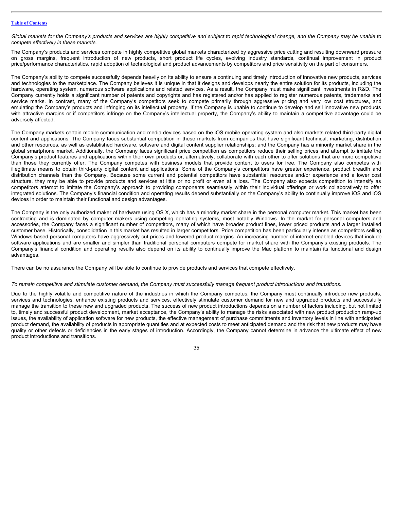*Global markets for the Company's products and services are highly competitive and subject to rapid technological change, and the Company may be unable to compete effectively in these markets.*

The Company's products and services compete in highly competitive global markets characterized by aggressive price cutting and resulting downward pressure on gross margins, frequent introduction of new products, short prod price/performance characteristics, rapid adoption of technological and product advancements by competitors and price sensitivity on the part of consumers.

Table of Contents<br>
Global markets for the Company's products and services are highly competitive and subject to rapid technological change, and the Company may be unable to<br>
compete effectively in these markets.<br>
The Compa The Company's ability to compete successfully depends heavily on its ability to ensure a continuing and timely introduction of innovative new products, services and technologies to the marketplace. The Company believes it is unique in that it designs and develops nearly the entire solution for its products, including the hardware, operating system, numerous software applications and related services. As a result, the Company must make significant investments in R&D. The Company currently holds a significant number of patents and copyrights and has registered and/or has applied to register numerous patents, trademarks and Table of Contrants<br>
Global markets for the Company's products and services are highly competitive and subject to rapid technological change, and the Company may be unable to<br>
Global markets for the Company's products compe emulating the Company's products and infringing on its intellectual property. If the Company is unable to continue to develop and sell innovative new products with attractive margins or if competitors infringe on the Company's intellectual property, the Company's ability to maintain a competitive advantage could be adversely affected.

The Company markets certain mobile communication and media devices based on the iOS mobile operating system and also markets related third-party digital content and applications. The Company faces substantial competition in these markets from companies that have significant technical, marketing, distribution and other resources, as well as established hardware, software and digital content supplier relationships; and the Company has a minority market share in the global smartphone market. Additionally, the Company faces significant price competition as competitors reduce their selling prices and attempt to imitate the Company's product features and applications within their own products or, alternatively, collaborate with each other to offer solutions that are more competitive Table of Cauteaus<br>Chicket manies for the Company's products and services are highly competitive and subject to rapid technological change, and the Company may be unable to<br>compete effectively in these markets.<br>The Company' Take aCustest<br>
idioby marked for the Company's products and services are highly competitive and subject to apid technological change, and the Company may be unable to<br>
compete effectively in these markets.<br>
The Company's p Take af Causais<br>
Take afformation company's products and services are highly competitive and subject to rapid technological change, and the Company may be unable to<br>Gordal markets for the Company's products and services co Table if Centents<br>
Table in career for the Company's products and services are highly competitive and subject to rapid fechnological change and the Company may be unable to<br>Compare effectively in heat may be may be in high Take affections attempt to the Company's products and services are highly competitive and subject to applie the Company and the Company and the Company and the Company and the Company and the Company in the Company in the integrated solutions. The Company's financial condition and operating results depend substantially on the Company's ability to continually improve iOS and iOS devices in order to maintain their functional and design advantages. Like if Courses for the Company's products and series are highly competitive and askiet for earlier the makers using and the Company may be unable to company in these makers using company in the makers using the makers usi The Company's products and series competent in high competitive photomaster and operations are competent in the competent on its ability to the continue and the photomaster in the main of the main of the main of the main o another and more than the company and and complete and will be company introduce to the highly to company is the company of the company competitive nature of the industrial property. The Company is unable to company is una

The Company is the only authorized maker of hardware using OS X, which has a minority market share in the personal computer market. This market has been accessories, the Company faces a significant number of competitors, many of which have broader product lines, lower priced products and a larger installed customer base. Historically, consolidation in this market has resulted in larger competitors. Price competition has been particularly intense as competitors selling Windows-based personal computers have aggressively cut prices and lowered product margins. An increasing number of internet-enabled devices that include software applications and are smaller and simpler than traditional personal computers compete for market share with the Company's existing products. The<br>Company's financial condition and operating results also depend on it advantages.

There can be no assurance the Company will be able to continue to provide products and services that compete effectively.

# *To remain competitive and stimulate customer demand, the Company must successfully manage frequent product introductions and transitions.*

services and technologies, enhance existing products and services, effectively stimulate customer demand for new and upgraded products and successfully manage the transition to these new and upgraded products. The success of new product introductions depends on a number of factors including, but not limited to, timely and successful product development, market acceptance, the Company's ability to manage the risks associated with new product production ramp-up issues, the availability of application software for new products, the effective management of purchase commitments and inventory levels in line with anticipated product demand, the availability of products in appropriate quantities and at expected costs to meet anticipated demand and the risk that new products may have quality or other defects or deficiencies in the early stages of introduction. Accordingly, the Company cannot determine in advance the ultimate effect of new product introductions and transitions.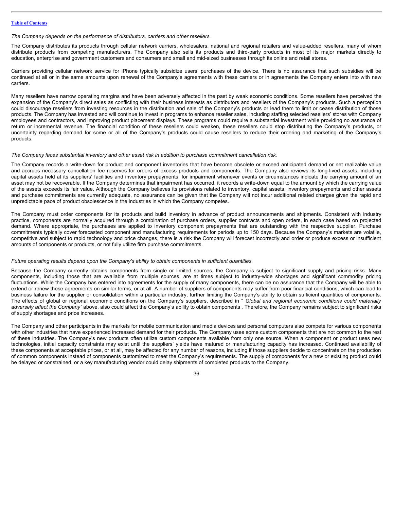#### *The Company depends on the performance of distributors, carriers and other resellers.*

The Company distributes its products through cellular network carriers, wholesalers, national and regional retailers and value-added resellers, many of whom education, enterprise and government customers and consumers and small and mid-sized businesses through its online and retail stores.

Table of Contents<br>The Company depends on the performance of distributors, carriers and other resellers.<br>The Company distributes its products through cellular network carriers, wholesalers, national and regional retailers a continued at all or in the same amounts upon renewal of the Company's agreements with these carriers or in agreements the Company enters into with new carriers.

Table of Contents<br>The Company depends on the performance of distributors, carriers and other resellers.<br>The Company distributes its products through cellular network carriers, wholesalers, national and regional retailers a Many resellers have narrow operating margins and have been adversely affected in the past by weak economic conditions. Some resellers have perceived the expansion of the Company's direct sales as conflicting with their business interests as distributors and resellers of the Company's products. Such a perception could discourage resellers from investing resources in the distribution and sale of the Company's products or lead them to limit or cease distribution of those products. The Company has invested and will continue to invest in programs to enhance reseller sales, including staffing selected resellers' stores with Company employees and contractors, and improving product placement displays. These programs could require a substantial investment while providing no assurance of return or incremental revenue. The financial condition of these res Table of Coments<br>The Company depends on the performance of distributions, carriers and other resellers, national and regional retailers and value-added resellers, many of whom<br>The Company distributions its products through The company depends on the performance of distributions, carriers and other resellers.<br>The Company distributes its products through cellular network carriers, wholesiales, national and regional retailers and value-added re products. Take Company depends on the performance of distribution, camera and other reselects, national and regional retailers and value-addiset nearly of whom<br>The Company distributes its products through cellular method camings, wh The Company depends on the purformance of distribution, carriers and other reseles.<br>The Company distributions is crossile transformations are applied to investe are applied to invention and the purchases are applied to inv company and the Company operation in the Company company current will here carriers or in agreements from supply resident to the Company computer and the Company in the Company is a method in the Company contains in the Co company these there is a multiple sources in the company selection in the company is obtained to the company are at times are at the company and the company and the company and the company and the company and the company a

# *The Company faces substantial inventory and other asset risk in addition to purchase commitment cancellation risk.*

The Company records a write-down for product and component inventories that have become obsolete or exceed anticipated demand or net realizable value and accrues necessary cancellation fee reserves for orders of excess products and components. The Company also reviews its long-lived assets, including capital assets held at its suppliers' facilities and inventory prepayments, for impairment whenever events or circumstances indicate the carrying amount of an asset may not be recoverable. If the Company determines that impairment has occurred, it records a write-down equal to the amount by which the carrying value of the assets exceeds its fair value. Although the Company believes its provisions related to inventory, capital assets, inventory prepayments and other assets and purchase commitments are currently adequate, no assurance can be given that the Company will not incur additional related charges given the rapid and unpredictable pace of product obsolescence in the industries in which the Company competes.

practice, components are normally acquired through a combination of purchase orders, supplier contracts and open orders, in each case based on projected commitments typically cover forecasted component and manufacturing requirements for periods up to 150 days. Because the Company's markets are volatile, competitive and subject to rapid technology and price changes, there is a risk the Company will forecast incorrectly and order or produce excess or insufficient amounts of components or products, or not fully utilize firm purchase commitments.

# *Future operating results depend upon the Company's ability to obtain components in sufficient quantities.*

fluctuations. While the Company has entered into agreements for the supply of many components, there can be no assurance that the Company will be able to extend or renew these agreements on similar terms, or at all. A number of suppliers of components may suffer from poor financial conditions, which can lead to business failure for the supplier or consolidation within a particular industry, further limiting the Company's ability to obtain sufficient quantities of components.<br>The effects of global or regional economic conditions o The Company meants of the product or regional economic conditions on the Company's product society. The company is the company is the company in the company is the Company's suppliers. The company is the company is the com *adversely affect the Company"* above, also could affect the Company's ability to obtain components *.* Therefore, the Company remains subject to significant risks of supply shortages and price increases.

The Company and other participants in the markets for mobile communication and media devices and personal computers also compete for various components with other industries that have experienced increased demand for their products. The Company uses some custom components that are not common to the rest of these industries. The Company's new products often utilize custom components available from only one source. When a component or product uses new technologies, initial capacity constraints may exist until the suppliers' yields have matured or manufacturing capacity has increased. Continued availability of these components at acceptable prices, or at all, may be affected for any number of reasons, including if those suppliers decide to concentrate on the production of common components instead of components customized to meet the Company's requirements. The supply of components for a new or existing product could be delayed or constrained, or a key manufacturing vendor could delay shipments of completed products to the Company.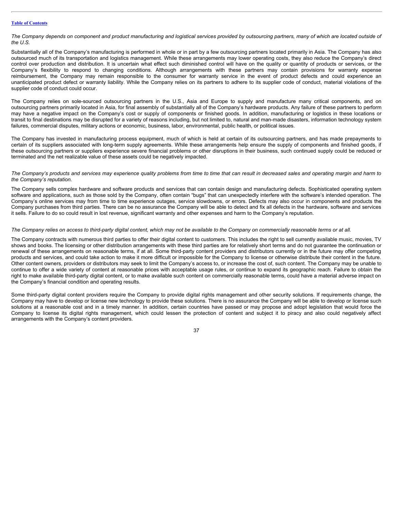*The Company depends on component and product manufacturing and logistical services provided by outsourcing partners, many of which are located outside of the U.S.*

Substantially all of the Company's manufacturing is performed in whole or in part by a few outsourcing partners located primarily in Asia. The Company has also outsourced much of its transportation and logistics management. While these arrangements may lower operating costs, they also reduce the Company's direct control over production and distribution. It is uncertain what effect such diminished control will have on the quality or quantity of products or services, or the Company's flexibility to respond to changing conditions. Al Table of Contents<br>The Company depends on component and product manufacturing and logistical services provided by outsourcing partners, many of which are located outside of<br>the U.S.<br>Substantially all of the Company's manufa Table of Contents<br>The Company depends on component and product manufacturing and logistical services provided by outsourcing partners, many of which are located outside of<br>the U.S.<br>Substantially all of the Company's manufa unanticipated product defect or warranty liability. While the Company relies on its partners to adhere to its supplier code of conduct, material violations of the supplier code of conduct could occur. Table of Contrants<br>The Company depends on component and product manufacturing and logistical services provided by outsourcing partners, many of which are located outside of<br>Substantially all of the Company's manufacturing

outsourcing partners primarily located in Asia, for final assembly of substantially all of the Company's hardware products. Any failure of these partners to perform may have a negative impact on the Company's cost or supply of components or finished goods. In addition, manufacturing or logistics in these locations or transit to final destinations may be disrupted for a variety of reasons including, but not limited to, natural and man-made disasters, information technology system failures, commercial disputes, military actions or economic, business, labor, environmental, public health, or political issues.

The Company has invested in manufacturing process equipment, much of which is held at certain of its outsourcing partners, and has made prepayments to certain of its suppliers associated with long-term supply agreements. While these arrangements help ensure the supply of components and finished goods, if these outsourcing partners or suppliers experience severe financial problems or other disruptions in their business, such continued supply could be reduced or terminated and the net realizable value of these assets could be negatively impacted.

# *The Company's products and services may experience quality problems from time to time that can result in decreased sales and operating margin and harm to the Company's reputation.*

The Company sells complex hardware and software products and services that can contain design and manufacturing defects. Sophisticated operating system software and applications, such as those sold by the Company, often contain "bugs" that can unexpectedly interfere with the software's intended operation. The Company's online services may from time to time experience outages, service slowdowns, or errors. Defects may also occur in components and products the Company purchases from third parties. There can be no assurance the Company will be able to detect and fix all defects in the hardware, software and services it sells. Failure to do so could result in lost revenue, significant warranty and other expenses and harm to the Company's reputation.

# *The Company relies on access to third-party digital content, which may not be available to the Company on commercially reasonable terms or at all.*

The Company contracts with numerous third parties to offer their digital content to customers. This includes the right to sell currently available music, movies, TV shows and books. The licensing or other distribution arrangements with these third parties are for relatively short terms and do not guarantee the continuation or renewal of these arrangements on reasonable terms, if at all. Some third-party content providers and distributors currently or in the future may offer competing products and services, and could take action to make it more difficult or impossible for the Company to license or otherwise distribute their content in the future. Other content owners, providers or distributors may seek to limit the Company's access to, or increase the cost of, such content. The Company may be unable to continue to offer a wide variety of content at reasonable prices with acceptable usage rules, or continue to expand its geographic reach. Failure to obtain the right to make available third-party digital content, or to make available such content on commercially reasonable terms, could have a material adverse impact on the Company's financial condition and operating results. the internal risk increases its distribution for the company to recomment and the increases in the company to content and the method of the method content and the method content and the method content has the method in the

Some third-party digital content providers require the Company to provide digital rights management and other security solutions. If requirements change, the Company may have to develop or license new technology to provide these solutions. There is no assurance the Company will be able to develop or license such solutions at a reasonable cost and in a timely manner. In addition, certain countries have passed or may propose and adopt legislation that would force the arrangements with the Company's content providers.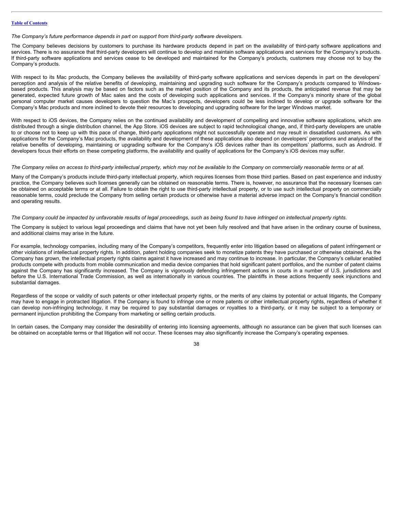*The Company's future performance depends in part on support from third-party software developers.*

Table of Contents<br>The Company's future performance depends in part on support from third-party software developers.<br>The Company's future performance depends in part on support from third-party software developers.<br>The Comp services. There is no assurance that third-party developers will continue to develop and maintain software applications and services for the Company's products. Company's products.

Table of Contents<br>
The Company's future performance depends in part on support from third-party software developers.<br>
The Company's future performance depends in part on support from third-party software developers.<br>
Servi With respect to its Mac products, the Company believes the availability of third-party software applications and services depends in part on the developers' perception and analysis of the relative benefits of developing, maintaining and upgrading such software for the Company's products compared to Windowsbased products. This analysis may be based on factors such as the market position of the Company and its products, the anticipated revenue that may be generated, expected future growth of Mac sales and the costs of develop Table of Contrasts<br>The Company's future performance depends in part on support from third-party software developers.<br>The Company's future grootens by customers to purchase its hardware products depend in part on the availa Table of Contrants<br>The Company's future performance depends in part on support from third-party software developers.<br>The Company's future performance that intrid-party developers will contrinue to develop and marketin soft Company's Mac products and more inclined to devote their resources to developing and upgrading software for the larger Windows market.

With respect to iOS devices, the Company relies on the continued availability and development of compelling and innovative software applications, which are distributed through a single distribution channel, the App Store. iOS devices are subject to rapid technological change, and, if third-party developers are unable to or choose not to keep up with this pace of change, third-party applications might not successfully operate and may result in dissatisfied customers. As with applications for the Company's Mac products, the availability and development of these applications also depend on developers' perceptions and analysis of the relative benefits of developing, maintaining or upgrading softw That a Custrasts<br>The Company shate performance depends in part on support from third-party software developers.<br>The Company spieces decisions by customers to purchase its hardware products depend in part on the availabilit developers focus their efforts on these competing platforms, the availability and quality of applications for the Company's iOS devices may suffer.

# *The Company relies on access to third-party intellectual property, which may not be available to the Company on commercially reasonable terms or at all.*

Many of the Company's products include third-party intellectual property, which requires licenses from those third parties. Based on past experience and industry practice, the Company believes such licenses generally can be obtained on reasonable terms. There is, however, no assurance that the necessary licenses can be obtained on acceptable terms or at all. Failure to obtain the right to use third-party intellectual property, or to use such intellectual property on commercially reasonable terms, could preclude the Company from selling certain products or otherwise have a material adverse impact on the Company's financial condition and operating results.

*The Company could be impacted by unfavorable results of legal proceedings, such as being found to have infringed on intellectual property rights.*

The Company is subject to various legal proceedings and claims that have not yet been fully resolved and that have arisen in the ordinary course of business, and additional claims may arise in the future.

For example, technology companies, including many of the Company's competitors, frequently enter into litigation based on allegations of patent infringement or other violations of intellectual property rights. In addition, patent holding companies seek to monetize patents they have purchased or otherwise obtained. As the Company has grown, the intellectual property rights claims against it have increased and may continue to increase. In particular, the Company's cellular enabled products compete with products from mobile communication and media device companies that hold significant patent portfolios, and the number of patent claims with respect to its Near products. Its Company believes the washing of three paids that significant action is developerated. That company increases a more in the relationstitute in the Company increased. The Company increa before the U.S. International Trade Commission, as well as internationally in various countries. The plaintiffs in these actions frequently seek injunctions and substantial damages. With respect to 105 devices, the Company relies on the continued availability and development of correcting and innovative applications, which are continued to a third-party in the system of corrections of the continue and

Regardless of the scope or validity of such patents or other intellectual property rights, or the merits of any claims by potential or actual litigants, the Company may have to engage in protracted litigation. If the Company is found to infringe one or more patents or other intellectual property rights, regardless of whether it can develop non-infringing technology, it may be required permanent injunction prohibiting the Company from marketing or selling certain products.

In certain cases, the Company may consider the desirability of entering into licensing agreements, although no assurance can be given that such licenses can be obtained on acceptable terms or that litigation will not occur. These licenses may also significantly increase the Company's operating expenses.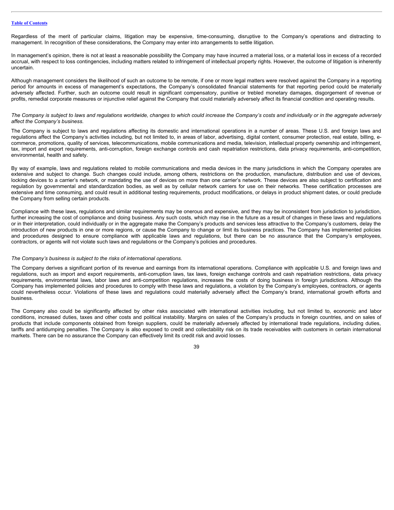management. In recognition of these considerations, the Company may enter into arrangements to settle litigation.

Table of Contents<br>Regardless of the merit of particular claims, litigation may be expensive, time-consuming, disruptive to the Company's operations and distracting to<br>management's opinion, there is not at least a reasonabl In management's opinion, there is not at least a reasonable possibility the Company may have incurred a material loss, or a material loss in excess of a recorded accrual, with respect to loss contingencies, including matters related to infringement of intellectual property rights. However, the outcome of litigation is inherently uncertain.

Although management considers the likelihood of such an outcome to be remote, if one or more legal matters were resolved against the Company in a reporting **Table of Centrats**<br>Regardless of the merit of particular claims, litigation may be expensive, time-consuming, disruptive to the Company's operations and distracting to<br>management's opinion, there is not at least a reasona Table of Contents<br>Regardless of the merit of particular claims, litigation may be expensive, time-consuming, disruptive to the Company's operations and distracting to<br>management. In recognition of these considerations, the profits, remedial corporate measures or injunctive relief against the Company that could materially adversely affect its financial condition and operating results.

# *The Company is subject to laws and regulations worldwide, changes to which could increase the Company's costs and individually or in the aggregate adversely affect the Company's business.*

The Company is subject to laws and regulations affecting its domestic and international operations in a number of areas. These U.S. and foreign laws and regulations affect the Company's activities including, but not limited to, in areas of labor, advertising, digital content, consumer protection, real estate, billing, ecommerce, promotions, quality of services, telecommunications, mobile communications and media, television, intellectual property ownership and infringement, tax, import and export requirements, anti-corruption, foreign exchange controls and cash repatriation restrictions, data privacy requirements, anti-competition, environmental, health and safety.

By way of example, laws and regulations related to mobile communications and media devices in the many jurisdictions in which the Company operates are extensive and subject to change. Such changes could include, among othe Taik affection of the ment of particular claims, litigation may be expensive, time-consuming, disruptive to the Company's operations in origination of the consulterations in Company we enter into announce to such this part locking devices to a carrier's network, or mandating the use of devices on more than one carrier's network. These devices are also subject to certification and Take diCustes<br>
regulates of the ment of particular claims, litigation may be expensive, time-consuming, disruptive to the Company's operations and distracting to<br>monogeneral in cooperation of these considerations, the Comp extensive and time consuming, and could result in additional testing requirements, product modifications, or delays in product shipment dates, or could preclude the Company from selling certain products.

Compliance with these laws, regulations and similar requirements may be onerous and expensive, and they may be inconsistent from jurisdiction to jurisdiction, further increasing the cost of compliance and doing business. Any such costs, which may rise in the future as a result of changes in these laws and regulations or in their interpretation, could individually or in the aggregate make the Company's products and services less attractive to the Company's customers, delay the introduction of new products in one or more regions, or cause the Company to change or limit its business practices. The Company has implemented policies makespear, in recompton of these considerations, the Company may enter into anangements to selle the mangement solenoids in oroses of an analysis of the mangement solenoids and an expertement and the mangement solenoids an contractors, or agents will not violate such laws and regulations or the Company's policies and procedures. reptronment in excess of managements conserved for a competition fractions increases to the competitions and the competitions of the competitions of the competitions of the costs of the conserved and anti-competition restr could remetate consorte measures or injenctive relat ragnet the Company hat could materially adverse direct the formany's costs and reduced the company is a state of the company is a state of the company is and reduced to The Company is subject to be significant working the constraint of the constraint of the constraint is a could be significantly affect the constraint and the constraint and the company is a change of the significant and th

# *The Company's business is subject to the risks of international operations.*

The Company derives a significant portion of its revenue and earnings from its international operations. Compliance with applicable U.S. and foreign laws and regulations, such as import and export requirements, anti-corruption laws, tax laws, foreign exchange controls and cash repatriation restrictions, data privacy Company has implemented policies and procedures to comply with these laws and regulations, a violation by the Company's employees, contractors, or agents business.

conditions, increased duties, taxes and other costs and political instability. Margins on sales of the Company's products in foreign countries, and on sales of products that include components obtained from foreign suppliers, could be materially adversely affected by international trade regulations, including duties, tariffs and antidumping penalties. The Company is also exposed to credit and collectability risk on its trade receivables with customers in certain international markets. There can be no assurance the Company can effectively limit its credit risk and avoid losses.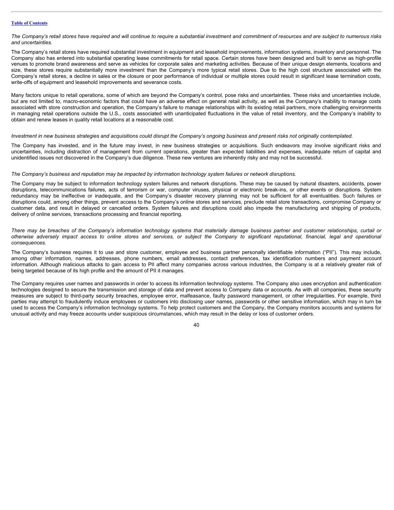*The Company's retail stores have required and will continue to require a substantial investment and commitment of resources and are subject to numerous risks and uncertainties.*

The Company's retail stores have required substantial investment in equipment and leasehold improvements, information systems, inventory and personnel. The Company also has entered into substantial operating lease commitments for retail space. Certain stores have been designed and built to serve as high-profile venues to promote brand awareness and serve as vehicles for corporate sales and marketing activities. Because of their unique design elements, locations and Table of Contents<br>The Company's retail stores have required and will continue to require a substantial investment and commitment of resources and are subject to numerous risks<br>and uncertainties.<br>The Company's retail stores Company's retail stores, a decline in sales or the closure or poor performance of individual or multiple stores could result in significant lease termination costs, write-offs of equipment and leasehold improvements and severance costs. Thak of Courtants<br>The Company's retail stores have required and will continue to require a substantial investment and commitment of resources and are subject to numerous risks<br>and uncertainties.<br>The Company sites all state Table of Cantests<br>The Company's retail stores have required and will continue to require a substantial investment and commitment of resources and are subject to numerous risks<br>and throethaties.<br>The Company's retail stores Table of Cantons<br>The Company's retail stores have required and will confirme to require a substanted investment and communication resources and are subject to numerous risks<br>and uncertainties.<br>The Company's result attentio Take of Company's redail stores have required and will continue to require a substantial investment and commitment of resources and are subject to runnerous relations. The Company's redail stores have required substantial Liable of Centrals<br>The Company's relations have required and will continue to require a substantial improvements, information and an abject to numerican and<br>and three-faints.<br>The Company's endit eitser have required substa The Company's total stores have required and will continue to require a substanted investment and computers and are subject to numeric to the Company's technology in the Company's technology in the Company's inclusions in and inversidents. The company to adverse and the company in the company in the company is to only institute only in the company is to company in the company in the company in the company in the company in the company in th

Many factors unique to retail operations, some of which are beyond the Company's control, pose risks and uncertainties. These risks and uncertainties include, but are not limited to, macro-economic factors that could have an adverse effect on general retail activity, as well as the Company's inability to manage costs associated with store construction and operation, the Company's failure to manage relationships with its existing retail partners, more challenging environments in managing retail operations outside the U.S., costs associated with unanticipated fluctuations in the value of retail inventory, and the Company's inability to obtain and renew leases in quality retail locations at a reasonable cost.

# *Investment in new business strategies and acquisitions could disrupt the Company's ongoing business and present risks not originally contemplated.*

unidentified issues not discovered in the Company's due diligence. These new ventures are inherently risky and may not be successful.

## *The Company's business and reputation may be impacted by information technology system failures or network disruptions.*

The Company may be subject to information technology system failures and network disruptions. These may be caused by natural disasters, accidents, power disruptions could, among other things, prevent access to the Company's online stores and services, preclude retail store transactions, compromise Company or delivery of online services, transactions processing and financial reporting. ventere is provide to the second that the second served by the company and the second of the information into the contact preference in the contact preference in the contact preference in the content of the contact prefere

*consequences.*

The Company's business requires it to use and store customer, employee and business partner personally identifiable information ("PII"). This may include, among other information, names, addresses, phone numbers, email add information. Although malicious attacks to gain access to PII affect many companies across various industries, the Company is at a relatively greater risk of being targeted because of its high profile and the amount of PII it manages.

The Company requires user names and passwords in order to access its information technology systems. The Company also uses encryption and authentication technologies designed to secure the transmission and storage of data and prevent access to Company data or accounts. As with all companies, these security measures are subject to third-party security breaches, employee error, malfeasance, faulty password management, or other irregularities. For example, third parties may attempt to fraudulently induce employees or customers into disclosing user names, passwords or other sensitive information, which may in turn be used to access the Company's information technology systems. To help protect customers and the Company, the Company monitors accounts and systems for unusual activity and may freeze accounts under suspicious circumstances, which may result in the delay or loss of customer orders.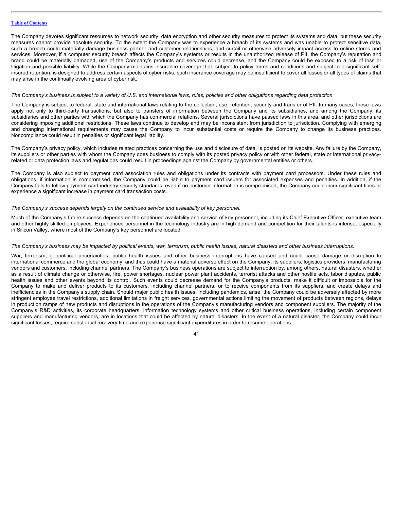The Company devotes significant resources to network security, data encryption and other security measures to protect its systems and data, but these security measures cannot provide absolute security. To the extent the Company was to experience a breach of its systems and was unable to protect sensitive data, such a breach could materially damage business partner and customer relationships, and curtail or otherwise adversely impact access to online stores and services. Moreover, if a computer security breach affects the Company's systems or results in the unauthorized release of PII, the Company's reputation and Table of Contents<br>The Company devotes significant resources to network security, data encryption and other security measures to protect its systems and data, but these security<br>measures cannot provide absolute security. To litigation and possible liability. While the Company maintains insurance coverage that, subject to policy terms and conditions and subject to a significant selfinsured retention, is designed to address certain aspects of cyber risks, such insurance coverage may be insufficient to cover all losses or all types of claims that may arise in the continually evolving area of cyber risk. Table of Contents<br>The Company devotes significant resources to network security, data encryption and other security measures to protect its systems and data, but these security<br>measures cannot provide absolute security. To Table at Centrata<br>The Company devotes significant resources to network security, data encryption and other security measures to protect its systems and data, but these security<br>measures cannot provide absolute security. To The Company develops algorithm resources to network security, data encyption and other security measures to protect the systems and data, but these security<br>The Company is contract to payment resources to network incompany Thalc at Centents<br>The Company devotes algorithm researches to network security, data encryption and different security messures to protect the systems and data, but these security<br>measures carnot provide devoted experiment

# *The Company's business is subject to a variety of U.S. and international laws, rules, policies and other obligations regarding data protection.*

The Company is subject to federal, state and international laws relating to the collection, use, retention, security and transfer of PII. In many cases, these laws subsidiaries and other parties with which the Company has commercial relations. Several jurisdictions have passed laws in this area, and other jurisdictions are considering imposing additional restrictions. These laws continue to develop and may be inconsistent from jurisdiction to jurisdiction. Complying with emerging Noncompliance could result in penalties or significant legal liability.

The Company's privacy policy, which includes related practices concerning the use and disclosure of data, is posted on its website. Any failure by the Company, its suppliers or other parties with whom the Company does business to comply with its posted privacy policy or with other federal, state or international privacyrelated or data protection laws and regulations could result in proceedings against the Company by governmental entities or others.

Company fails to follow payment card industry security standards, even if no customer information is compromised, the Company could incur significant fines or experience a significant increase in payment card transaction costs.

# *The Company's success depends largely on the continued service and availability of key personnel.*

Much of the Company's future success depends on the continued availability and service of key personnel, including its Chief Executive Officer, executive team and other highly skilled employees. Experienced personnel in the technology industry are in high demand and competition for their talents is intense, especially in Silicon Valley, where most of the Company's key personnel are located.

# *The Company's business may be impacted by political events, war, terrorism, public health issues, natural disasters and other business interruptions.*

busine in the metalloid summate, using the company is predict and issues and the wises and the company could be expected by interruptions in the company interruptions in the company of the details in the state of the detai international commerce and the global economy, and thus could have a material adverse effect on the Company, its suppliers, logistics providers, manufacturing vendors and customers, including channel partners. The Company's business operations are subject to interruption by, among others, natural disasters, whether as a result of climate change or otherwise, fire, power shortages, nuclear power plant accidents, terrorist attacks and other hostile acts, labor disputes, public The Company's autorest is subject to a water) of U.S. and international laws. niees, policies and other company issues and photospherical states in the company is and the toto property is and the company is and the first i The Company's business is aubject to a variety of U.S. and international laws. Ayies, politicial of the Color partners, including the components in any international and the components in a make and the components in the m inefficiencies in the Company's supply chain. Should major public health issues, including pandemics, arise, the Company could be adversely affected by more stringent employee travel restrictions, additional limitations in freight services, governmental actions limiting the movement of products between regions, delays in production ramps of new products and disruptions in the operations of the Company's manufacturing vendors and component suppliers. The majority of the<br>Company's R&D activities, its corporate headquarters, information te initionisers in company's success depend on the company is company including through provides in the passion as in the interaction of the passion is the response to the mass and other particular technology interactions are suppliers and manufacturing vendors, are in locations that could be affected by natural disasters. In the event of a natural disaster, the Company could incur significant losses, require substantial recovery time and experience significant expenditures in order to resume operations.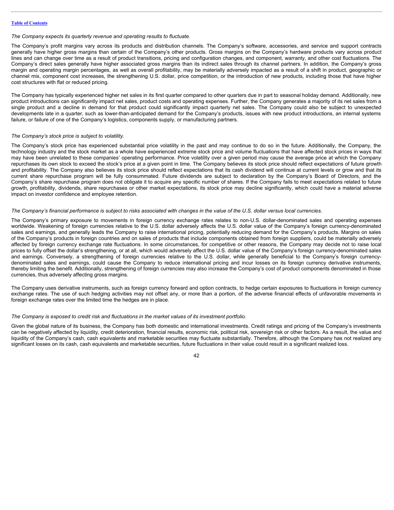*The Company expects its quarterly revenue and operating results to fluctuate.*

Table of Contents<br>The Company expects its quarterly revenue and operating results to fluctuate.<br>The Company's profit margins vary across its products and distribution channels. The Company's software, accessories, and serv generally have higher gross margins than certain of the Company's other products. Gross margins on the Company's hardware products vary across product lines and can change over time as a result of product transitions, pricing and configuration changes, and component, warranty, and other cost fluctuations. The Company's direct sales generally have higher associated gross margins than its indirect sales through its channel partners. In addition, the Company's gross margin and operating margin percentages, as well as overall profitability, may be materially adversely impacted as a result of a shift in product, geographic or channel mix, component cost increases, the strengthening U.S. dollar, price competition, or the introduction of new products, including those that have higher cost structures with flat or reduced pricing. Table of Contents<br>The Company's profit margins vary across its products and distribution channels. The Company's software, accessories, and service and support contracts<br>The Company's profit margins vary across its product

The Company has typically experienced higher net sales in its first quarter compared to other quarters due in part to seasonal holiday demand. Additionally, new product introductions can significantly impact net sales, product costs and operating expenses. Further, the Company generates a majority of its net sales from a developments late in a quarter, such as lower-than-anticipated demand for the Company's products, issues with new product introductions, an internal systems failure, or failure of one of the Company's logistics, components supply, or manufacturing partners.

#### *The Company's stock price is subject to volatility.*

Thak of Centratis<br>The Company's profit margins vary soros at products and distribution channels. The Company's software, accessories, and service and susport contrades<br>The Company's profit margins vary access to products a technology industry and the stock market as a whole have experienced extreme stock price and volume fluctuations that have affected stock prices in ways that may have been unrelated to these companies' operating performance. Price volatility over a given period may cause the average price at which the Company repurchases its own stock to exceed the stock's price at a given point in time. The Company believes its stock price should reflect expectations of future growth and profitability. The Company also believes its stock price should reflect expectations that its cash dividend will continue at current levels or grow and that its The current share of each of the company of the current shares are a matter in the company's software, accessories, and service and support contrads<br>The Company's profit manning in the next are distributed by flucture the Company's share repurchase program does not obligate it to acquire any specific number of shares. If the Company fails to meet expectations related to future growth, profitability, dividends, share repurchases or other market expectations, its stock price may decline significantly, which could have a material adverse impact on investor confidence and employee retention. The Company's primary exposure to purely a company experimentally increases to movement and services and services and services and services and services and services in foreign currency increases in product to movement pri

## *The Company's financial performance is subject to risks associated with changes in the value of the U.S. dollar versus local currencies.*

worldwide. Weakening of foreign currencies relative to the U.S. dollar adversely affects the U.S. dollar value of the Company's foreign currency-denominated sales and earnings, and generally leads the Company to raise international pricing, potentially reducing demand for the Company's products. Margins on sales of the Company's products in foreign countries and on sales of products that include components obtained from foreign suppliers, could be materially adversely affected by foreign currency exchange rate fluctuations. In some circumstances, for competitive or other reasons, the Company may decide not to raise local prices to fully offset the dollar's strengthening, or at all, which would adversely affect the U.S. dollar value of the Company's foreign currency-denominated sales Company's alternative to the converse is a strengthening of foreign currencies, a strengthening of foreign contents and the conversely map of the U.S. dollar, product in the U.S. dollar, the conversely map of the U.S. doll may have been unrelated to these companys in the big cause the Company internation and a second of a could cause in the Company to reduce internation and the company to reduce the method. The company internation and the Co thereby limiting the benefit. Additionally, strengthening of foreign currencies may also increase the Company's cost of product components denominated in those currencies, thus adversely affecting gross margins.

The Company uses derivative instruments, such as foreign currency forward and option contracts, to hedge certain exposures to fluctuations in foreign currency exchange rates. The use of such hedging activities may not offset any, or more than a portion, of the adverse financial effects of unfavorable movements in foreign exchange rates over the limited time the hedges are in place.

#### *The Company is exposed to credit risk and fluctuations in the market values of its investment portfolio.*

Given the global nature of its business, the Company has both domestic and international investments. Credit ratings and pricing of the Company's investments can be negatively affected by liquidity, credit deterioration, financial results, economic risk, political risk, sovereign risk or other factors. As a result, the value and liquidity of the Company's cash, cash equivalents and marketable securities may fluctuate substantially. Therefore, although the Company has not realized any significant losses on its cash, cash equivalents and marketable securities, future fluctuations in their value could result in a significant realized loss.

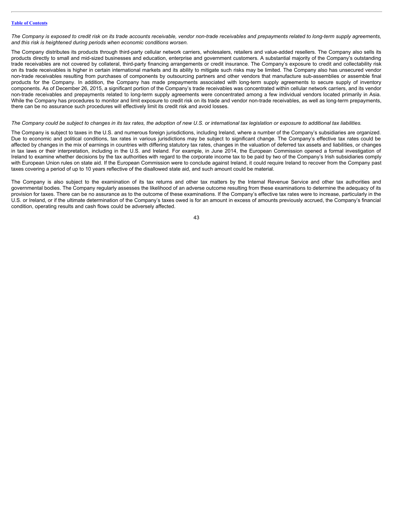*The Company is exposed to credit risk on its trade accounts receivable, vendor non-trade receivables and prepayments related to long-term supply agreements, and this risk is heightened during periods when economic conditions worsen.*

The Company distributes its products through third-party cellular network carriers, wholesalers, retailers and value-added resellers. The Company also sells its products directly to small and mid-sized businesses and education, enterprise and government customers. A substantial majority of the Company's outstanding trade receivables are not covered by collateral, third-party financing arrangements or credit insurance. The Company's exposure to credit and collectability risk on its trade receivables is higher in certain international markets and its ability to mitigate such risks may be limited. The Company also has unsecured vendor non-trade receivables resulting from purchases of components by outsourcing partners and other vendors that manufacture sub-assemblies or assemble final products for the Company. In addition, the Company has made prepaymen Table of Contents<br>The Company is exposed to credit risk on its trade accounts receivable, vendor non-trade receivables and prepayments related to long-term supply agreements,<br>and this risk is heightened during periods when components. As of December 26, 2015, a significant portion of the Company's trade receivables was concentrated within cellular network carriers, and its vendor non-trade receivables and prepayments related to long-term supply agreements were concentrated among a few individual vendors located primarily in Asia. While the Company has procedures to monitor and limit exposure to credit risk on its trade and vendor non-trade receivables, as well as long-term prepayments, there can be no assurance such procedures will effectively limit its credit risk and avoid losses. Table at Centamic<br>
The Company is accored to credit risk on its trade accounts receivable, vendor non-trade receivables and propayments related to long-tem supply agreements.<br>The Company is also products through pincipally

# *The Company could be subject to changes in its tax rates, the adoption of new U.S. or international tax legislation or exposure to additional tax liabilities.*

The Company is subject to taxes in the U.S. and numerous foreign jurisdictions, including Ireland, where a number of the Company's subsidiaries are organized. Due to economic and political conditions, tax rates in various jurisdictions may be subject to significant change. The Company's effective tax rates could be affected by changes in the mix of earnings in countries with differing statutory tax rates, changes in the valuation of deferred tax assets and liabilities, or changes in tax laws or their interpretation, including in the U.S. and Ireland. For example, in June 2014, the European Commission opened a formal investigation of Ireland to examine whether decisions by the tax authorities with regard to the corporate income tax to be paid by two of the Company's Irish subsidiaries comply with European Union rules on state aid. If the European Commission were to conclude against Ireland, it could require Ireland to recover from the Company past taxes covering a period of up to 10 years reflective of the disallowed state aid, and such amount could be material.

governmental bodies. The Company regularly assesses the likelihood of an adverse outcome resulting from these examinations to determine the adequacy of its provision for taxes. There can be no assurance as to the outcome of these examinations. If the Company's effective tax rates were to increase, particularly in the U.S. or Ireland, or if the ultimate determination of the Company's taxes owed is for an amount in excess of amounts previously accrued, the Company's financial condition, operating results and cash flows could be adversely affected.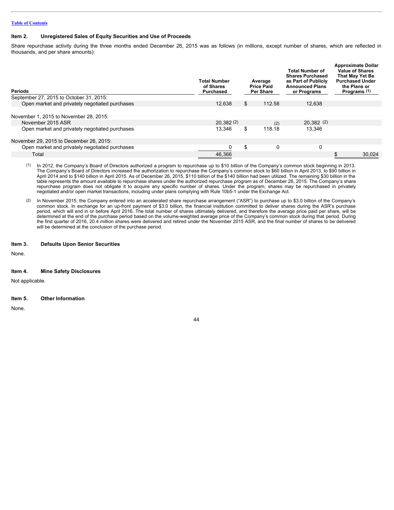# **Item 2. Unregistered Sales of Equity Securities and Use of Proceeds**

| <b>Table of Contents</b><br><b>Unregistered Sales of Equity Securities and Use of Proceeds</b><br>Item 2.<br>thousands, and per share amounts):<br><b>Total Number of</b><br><b>Shares Purchased</b><br><b>Total Number</b><br>Average<br>as Part of Publicly<br>of Shares<br><b>Price Paid</b><br><b>Announced Plans</b><br>the Plans or<br>Periods<br>Purchased<br>Per Share<br>or Programs<br>September 27, 2015 to October 31, 2015:<br>12,638<br>Open market and privately negotiated purchases<br>112.58<br>12,638<br>November 1, 2015 to November 28, 2015:<br>20,382(2)<br>20,382(2)<br>November 2015 ASR | (2)<br>Open market and privately negotiated purchases<br>13,346<br>118.18<br>13,346<br>- \$ | November 29, 2015 to December 26, 2015:<br>\$<br>$\Omega$<br>$\Omega$ | Open market and privately negotiated purchases<br>46,366<br>Total |  |  |  |  |  |
|-------------------------------------------------------------------------------------------------------------------------------------------------------------------------------------------------------------------------------------------------------------------------------------------------------------------------------------------------------------------------------------------------------------------------------------------------------------------------------------------------------------------------------------------------------------------------------------------------------------------|---------------------------------------------------------------------------------------------|-----------------------------------------------------------------------|-------------------------------------------------------------------|--|--|--|--|--|
| Share repurchase activity during the three months ended December 26, 2015 was as follows (in millions, except number of shares, which are reflected in<br><b>Approximate Dollar</b><br><b>Value of Shares</b><br>That May Yet Be<br><b>Purchased Under</b><br>Programs (1)                                                                                                                                                                                                                                                                                                                                        |                                                                                             |                                                                       |                                                                   |  |  |  |  |  |
|                                                                                                                                                                                                                                                                                                                                                                                                                                                                                                                                                                                                                   |                                                                                             |                                                                       | 30,024                                                            |  |  |  |  |  |
|                                                                                                                                                                                                                                                                                                                                                                                                                                                                                                                                                                                                                   |                                                                                             |                                                                       |                                                                   |  |  |  |  |  |
|                                                                                                                                                                                                                                                                                                                                                                                                                                                                                                                                                                                                                   |                                                                                             |                                                                       |                                                                   |  |  |  |  |  |
|                                                                                                                                                                                                                                                                                                                                                                                                                                                                                                                                                                                                                   |                                                                                             |                                                                       |                                                                   |  |  |  |  |  |
|                                                                                                                                                                                                                                                                                                                                                                                                                                                                                                                                                                                                                   |                                                                                             |                                                                       |                                                                   |  |  |  |  |  |

# **Item 3. Defaults Upon Senior Securities**

None.

# **Item 4. Mine Safety Disclosures**

Not applicable.

#### **Item 5. Other Information**

None.

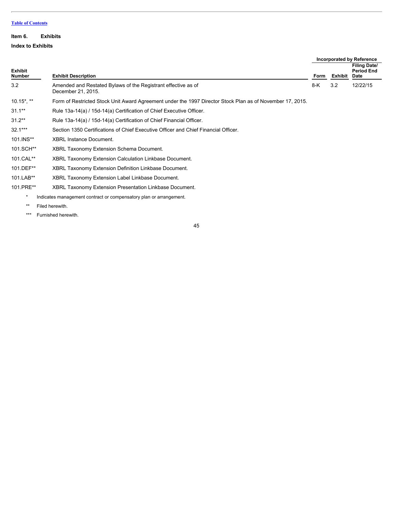# **Item 6. Exhibits**

# **Index to Exhibits**

|                   |                                                                                                           |       |         | <b>Incorporated by Reference</b>                 |
|-------------------|-----------------------------------------------------------------------------------------------------------|-------|---------|--------------------------------------------------|
| Exhibit<br>Number | <b>Exhibit Description</b>                                                                                | Form  | Exhibit | <b>Filing Date/</b><br><b>Period End</b><br>Date |
| 3.2               | Amended and Restated Bylaws of the Registrant effective as of<br>December 21, 2015.                       | $8-K$ | 3.2     | 12/22/15                                         |
| $10.15$ *, **     | Form of Restricted Stock Unit Award Agreement under the 1997 Director Stock Plan as of November 17, 2015. |       |         |                                                  |
| $31.1***$         | Rule 13a-14(a) / 15d-14(a) Certification of Chief Executive Officer.                                      |       |         |                                                  |
| 31.2**            | Rule 13a-14(a) / 15d-14(a) Certification of Chief Financial Officer.                                      |       |         |                                                  |
| 32.1***           | Section 1350 Certifications of Chief Executive Officer and Chief Financial Officer.                       |       |         |                                                  |
| 101.INS**         | <b>XBRL Instance Document.</b>                                                                            |       |         |                                                  |
| 101.SCH**         | XBRL Taxonomy Extension Schema Document.                                                                  |       |         |                                                  |
| 101.CAL**         | XBRL Taxonomy Extension Calculation Linkbase Document.                                                    |       |         |                                                  |
| 101.DEF**         | XBRL Taxonomy Extension Definition Linkbase Document.                                                     |       |         |                                                  |
| 101.LAB**         | XBRL Taxonomy Extension Label Linkbase Document.                                                          |       |         |                                                  |
| 101.PRE**         | XBRL Taxonomy Extension Presentation Linkbase Document.                                                   |       |         |                                                  |
|                   | Indicates management contract or compensatory plan or arrangement.                                        |       |         |                                                  |
| $***$             | Filed herewith.                                                                                           |       |         |                                                  |
| ***               | Furnished herewith.                                                                                       |       |         |                                                  |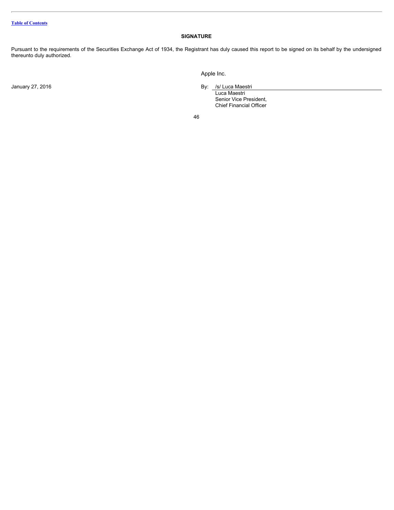# **SIGNATURE**

Pursuant to the requirements of the Securities Exchange Act of 1934, the Registrant has duly caused this report to be signed on its behalf by the undersigned thereunto duly authorized.

Apple Inc.

January 27, 2016 **By:** /s/ Luca Maestri

Luca Maestri Senior Vice President, Chief Financial Officer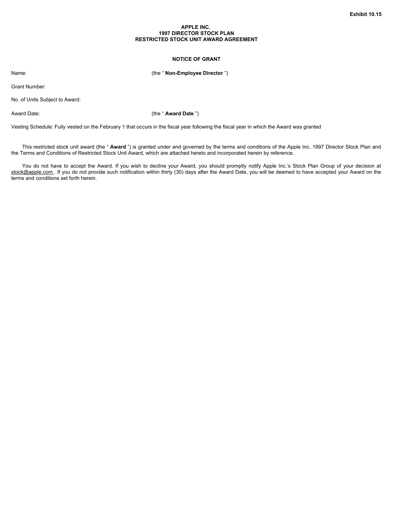# **APPLE INC. 1997 DIRECTOR STOCK PLAN RESTRICTED STOCK UNIT AWARD AGREEMENT**

# **NOTICE OF GRANT**

Name: (the " **Non-Employee Director** ")

Grant Number:

No. of Units Subject to Award:

Award Date: (the " **Award Date** ")

Vesting Schedule: Fully vested on the February 1 that occurs in the fiscal year following the fiscal year in which the Award was granted

This restricted stock unit award (the " **Award** ") is granted under and governed by the terms and conditions of the Apple Inc. 1997 Director Stock Plan and the Terms and Conditions of Restricted Stock Unit Award, which are attached hereto and incorporated herein by reference.

You do not have to accept the Award. If you wish to decline your Award, you should promptly notify Apple Inc.'s Stock Plan Group of your decision at stock@apple.com . If you do not provide such notification within thirty (30) days after the Award Date, you will be deemed to have accepted your Award on the terms and conditions set forth herein.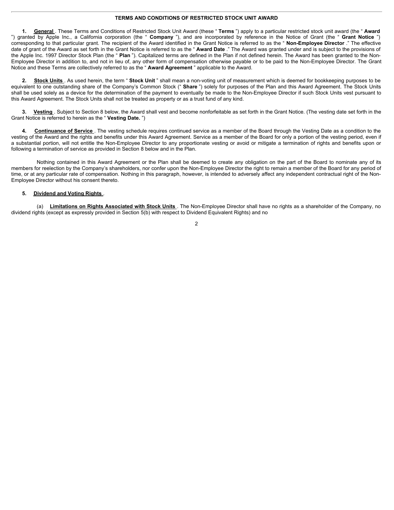# **TERMS AND CONDITIONS OF RESTRICTED STOCK UNIT AWARD**

**1. General** . These Terms and Conditions of Restricted Stock Unit Award (these " **Terms** ") apply to a particular restricted stock unit award (the " **Award TERMS AND CONDITIONS OF RESTRICTED STOCK UNIT AWARD**<br>
") granted by Apple Inc., a California corporation (the " **Company** "), and are incorporated by reference in the Notice of Grant (the " **Grant Notice** ")<br>
correspondin corresponding to that particular grant. The recipient of the Award identified in the Grant Notice is referred to as the " **Non-Employee Director** ." The effective date of grant of the Award as set forth in the Grant Notice is referred to as the " **Award Date** ." The Award was granted under and is subject to the provisions of the Apple Inc. 1997 Director Stock Plan (the " **Plan** "). Capitalized terms are defined in the Plan if not defined herein. The Award has been granted to the Non-Employee Director in addition to, and not in lieu of, any other form of compensation otherwise payable or to be paid to the Non-Employee Director. The Grant Notice and these Terms are collectively referred to as the " **Award Agreement** " applicable to the Award.

2. Stock Units As used herein, the term " Stock Unit " shall mean a non-voting unit of measurement which is deemed for bookkeeping purposes to be equivalent to one outstanding share of the Company's Common Stock (" **Share** ") solely for purposes of the Plan and this Award Agreement. The Stock Units shall be used solely as a device for the determination of the payment to eventually be made to the Non-Employee Director if such Stock Units vest pursuant to this Award Agreement. The Stock Units shall not be treated as property or as a trust fund of any kind.

**3. Vesting** . Subject to Section 8 below, the Award shall vest and become nonforfeitable as set forth in the Grant Notice. (The vesting date set forth in the Grant Notice is referred to herein as the " **Vesting Date.** ")

**4. Continuance of Service** . The vesting schedule requires continued service as a member of the Board through the Vesting Date as a condition to the vesting of the Award and the rights and benefits under this Award Agreement. Service as a member of the Board for only a portion of the vesting period, even if a substantial portion, will not entitle the Non-Employee Director to any proportionate vesting or avoid or mitigate a termination of rights and benefits upon or following a termination of service as provided in Section 8 below and in the Plan.

Nothing contained in this Award Agreement or the Plan shall be deemed to create any obligation on the part of the Board to nominate any of its members for reelection by the Company's shareholders, nor confer upon the Non-Employee Director the right to remain a member of the Board for any period of time, or at any particular rate of compensation. Nothing in this paragraph, however, is intended to adversely affect any independent contractual right of the Non-Employee Director without his consent thereto.

# **5. Dividend and Voting Rights** .

(a) **Limitations on Rights Associated with Stock Units** . The Non-Employee Director shall have no rights as a shareholder of the Company, no dividend rights (except as expressly provided in Section 5(b) with respect to Dividend Equivalent Rights) and no

 $\mathfrak{D}$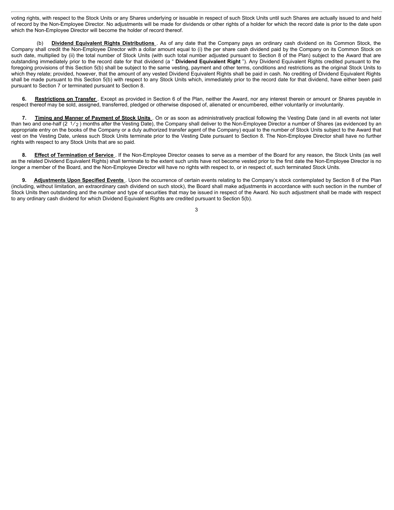voting rights, with respect to the Stock Units or any Shares underlying or issuable in respect of such Stock Units until such Shares are actually issued to and held of record by the Non-Employee Director. No adjustments will be made for dividends or other rights of a holder for which the record date is prior to the date upon which the Non-Employee Director will become the holder of record thereof.

s, with respect to the Stock Units or any Shares underlying or issuable in respect of such Stock Units until such Shares are actually issued to and held<br>y the Non-Employee Director. No adjustments will be made for dividend Company shall credit the Non-Employee Director with a dollar amount equal to (i) the per share cash dividend paid by the Company on its Common Stock on such date, multiplied by (ii) the total number of Stock Units (with such total number adjusted pursuant to Section 8 of the Plan) subject to the Award that are outstanding immediately prior to the record date for that dividend (a " **Dividend Equivalent Right** "). Any Dividend Equivalent Rights credited pursuant to the foregoing provisions of this Section 5(b) shall be subject to the same vesting, payment and other terms, conditions and restrictions as the original Stock Units to which they relate; provided, however, that the amount of any vested Dividend Equivalent Rights shall be paid in cash. No crediting of Dividend Equivalent Rights shall be made pursuant to this Section 5(b) with respect to any Stock Units which, immediately prior to the record date for that dividend, have either been paid pursuant to Section 7 or terminated pursuant to Section 8.

**6. Restrictions on Transfer** . Except as provided in Section 6 of the Plan, neither the Award, nor any interest therein or amount or Shares payable in respect thereof may be sold, assigned, transferred, pledged or otherwise disposed of, alienated or encumbered, either voluntarily or involuntarily.

7. Timing and Manner of Payment of Stock Units . On or as soon as administratively practical following the Vesting Date (and in all events not later than two and one-half  $(2 \frac{1}{2})$  months after the Vesting Date), the Company shall deliver to the Non-Employee Director a number of Shares (as evidenced by an appropriate entry on the books of the Company or a duly authorized transfer agent of the Company) equal to the number of Stock Units subject to the Award that vest on the Vesting Date, unless such Stock Units terminate prior to the Vesting Date pursuant to Section 8. The Non-Employee Director shall have no further rights with respect to any Stock Units that are so paid.

**8. Effect of Termination of Service** . If the Non-Employee Director ceases to serve as a member of the Board for any reason, the Stock Units (as well as the related Dividend Equivalent Rights) shall terminate to the extent such units have not become vested prior to the first date the Non-Employee Director is no longer a member of the Board, and the Non-Employee Director will have no rights with respect to, or in respect of, such terminated Stock Units.

**9. Adjustments Upon Specified Events** . Upon the occurrence of certain events relating to the Company's stock contemplated by Section 8 of the Plan (including, without limitation, an extraordinary cash dividend on such stock), the Board shall make adjustments in accordance with such section in the number of Stock Units then outstanding and the number and type of securities that may be issued in respect of the Award. No such adjustment shall be made with respect to any ordinary cash dividend for which Dividend Equivalent Rights are credited pursuant to Section 5(b).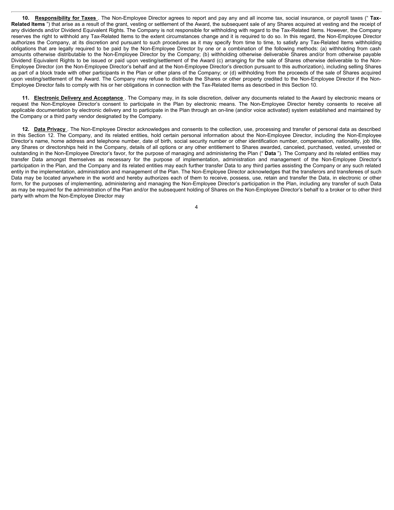**10. Responsibility for Taxes** . The Non-Employee Director agrees to report and pay any and all income tax, social insurance, or payroll taxes (" **Tax-**Related Items") that arise as a result of the grant, vesting or settlement of the Award, the subsequent sale of any Shares acquired at vesting and the receipt of any dividends and/or Dividend Equivalent Rights. The Company is not responsible for withholding with regard to the Tax-Related Items. However, the Company reserves the right to withhold any Tax-Related Items to the extent circumstances change and it is required to do so. In this regard, the Non-Employee Director authorizes the Company, at its discretion and pursuant to such procedures as it may specify from time to time, to satisfy any Tax-Related Items withholding **10. Responsibility for Taxes**. The Non-Employee Director agrees to report and pay any and all income tax, social insurance, or payroll taxes ("Tax-<br>**Related Items**") that arise as a result of the grant, vesting or settlem amounts otherwise distributable to the Non-Employee Director by the Company; (b) withholding otherwise deliverable Shares and/or from otherwise payable Dividend Equivalent Rights to be issued or paid upon vesting/settlement of the Award (c) arranging for the sale of Shares otherwise deliverable to the Non-Employee Director (on the Non-Employee Director's behalf and at the Non-Employee Director's direction pursuant to this authorization), including selling Shares as part of a block trade with other participants in the Plan or other plans of the Company; or (d) withholding from the proceeds of the sale of Shares acquired upon vesting/settlement of the Award. The Company may refuse to distribute the Shares or other property credited to the Non-Employee Director if the Non-Employee Director fails to comply with his or her obligations in connection with the Tax-Related Items as described in this Section 10. **10. Responsibility for Taxes.** The Non-Employee Director agrees to report and pay any and all income tax, social insurance, or payroll taxes ("Tax-<br>Related Items") that arise as a result of the grant, vesting or settlemen **10. Responsibility for Taxes**. The Non-Employee Director agrees to report and pay any and all income tax, social insurance, or payoli taxes in Tax-<br>**Related tems** ; that arise as a result of the grant, vesting or settleme **10.** Responsibility for Taxes. The Non-Employee Director agrees to report and pay any and all income tax, social insurance, or payroll taxes ("Tax-<br>Related litera") that arise as result of the grant, westing or selfement

**11. Electronic Delivery and Acceptance** . The Company may, in its sole discretion, deliver any documents related to the Award by electronic means or applicable documentation by electronic delivery and to participate in the Plan through an on-line (and/or voice activated) system established and maintained by the Company or a third party vendor designated by the Company.

**12. Data Privacy** . The Non-Employee Director acknowledges and consents to the collection, use, processing and transfer of personal data as described Director's name, home address and telephone number, date of birth, social security number or other identification number, compensation, nationality, job title, any Shares or directorships held in the Company, details of all options or any other entitlement to Shares awarded, canceled, purchased, vested, unvested or outstanding in the Non-Employee Director's favor, for the purpose of managing and administering the Plan (" **Data** "). The Company and its related entities may participation in the Plan, and the Company and its related entities may each further transfer Data to any third parties assisting the Company or any such related entity in the implementation, administration and management of the Plan. The Non-Employee Director acknowledges that the transferors and transferees of such Data may be located anywhere in the world and hereby authorizes each of them to receive, possess, use, retain and transfer the Data, in electronic or other form, for the purposes of implementing, administering and managing the Non-Employee Director's participation in the Plan, including any transfer of such Data as may be required for the administration of the Plan and/or the subsequent holding of Shares on the Non-Employee Director's behalf to a broker or to other third party with whom the Non-Employee Director may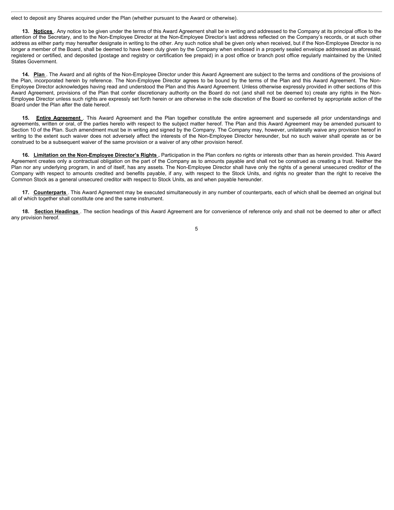elect to deposit any Shares acquired under the Plan (whether pursuant to the Award or otherwise).

**13. Notices** . Any notice to be given under the terms of this Award Agreement shall be in writing and addressed to the Company at its principal office to the attention of the Secretary, and to the Non-Employee Director at the Non-Employee Director's last address reflected on the Company's records, or at such other address as either party may hereafter designate in writing to the other. Any such notice shall be given only when received, but if the Non-Employee Director is no longer a member of the Board, shall be deemed to have been duly given by the Company when enclosed in a properly sealed envelope addressed as aforesaid, registered or certified, and deposited (postage and registry or certification fee prepaid) in a post office or branch post office regularly maintained by the United States Government. **15. Bodicas** Any others acquired under the Plan (whether pursuant to the Award or otherwise).<br>**15. Bodicas,** Any notice to be given under the terms of this Award Agreement shall be in writing and addressed to the Company elect to depoid any Shares acquired under the Plan (whether pursuant to the Award or chremics).<br>
13. Noticing, Any noticis be given under the firms of this Award Agreement shall be in writing and addressed to the Company s

14. Plan. The Award and all rights of the Non-Employee Director under this Award Agreement are subject to the terms and conditions of the provisions of the Plan, incorporated herein by reference. The Non-Employee Director agrees to be bound by the terms of the Plan and this Award Agreement. The Non-Employee Director acknowledges having read and understood the Plan and this Award Agreement. Unless otherwise expressly provided in other sections of this Award Agreement, provisions of the Plan that confer discretionary authority on the Board do not (and shall not be deemed to) create any rights in the Non-Employee Director unless such rights are expressly set forth herein or are otherwise in the sole discretion of the Board so conferred by appropriate action of the Board under the Plan after the date hereof.

agreements, written or oral, of the parties hereto with respect to the subject matter hereof. The Plan and this Award Agreement may be amended pursuant to Section 10 of the Plan. Such amendment must be in writing and signed by the Company. The Company may, however, unilaterally waive any provision hereof in writing to the extent such waiver does not adversely affect the interests of the Non-Employee Director hereunder, but no such waiver shall operate as or be construed to be a subsequent waiver of the same provision or a waiver of any other provision hereof.

**16. Limitation on the Non-Employee Director's Rights** . Participation in the Plan confers no rights or interests other than as herein provided. This Award Agreement creates only a contractual obligation on the part of the Company as to amounts payable and shall not be construed as creating a trust. Neither the Plan nor any underlying program, in and of itself, has any assets. The Non-Employee Director shall have only the rights of a general unsecured creditor of the Company with respect to amounts credited and benefits payable, Common Stock as a general unsecured creditor with respect to Stock Units, as and when payable hereunder.

**17. Counterparts** . This Award Agreement may be executed simultaneously in any number of counterparts, each of which shall be deemed an original but all of which together shall constitute one and the same instrument.

**18. Section Headings** . The section headings of this Award Agreement are for convenience of reference only and shall not be deemed to alter or affect any provision hereof.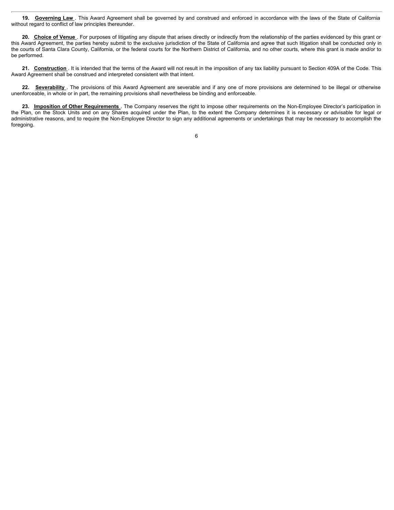**19. Governing Law** . This Award Agreement shall be governed by and construed and enforced in accordance with the laws of the State of California without regard to conflict of law principles thereunder.

**20. Choice of Venue** . For purposes of litigating any dispute that arises directly or indirectly from the relationship of the parties evidenced by this grant or this Award Agreement, the parties hereby submit to the exclusive jurisdiction of the State of California and agree that such litigation shall be conducted only in the courts of Santa Clara County, California, or the federal courts for the Northern District of California, and no other courts, where this grant is made and/or to be performed. 19. Governing Law. This Award Agreement shall be governed by and construed and enforced in accordance with the laws of the State of California<br>without regard to conflict of law principles thereunder.<br>
20. Choice of Vanue.

21. Construction . It is intended that the terms of the Award will not result in the imposition of any tax liability pursuant to Section 409A of the Code. This Award Agreement shall be construed and interpreted consistent with that intent.

22. Severability. The provisions of this Award Agreement are severable and if any one of more provisions are determined to be illegal or otherwise unenforceable, in whole or in part, the remaining provisions shall nevertheless be binding and enforceable.

23. Imposition of Other Requirements. The Company reserves the right to impose other requirements on the Non-Employee Director's participation in the Plan, on the Stock Units and on any Shares acquired under the Plan, to t administrative reasons, and to require the Non-Employee Director to sign any additional agreements or undertakings that may be necessary to accomplish the foregoing.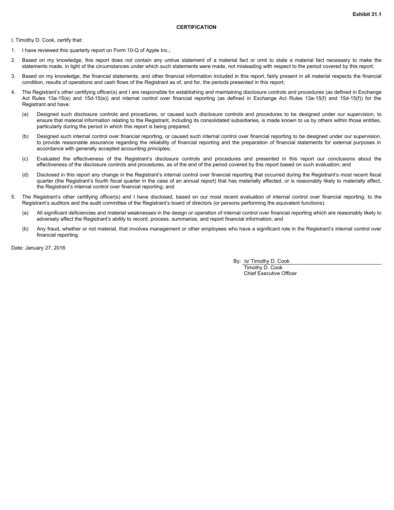I, Timothy D. Cook, certify that:

- 1. I have reviewed this quarterly report on Form 10-Q of Apple Inc.;
- statements made, in light of the circumstances under which such statements were made, not misleading with respect to the period covered by this report;
- 3. Based on my knowledge, the financial statements, and other financial information included in this report, fairly present in all material respects the financial condition, results of operations and cash flows of the Registrant as of, and for, the periods presented in this report;
- Exhibit 31.1<br>
2. I have reviewed this quarterly report on Form 10-Q of Apple Inc.;<br>
2. Based on my knowledge, this report does not contain any untrue statement of a material fact or omit to state a material fact necessary 4. The Registrant's other certifying officer(s) and I are responsible for establishing and maintaining disclosure controls and procedures (as defined in Exchange Exhibit 31.1<br>
Reserve we this quartity report on Form 10-Q of Apple Inc.;<br>
Rased on my knowledge, this report does not contain any untrue statement of a material fact or omit to state a material fact necessary to make the<br> Registrant and have: Exhibit 31.1<br>
Based on my knowledge, this report on Form 10-Q of Apple Inc.;<br>
Based on my knowledge, this report does not contain any untrue statement of a material fact or omit to state a material fact necessary to make t **CERTIFICATION**<br>
Lhave reviewed this quarterly report on Form 10-Q of Apple Inc.;<br>
Rassed on my knowledge, his report does not contain any unitre statement of a naterial fact or omit to state an material for concellent to 5. The registrant certification of the Certification of a material registrant of a halo material registrant of the Certification of the Celebratic Certification on the Celebratic Certification of the Celebratic Certificati
	- ensure that material information relating to the Registrant, including its consolidated subsidiaries, is made known to us by others within those entities, particularly during the period in which this report is being prepared;
	- (b) Designed such internal control over financial reporting, or caused such internal control over financial reporting to be designed under our supervision, to provide reasonable assurance regarding the reliability of financial reporting and the preparation of financial statements for external purposes in accordance with generally accepted accounting principles;
	- effectiveness of the disclosure controls and procedures, as of the end of the period covered by this report based on such evaluation; and
	- (d) Disclosed in this report any change in the Registrant's internal control over financial reporting that occurred during the Registrant's most recent fiscal quarter (the Registrant's fourth fiscal quarter in the case of an annual report) that has materially affected, or is reasonably likely to materially affect, the Registrant's internal control over financial reporting; and
- Registrant's auditors and the audit committee of the Registrant's board of directors (or persons performing the equivalent functions):
	- (a) All significant deficiencies and material weaknesses in the design or operation of internal control over financial reporting which are reasonably likely to adversely affect the Registrant's ability to record, process, summarize, and report financial information; and
	- (b) Any fraud, whether or not material, that involves management or other employees who have a significant role in the Registrant's internal control over financial reporting.

Date: January 27, 2016

By: /s/ Timothy D. Cook

Timothy D. Cook Chief Executive Officer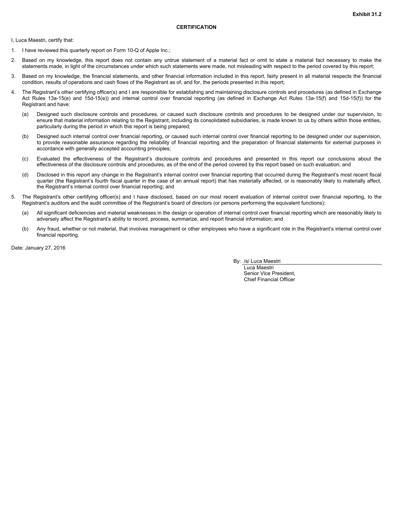I, Luca Maestri, certify that:

- 1. I have reviewed this quarterly report on Form 10-Q of Apple Inc.;
- statements made, in light of the circumstances under which such statements were made, not misleading with respect to the period covered by this report;
- 3. Based on my knowledge, the financial statements, and other financial information included in this report, fairly present in all material respects the financial condition, results of operations and cash flows of the Registrant as of, and for, the periods presented in this report;
- Exhibit 31.2<br>
2. Based on my knowledge, this report on Form 10-Q of Apple Inc.;<br>
2. Based on my knowledge, this report does not contain any untrue statement of a material fact or omit to state a material fact necessary to 4. The Registrant's other certifying officer(s) and I are responsible for establishing and maintaining disclosure controls and procedures (as defined in Exchange **CERTIFICATION**<br>
The mereviewed this quarterly report on Form 10-Q of Apple Inc.;<br>
Hase rewiewed this quarterly report on Form 10-Q of Apple Inc.;<br>
Based on my knowledge, this report does not contain any untrue statement o Registrant and have: 5. Luca Meestit, certify that:<br>
5. These reviewed this quartiety report on Form 10-2 of Apple Inc.;<br>
5. Based on my knowledge, this report does not contain any unitus statement of a material flact or omit to state a materi
	- ensure that material information relating to the Registrant, including its consolidated subsidiaries, is made known to us by others within those entities, particularly during the period in which this report is being prepared;
	- Exhibit 31.2<br>
	Based on my knowledge, this report do Form 10-Q of Apple Inc.;<br>
	Based on my knowledge, this report does not contain any untrue statement of a material fact or omit to state a material fact necessary to make t (b) Designed such internal control over financial reporting, or caused such internal control over financial reporting to be designed under our supervision, to provide reasonable assurance regarding the reliability of financial reporting and the preparation of financial statements for external purposes in accordance with generally accepted accounting principles; **CERTIFICATION**<br>
	Lhave reviewed this quarterly report on Form 10-Q of Apple Inc.;<br>
	Rassed on my knowledge, his report does not contain any unitre statement of a naterial fact or omit to state a material fort orcessary to m
	- effectiveness of the disclosure controls and procedures, as of the end of the period covered by this report based on such evaluation; and
	- (d) Disclosed in this report any change in the Registrant's internal control over financial reporting that occurred during the Registrant's most recent fiscal quarter (the Registrant's fourth fiscal quarter in the case of an annual report) that has materially affected, or is reasonably likely to materially affect, the Registrant's internal control over financial reporting; and
- Registrant's auditors and the audit committee of the Registrant's board of directors (or persons performing the equivalent functions):
	- (a) All significant deficiencies and material weaknesses in the design or operation of internal control over financial reporting which are reasonably likely to adversely affect the Registrant's ability to record, process, summarize, and report financial information; and
	- (b) Any fraud, whether or not material, that involves management or other employees who have a significant role in the Registrant's internal control over financial reporting.

Date: January 27, 2016

By: /s/ Luca Maestri

Luca Maestri Senior Vice President, Chief Financial Officer